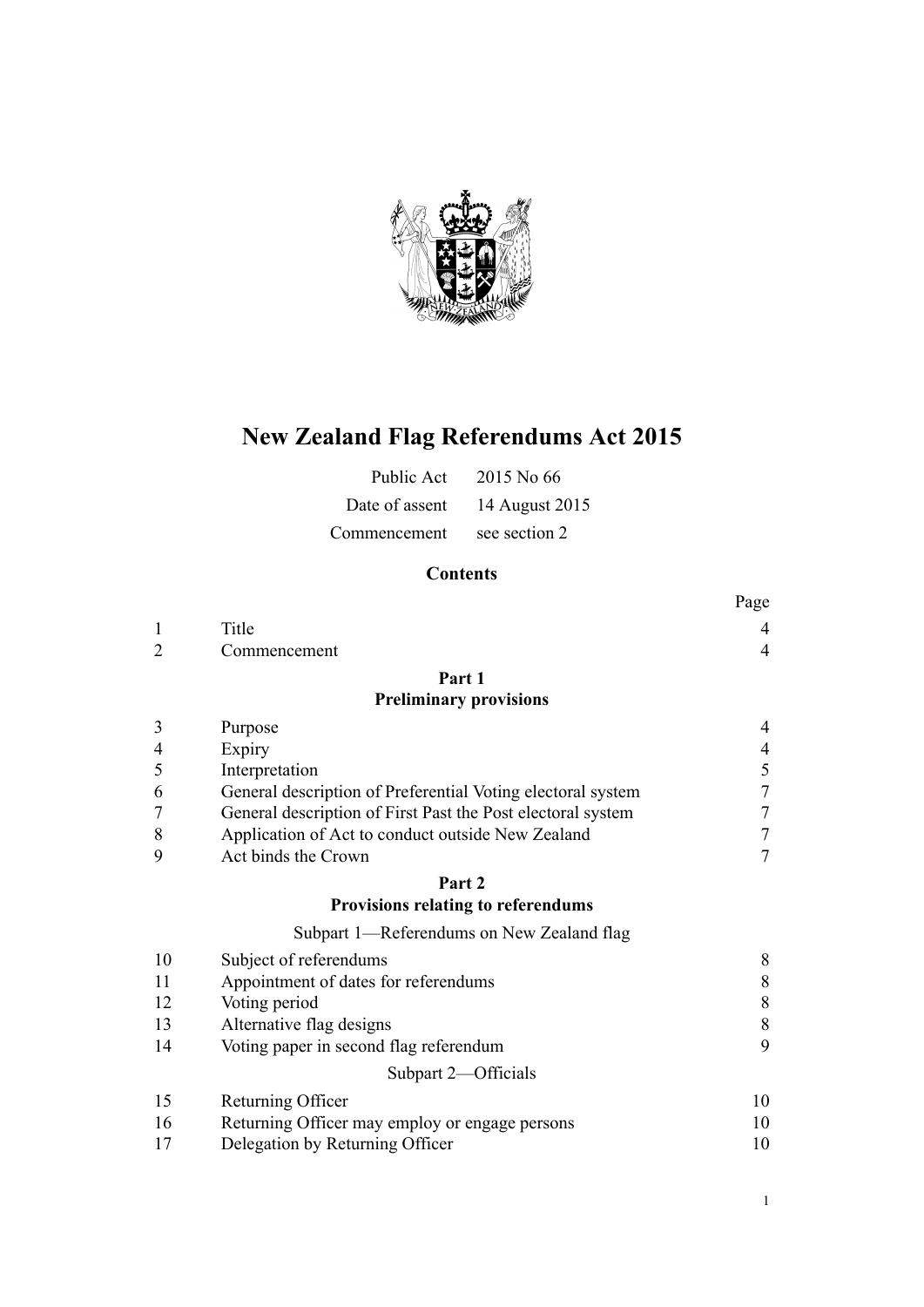

# **New Zealand Flag Referendums Act 2015**

| Public Act     | 2015 No 66     |
|----------------|----------------|
| Date of assent | 14 August 2015 |
| Commencement   | see section 2  |

# **Contents**

|                |                                                             | Page                     |
|----------------|-------------------------------------------------------------|--------------------------|
| $\mathbf{1}$   | Title                                                       | 4                        |
| $\overline{2}$ | Commencement                                                | $\overline{4}$           |
|                | Part 1                                                      |                          |
|                | <b>Preliminary provisions</b>                               |                          |
| 3              | Purpose                                                     | 4                        |
| $\overline{4}$ | Expiry                                                      | $\overline{\mathcal{L}}$ |
| 5              | Interpretation                                              | $\frac{5}{7}$            |
| 6              | General description of Preferential Voting electoral system |                          |
| $\overline{7}$ | General description of First Past the Post electoral system | 7                        |
| 8              | Application of Act to conduct outside New Zealand           | $\overline{7}$           |
| 9              | Act binds the Crown                                         | 7                        |
|                | Part 2                                                      |                          |
|                | <b>Provisions relating to referendums</b>                   |                          |
|                | Subpart 1—Referendums on New Zealand flag                   |                          |
| 10             | Subject of referendums                                      | 8                        |
| 11             | Appointment of dates for referendums                        | 8                        |
| 12             | Voting period                                               | 8                        |
| 13             | Alternative flag designs                                    | 8                        |
| 14             | Voting paper in second flag referendum                      | 9                        |
|                | Subpart 2-Officials                                         |                          |
| 15             | Returning Officer                                           | 10                       |
| 16             | Returning Officer may employ or engage persons              | 10                       |
| 17             | Delegation by Returning Officer                             | 10                       |
|                |                                                             |                          |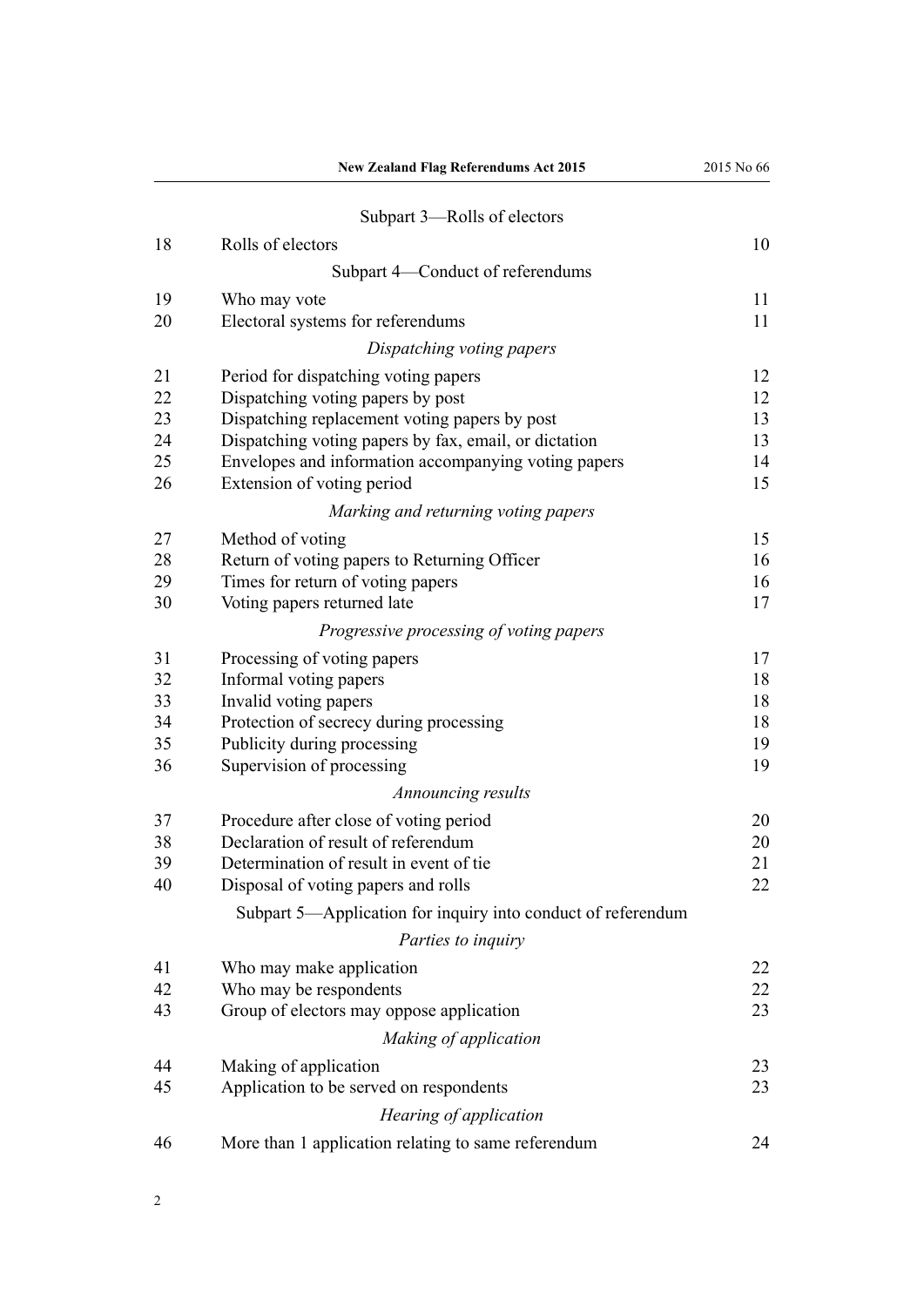|    | <b>New Zealand Flag Referendums Act 2015</b>                 | 2015 No 66 |
|----|--------------------------------------------------------------|------------|
|    | Subpart 3—Rolls of electors                                  |            |
| 18 | Rolls of electors                                            | 10         |
|    | Subpart 4-Conduct of referendums                             |            |
| 19 | Who may vote                                                 | 11         |
| 20 | Electoral systems for referendums                            | 11         |
|    |                                                              |            |
|    | Dispatching voting papers                                    |            |
| 21 | Period for dispatching voting papers                         | 12         |
| 22 | Dispatching voting papers by post                            | 12         |
| 23 | Dispatching replacement voting papers by post                | 13         |
| 24 | Dispatching voting papers by fax, email, or dictation        | 13         |
| 25 | Envelopes and information accompanying voting papers         | 14         |
| 26 | Extension of voting period                                   | 15         |
|    | Marking and returning voting papers                          |            |
| 27 | Method of voting                                             | 15         |
| 28 | Return of voting papers to Returning Officer                 | 16         |
| 29 | Times for return of voting papers                            | 16         |
| 30 | Voting papers returned late                                  | 17         |
|    | Progressive processing of voting papers                      |            |
| 31 | Processing of voting papers                                  | 17         |
| 32 | Informal voting papers                                       | 18         |
| 33 | Invalid voting papers                                        | 18         |
| 34 | Protection of secrecy during processing                      | 18         |
| 35 | Publicity during processing                                  | 19         |
| 36 | Supervision of processing                                    | 19         |
|    | Announcing results                                           |            |
| 37 |                                                              | 20         |
|    | Procedure after close of voting period                       |            |
| 38 | Declaration of result of referendum                          | 20         |
| 39 | Determination of result in event of tie                      | 21         |
| 40 | Disposal of voting papers and rolls                          | 22         |
|    | Subpart 5—Application for inquiry into conduct of referendum |            |
|    | Parties to inquiry                                           |            |
| 41 | Who may make application                                     | 22         |
| 42 | Who may be respondents                                       | 22         |
| 43 | Group of electors may oppose application                     | 23         |
|    | Making of application                                        |            |
| 44 | Making of application                                        | 23         |
| 45 | Application to be served on respondents                      | 23         |
|    | Hearing of application                                       |            |
| 46 | More than 1 application relating to same referendum          | 24         |
|    |                                                              |            |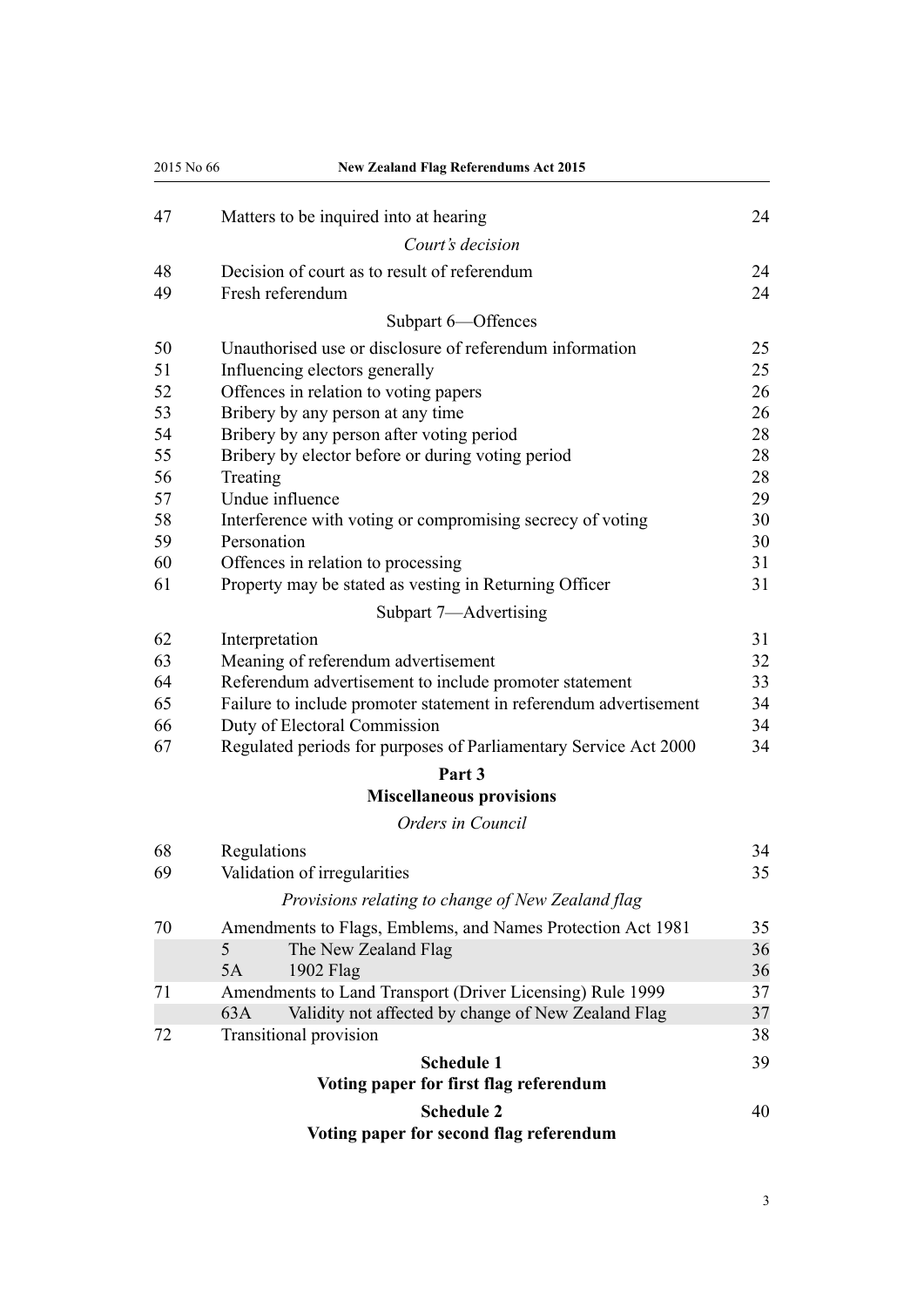| 2015 No 66 | <b>New Zealand Flag Referendums Act 2015</b>                      |    |
|------------|-------------------------------------------------------------------|----|
| 47         | Matters to be inquired into at hearing                            | 24 |
|            | Court's decision                                                  |    |
| 48         | Decision of court as to result of referendum                      | 24 |
| 49         | Fresh referendum                                                  | 24 |
|            | Subpart 6-Offences                                                |    |
| 50         | Unauthorised use or disclosure of referendum information          | 25 |
| 51         | Influencing electors generally                                    | 25 |
| 52         | Offences in relation to voting papers                             | 26 |
| 53         | Bribery by any person at any time                                 | 26 |
| 54         | Bribery by any person after voting period                         | 28 |
| 55         | Bribery by elector before or during voting period                 | 28 |
| 56         | Treating                                                          | 28 |
| 57         | Undue influence                                                   | 29 |
| 58         | Interference with voting or compromising secrecy of voting        | 30 |
| 59         | Personation                                                       | 30 |
| 60         | Offences in relation to processing                                | 31 |
| 61         | Property may be stated as vesting in Returning Officer            | 31 |
|            | Subpart 7-Advertising                                             |    |
| 62         | Interpretation                                                    | 31 |
| 63         | Meaning of referendum advertisement                               | 32 |
| 64         | Referendum advertisement to include promoter statement            | 33 |
| 65         | Failure to include promoter statement in referendum advertisement | 34 |
| 66         | Duty of Electoral Commission                                      | 34 |
| 67         | Regulated periods for purposes of Parliamentary Service Act 2000  | 34 |
|            | Part 3                                                            |    |
|            | <b>Miscellaneous provisions</b>                                   |    |
|            | Orders in Council                                                 |    |
| 68         | Regulations                                                       | 34 |
| 69         | Validation of irregularities                                      | 35 |
|            | Provisions relating to change of New Zealand flag                 |    |
| 70         | Amendments to Flags, Emblems, and Names Protection Act 1981       | 35 |
|            | The New Zealand Flag<br>5                                         | 36 |
|            | 5A<br>1902 Flag                                                   | 36 |
| 71         | Amendments to Land Transport (Driver Licensing) Rule 1999         | 37 |
|            | Validity not affected by change of New Zealand Flag<br>63A        | 37 |
| 72         | Transitional provision                                            | 38 |
|            | <b>Schedule 1</b>                                                 | 39 |
|            | Voting paper for first flag referendum                            |    |
|            | <b>Schedule 2</b>                                                 | 40 |
|            | Voting paper for second flag referendum                           |    |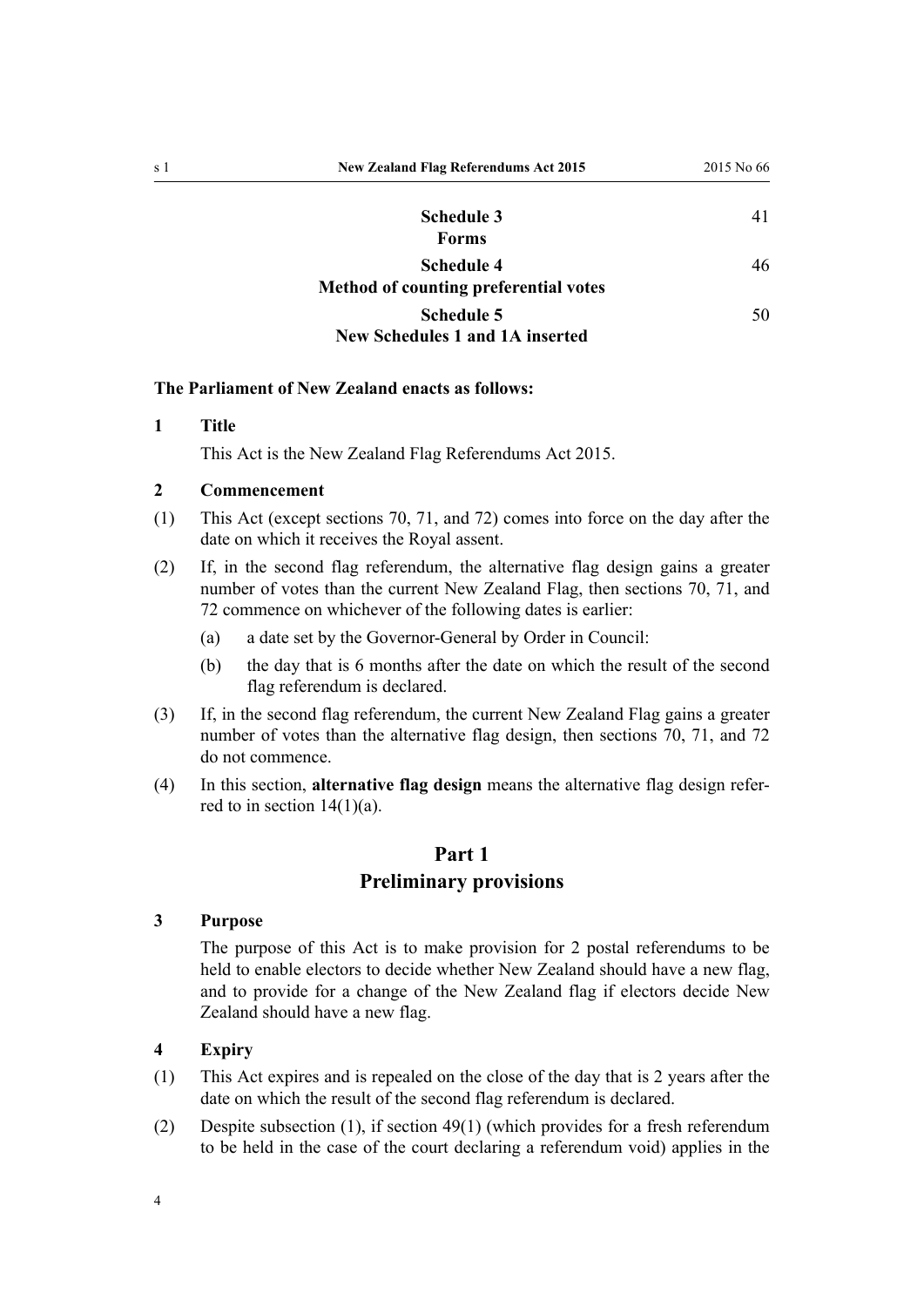<span id="page-3-0"></span>

| s 1 | <b>New Zealand Flag Referendums Act 2015</b>               | 2015 No 66 |
|-----|------------------------------------------------------------|------------|
|     | <b>Schedule 3</b><br><b>Forms</b>                          | 41         |
|     | <b>Schedule 4</b><br>Method of counting preferential votes | 46         |
|     | <b>Schedule 5</b>                                          | 50         |

# **[New Schedules 1 and 1A inserted](#page-49-0)**

#### **The Parliament of New Zealand enacts as follows:**

#### **1 Title**

This Act is the New Zealand Flag Referendums Act 2015.

#### **2 Commencement**

- (1) This Act (except [sections 70,](#page-34-0) [71,](#page-36-0) and [72](#page-37-0)) comes into force on the day after the date on which it receives the Royal assent.
- (2) If, in the second flag referendum, the alternative flag design gains a greater number of votes than the current New Zealand Flag, then [sections 70,](#page-34-0) [71,](#page-36-0) and [72](#page-37-0) commence on whichever of the following dates is earlier:
	- (a) a date set by the Governor-General by Order in Council:
	- (b) the day that is 6 months after the date on which the result of the second flag referendum is declared.
- (3) If, in the second flag referendum, the current New Zealand Flag gains a greater number of votes than the alternative flag design, then [sections 70,](#page-34-0) [71](#page-36-0), and [72](#page-37-0) do not commence.
- (4) In this section, **alternative flag design** means the alternative flag design referred to in section  $14(1)(a)$ .

# **Part 1**

# **Preliminary provisions**

#### **3 Purpose**

The purpose of this Act is to make provision for 2 postal referendums to be held to enable electors to decide whether New Zealand should have a new flag, and to provide for a change of the New Zealand flag if electors decide New Zealand should have a new flag.

#### **4 Expiry**

- (1) This Act expires and is repealed on the close of the day that is 2 years after the date on which the result of the second flag referendum is declared.
- (2) Despite subsection (1), if [section 49\(1\)](#page-23-0) (which provides for a fresh referendum to be held in the case of the court declaring a referendum void) applies in the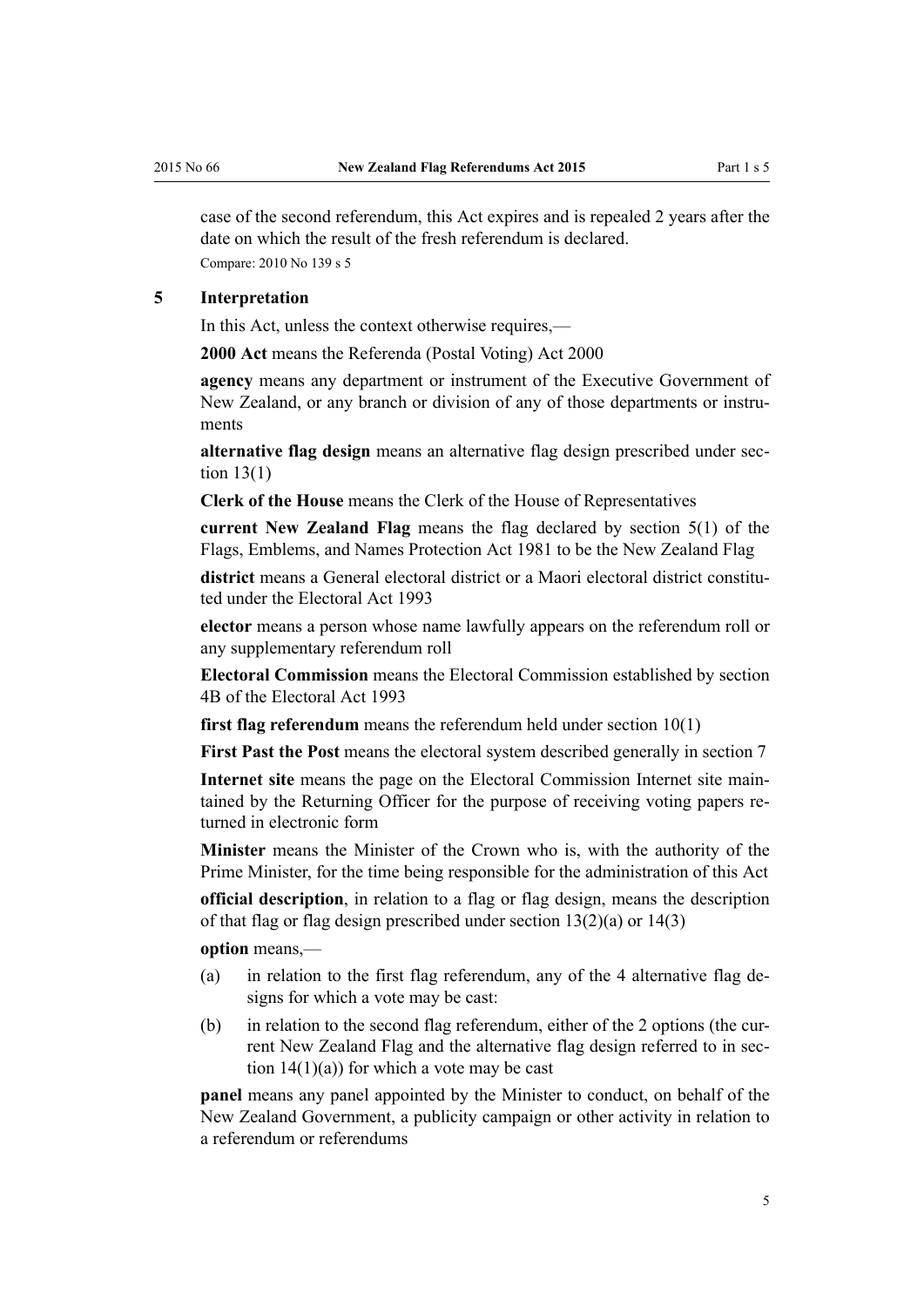<span id="page-4-0"></span>case of the second referendum, this Act expires and is repealed 2 years after the date on which the result of the fresh referendum is declared. Compare: 2010 No 139 [s 5](http://prd-lgnz-nlb.prd.pco.net.nz/pdflink.aspx?id=DLM2833520)

#### **5 Interpretation**

In this Act, unless the context otherwise requires,—

**2000 Act** means the [Referenda \(Postal Voting\) Act 2000](http://prd-lgnz-nlb.prd.pco.net.nz/pdflink.aspx?id=DLM73880)

**agency** means any department or instrument of the Executive Government of New Zealand, or any branch or division of any of those departments or instruments

**alternative flag design** means an alternative flag design prescribed under [sec](#page-7-0)[tion 13\(1\)](#page-7-0)

**Clerk of the House** means the Clerk of the House of Representatives

**current New Zealand Flag** means the flag declared by [section 5\(1\)](http://prd-lgnz-nlb.prd.pco.net.nz/pdflink.aspx?id=DLM52200) of the Flags, Emblems, and Names Protection Act 1981 to be the New Zealand Flag

**district** means a General electoral district or a Maori electoral district constituted under the [Electoral Act 1993](http://prd-lgnz-nlb.prd.pco.net.nz/pdflink.aspx?id=DLM307518)

**elector** means a person whose name lawfully appears on the referendum roll or any supplementary referendum roll

**Electoral Commission** means the Electoral Commission established by [section](http://prd-lgnz-nlb.prd.pco.net.nz/pdflink.aspx?id=DLM2997501) [4B](http://prd-lgnz-nlb.prd.pco.net.nz/pdflink.aspx?id=DLM2997501) of the Electoral Act 1993

**first flag referendum** means the referendum held under [section 10\(1\)](#page-7-0)

**First Past the Post** means the electoral system described generally in [section 7](#page-6-0)

**Internet site** means the page on the Electoral Commission Internet site maintained by the Returning Officer for the purpose of receiving voting papers returned in electronic form

**Minister** means the Minister of the Crown who is, with the authority of the Prime Minister, for the time being responsible for the administration of this Act

**official description**, in relation to a flag or flag design, means the description of that flag or flag design prescribed under [section 13\(2\)\(a\)](#page-7-0) or [14\(3\)](#page-8-0)

**option** means,—

- (a) in relation to the first flag referendum, any of the 4 alternative flag designs for which a vote may be cast:
- (b) in relation to the second flag referendum, either of the 2 options (the current New Zealand Flag and the alternative flag design referred to in [sec](#page-8-0)tion  $14(1)(a)$  for which a vote may be cast

**panel** means any panel appointed by the Minister to conduct, on behalf of the New Zealand Government, a publicity campaign or other activity in relation to a referendum or referendums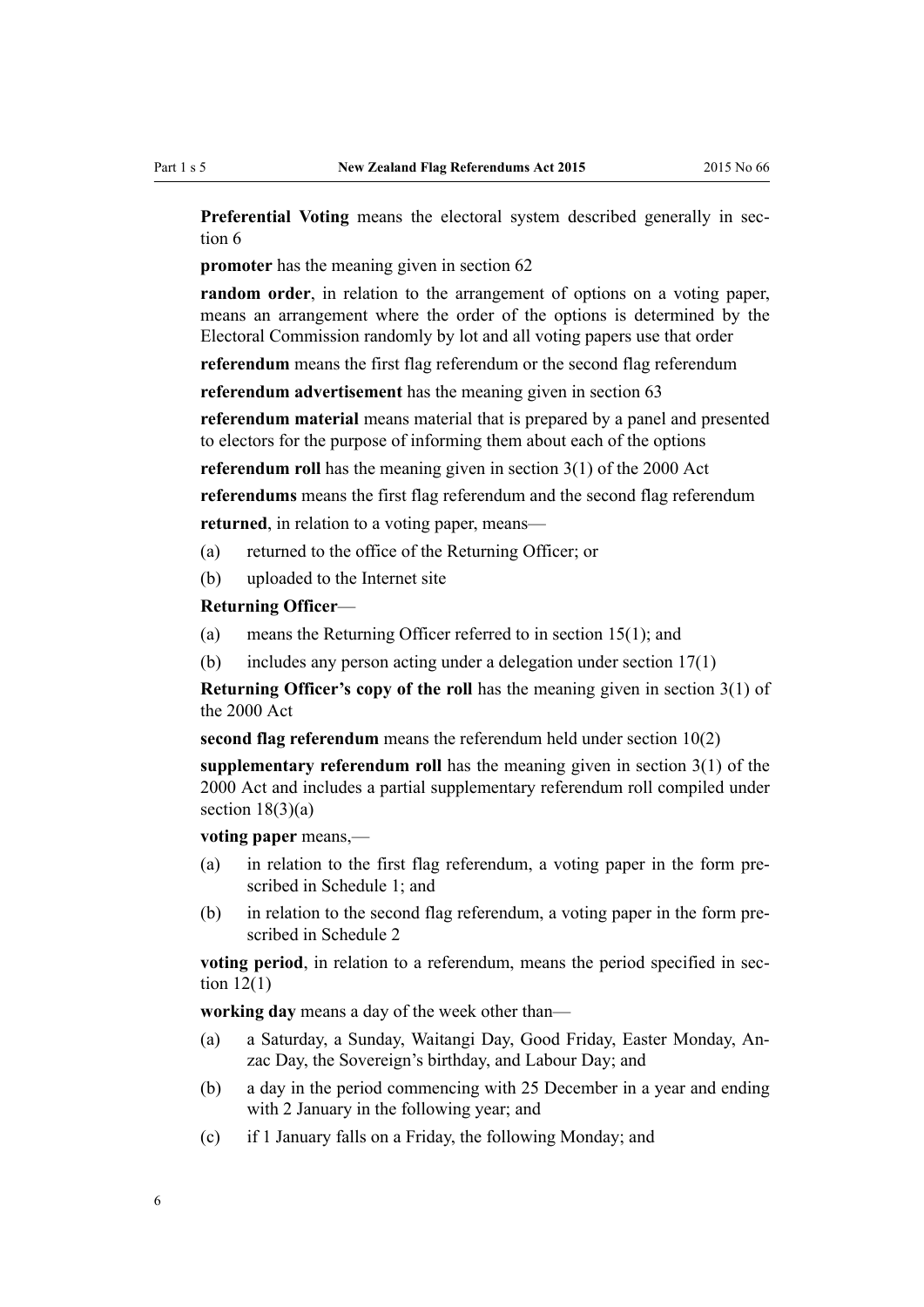**Preferential Voting** means the electoral system described generally in [sec](#page-6-0)[tion 6](#page-6-0)

**promoter** has the meaning given in [section 62](#page-30-0)

**random order**, in relation to the arrangement of options on a voting paper, means an arrangement where the order of the options is determined by the Electoral Commission randomly by lot and all voting papers use that order

**referendum** means the first flag referendum or the second flag referendum **referendum advertisement** has the meaning given in [section 63](#page-31-0)

**referendum material** means material that is prepared by a panel and presented to electors for the purpose of informing them about each of the options

**referendum roll** has the meaning given in [section 3\(1\)](http://prd-lgnz-nlb.prd.pco.net.nz/pdflink.aspx?id=DLM73887) of the 2000 Act

**referendums** means the first flag referendum and the second flag referendum **returned**, in relation to a voting paper, means—

- (a) returned to the office of the Returning Officer; or
- (b) uploaded to the Internet site

#### **Returning Officer**—

- (a) means the Returning Officer referred to in [section 15\(1\)](#page-9-0); and
- (b) includes any person acting under a delegation under [section 17\(1\)](#page-9-0)

**Returning Officer's copy of the roll** has the meaning given in [section 3\(1\)](http://prd-lgnz-nlb.prd.pco.net.nz/pdflink.aspx?id=DLM73887) of the 2000 Act

**second flag referendum** means the referendum held under [section 10\(2\)](#page-7-0)

**supplementary referendum roll** has the meaning given in [section 3\(1\)](http://prd-lgnz-nlb.prd.pco.net.nz/pdflink.aspx?id=DLM73887) of the 2000 Act and includes a partial supplementary referendum roll compiled under section  $18(3)(a)$ 

**voting paper** means,—

- (a) in relation to the first flag referendum, a voting paper in the form prescribed in [Schedule 1;](#page-38-0) and
- (b) in relation to the second flag referendum, a voting paper in the form prescribed in [Schedule 2](#page-39-0)

**voting period**, in relation to a referendum, means the period specified in [sec](#page-7-0)tion  $12(1)$ 

**working day** means a day of the week other than—

- (a) a Saturday, a Sunday, Waitangi Day, Good Friday, Easter Monday, Anzac Day, the Sovereign's birthday, and Labour Day; and
- (b) a day in the period commencing with 25 December in a year and ending with 2 January in the following year; and
- (c) if 1 January falls on a Friday, the following Monday; and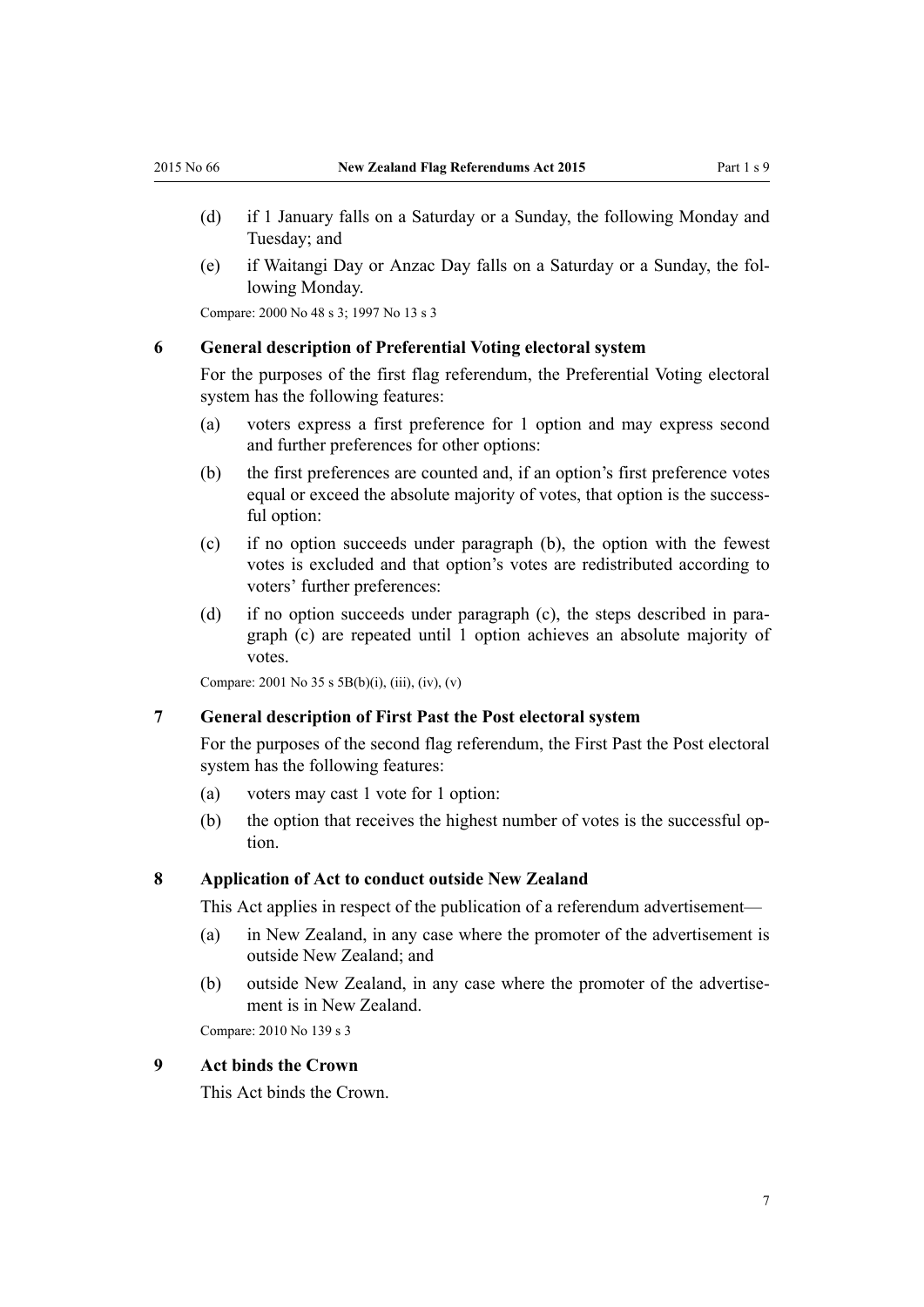- <span id="page-6-0"></span>(d) if 1 January falls on a Saturday or a Sunday, the following Monday and Tuesday; and
- (e) if Waitangi Day or Anzac Day falls on a Saturday or a Sunday, the following Monday.

Compare: 2000 No 48 [s 3;](http://prd-lgnz-nlb.prd.pco.net.nz/pdflink.aspx?id=DLM73887) 1997 No 13 [s 3](http://prd-lgnz-nlb.prd.pco.net.nz/pdflink.aspx?id=DLM408496)

#### **6 General description of Preferential Voting electoral system**

For the purposes of the first flag referendum, the Preferential Voting electoral system has the following features:

- (a) voters express a first preference for 1 option and may express second and further preferences for other options:
- (b) the first preferences are counted and, if an option's first preference votes equal or exceed the absolute majority of votes, that option is the successful option:
- (c) if no option succeeds under paragraph (b), the option with the fewest votes is excluded and that option's votes are redistributed according to voters' further preferences:
- (d) if no option succeeds under paragraph (c), the steps described in paragraph (c) are repeated until 1 option achieves an absolute majority of votes.

Compare: 2001 No 35 [s 5B\(b\)\(i\), \(iii\), \(iv\), \(v\)](http://prd-lgnz-nlb.prd.pco.net.nz/pdflink.aspx?id=DLM93435)

#### **7 General description of First Past the Post electoral system**

For the purposes of the second flag referendum, the First Past the Post electoral system has the following features:

- (a) voters may cast 1 vote for 1 option:
- (b) the option that receives the highest number of votes is the successful option.

#### **8 Application of Act to conduct outside New Zealand**

This Act applies in respect of the publication of a referendum advertisement—

- (a) in New Zealand, in any case where the promoter of the advertisement is outside New Zealand; and
- (b) outside New Zealand, in any case where the promoter of the advertisement is in New Zealand.

Compare: 2010 No 139 [s 3](http://prd-lgnz-nlb.prd.pco.net.nz/pdflink.aspx?id=DLM3382219)

#### **9 Act binds the Crown**

This Act binds the Crown.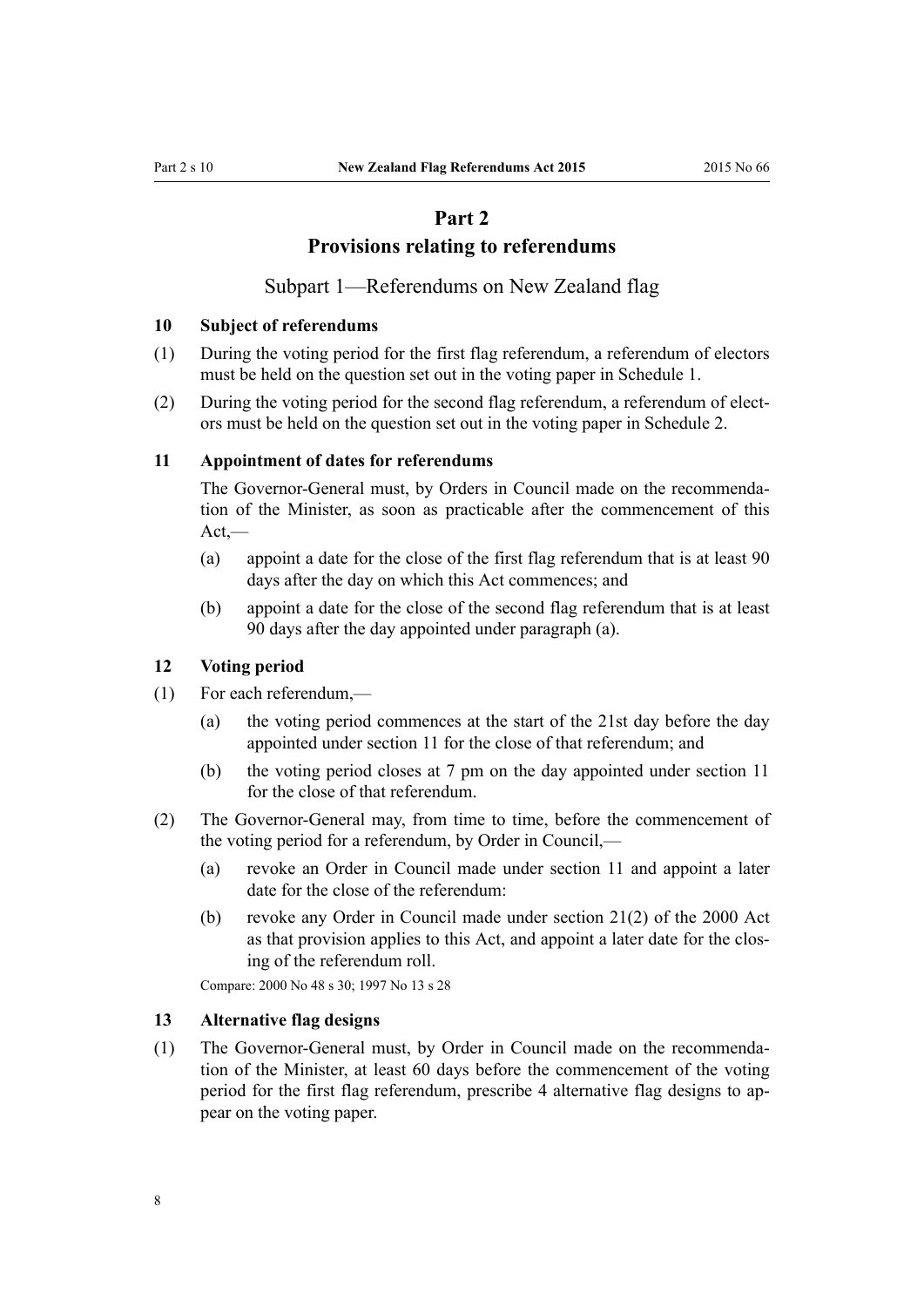## **Part 2**

#### **Provisions relating to referendums**

Subpart 1—Referendums on New Zealand flag

#### <span id="page-7-0"></span>**10 Subject of referendums**

- (1) During the voting period for the first flag referendum, a referendum of electors must be held on the question set out in the voting paper in [Schedule 1](#page-38-0).
- (2) During the voting period for the second flag referendum, a referendum of electors must be held on the question set out in the voting paper in [Schedule 2](#page-39-0).

#### **11 Appointment of dates for referendums**

The Governor-General must, by Orders in Council made on the recommendation of the Minister, as soon as practicable after the commencement of this  $Act$ .

- (a) appoint a date for the close of the first flag referendum that is at least 90 days after the day on which this Act commences; and
- (b) appoint a date for the close of the second flag referendum that is at least 90 days after the day appointed under paragraph (a).

#### **12 Voting period**

- (1) For each referendum,—
	- (a) the voting period commences at the start of the 21st day before the day appointed under section 11 for the close of that referendum; and
	- (b) the voting period closes at 7 pm on the day appointed under section 11 for the close of that referendum.
- (2) The Governor-General may, from time to time, before the commencement of the voting period for a referendum, by Order in Council,—
	- (a) revoke an Order in Council made under section 11 and appoint a later date for the close of the referendum:
	- (b) revoke any Order in Council made under [section 21\(2\)](http://prd-lgnz-nlb.prd.pco.net.nz/pdflink.aspx?id=DLM74591) of the 2000 Act as that provision applies to this Act, and appoint a later date for the closing of the referendum roll.

Compare: 2000 No 48 [s 30](http://prd-lgnz-nlb.prd.pco.net.nz/pdflink.aspx?id=DLM74603); 1997 No 13 [s 28](http://prd-lgnz-nlb.prd.pco.net.nz/pdflink.aspx?id=DLM408677)

#### **13 Alternative flag designs**

(1) The Governor-General must, by Order in Council made on the recommendation of the Minister, at least 60 days before the commencement of the voting period for the first flag referendum, prescribe 4 alternative flag designs to appear on the voting paper.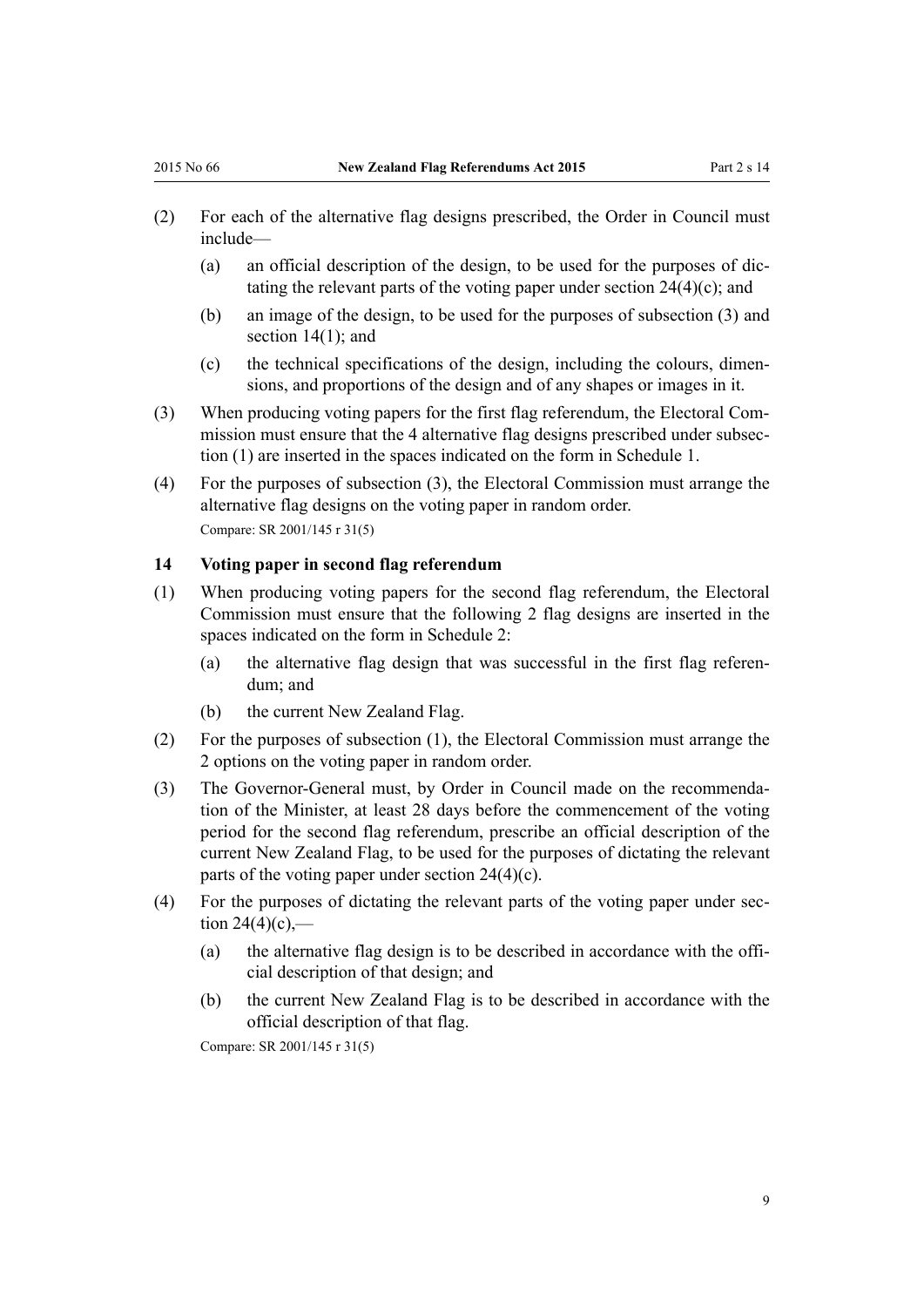- <span id="page-8-0"></span>(2) For each of the alternative flag designs prescribed, the Order in Council must include—
	- (a) an official description of the design, to be used for the purposes of dictating the relevant parts of the voting paper under section  $24(4)(c)$ ; and
	- (b) an image of the design, to be used for the purposes of subsection (3) and section 14(1); and
	- (c) the technical specifications of the design, including the colours, dimensions, and proportions of the design and of any shapes or images in it.
- (3) When producing voting papers for the first flag referendum, the Electoral Commission must ensure that the 4 alternative flag designs prescribed under subsection (1) are inserted in the spaces indicated on the form in [Schedule 1](#page-38-0).
- (4) For the purposes of subsection (3), the Electoral Commission must arrange the alternative flag designs on the voting paper in random order. Compare: SR 2001/145 [r 31\(5\)](http://prd-lgnz-nlb.prd.pco.net.nz/pdflink.aspx?id=DLM55189)

#### **14 Voting paper in second flag referendum**

- (1) When producing voting papers for the second flag referendum, the Electoral Commission must ensure that the following 2 flag designs are inserted in the spaces indicated on the form in [Schedule 2](#page-39-0):
	- (a) the alternative flag design that was successful in the first flag referendum; and
	- (b) the current New Zealand Flag.
- (2) For the purposes of subsection (1), the Electoral Commission must arrange the 2 options on the voting paper in random order.
- (3) The Governor-General must, by Order in Council made on the recommendation of the Minister, at least 28 days before the commencement of the voting period for the second flag referendum, prescribe an official description of the current New Zealand Flag, to be used for the purposes of dictating the relevant parts of the voting paper under [section 24\(4\)\(c\).](#page-12-0)
- (4) For the purposes of dictating the relevant parts of the voting paper under [sec](#page-12-0)tion  $24(4)(c)$ .
	- (a) the alternative flag design is to be described in accordance with the official description of that design; and
	- (b) the current New Zealand Flag is to be described in accordance with the official description of that flag.

Compare: SR 2001/145 [r 31\(5\)](http://prd-lgnz-nlb.prd.pco.net.nz/pdflink.aspx?id=DLM55189)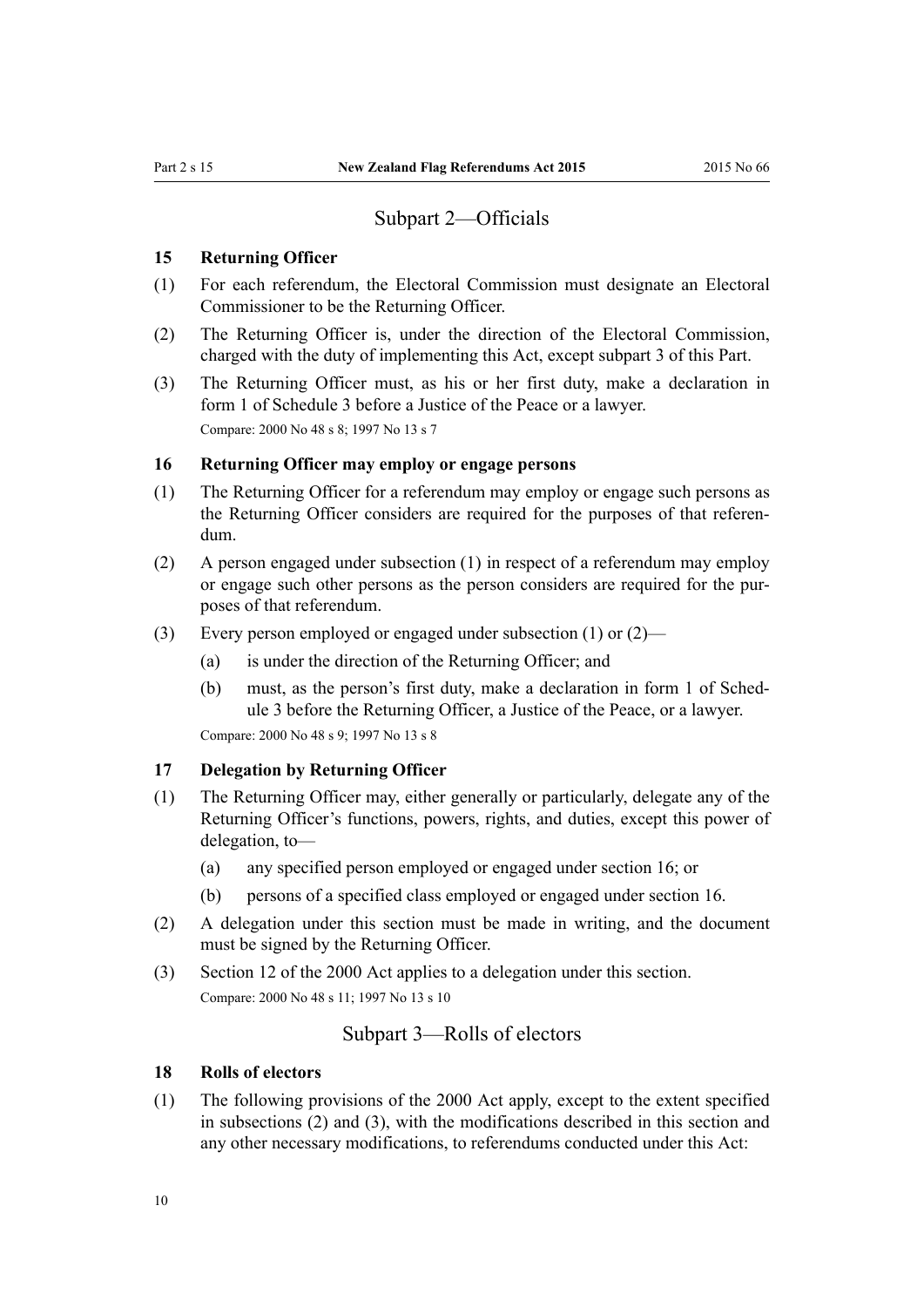#### Subpart 2—Officials

#### <span id="page-9-0"></span>**15 Returning Officer**

- (1) For each referendum, the Electoral Commission must designate an Electoral Commissioner to be the Returning Officer.
- (2) The Returning Officer is, under the direction of the Electoral Commission, charged with the duty of implementing this Act, except subpart 3 of this Part.
- (3) The Returning Officer must, as his or her first duty, make a declaration in [form 1](#page-40-0) of Schedule 3 before a Justice of the Peace or a lawyer. Compare: 2000 No 48 [s 8;](http://prd-lgnz-nlb.prd.pco.net.nz/pdflink.aspx?id=DLM74573) 1997 No 13 [s 7](http://prd-lgnz-nlb.prd.pco.net.nz/pdflink.aspx?id=DLM408652)

#### **16 Returning Officer may employ or engage persons**

- (1) The Returning Officer for a referendum may employ or engage such persons as the Returning Officer considers are required for the purposes of that referendum.
- (2) A person engaged under subsection (1) in respect of a referendum may employ or engage such other persons as the person considers are required for the purposes of that referendum.
- (3) Every person employed or engaged under subsection (1) or (2)—
	- (a) is under the direction of the Returning Officer; and
	- (b) must, as the person's first duty, make a declaration in [form 1](#page-40-0) of Schedule 3 before the Returning Officer, a Justice of the Peace, or a lawyer.

Compare: 2000 No 48 [s 9;](http://prd-lgnz-nlb.prd.pco.net.nz/pdflink.aspx?id=DLM74574) 1997 No 13 [s 8](http://prd-lgnz-nlb.prd.pco.net.nz/pdflink.aspx?id=DLM408653)

#### **17 Delegation by Returning Officer**

- (1) The Returning Officer may, either generally or particularly, delegate any of the Returning Officer's functions, powers, rights, and duties, except this power of delegation, to—
	- (a) any specified person employed or engaged under section 16; or
	- (b) persons of a specified class employed or engaged under section 16.
- (2) A delegation under this section must be made in writing, and the document must be signed by the Returning Officer.
- (3) [Section 12](http://prd-lgnz-nlb.prd.pco.net.nz/pdflink.aspx?id=DLM74577) of the 2000 Act applies to a delegation under this section. Compare: 2000 No 48 s 11; 1997 No 13 s 10

#### Subpart 3—Rolls of electors

#### **18 Rolls of electors**

(1) The following provisions of the 2000 Act apply, except to the extent specified in subsections (2) and (3), with the modifications described in this section and any other necessary modifications, to referendums conducted under this Act: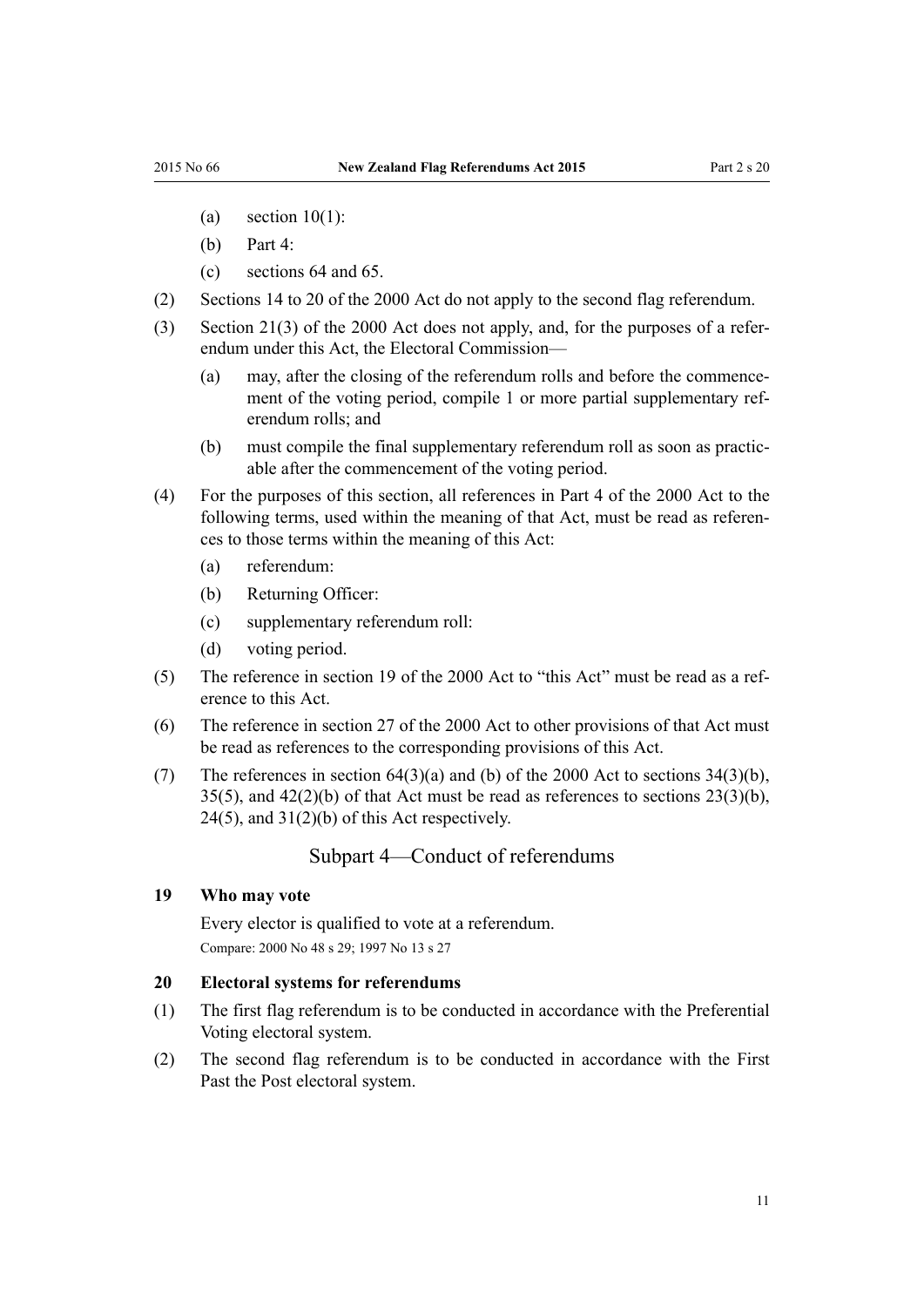- <span id="page-10-0"></span>(a) section  $10(1)$ :
- (b) [Part 4](http://prd-lgnz-nlb.prd.pco.net.nz/pdflink.aspx?id=DLM74578):
- (c) [sections 64](http://prd-lgnz-nlb.prd.pco.net.nz/pdflink.aspx?id=DLM74657) and [65](http://prd-lgnz-nlb.prd.pco.net.nz/pdflink.aspx?id=DLM74658).
- (2) [Sections 14 to 20](http://prd-lgnz-nlb.prd.pco.net.nz/pdflink.aspx?id=DLM74582) of the 2000 Act do not apply to the second flag referendum.
- (3) [Section 21\(3\)](http://prd-lgnz-nlb.prd.pco.net.nz/pdflink.aspx?id=DLM74591) of the 2000 Act does not apply, and, for the purposes of a referendum under this Act, the Electoral Commission—
	- (a) may, after the closing of the referendum rolls and before the commencement of the voting period, compile 1 or more partial supplementary referendum rolls; and
	- (b) must compile the final supplementary referendum roll as soon as practicable after the commencement of the voting period.
- (4) For the purposes of this section, all references in [Part 4](http://prd-lgnz-nlb.prd.pco.net.nz/pdflink.aspx?id=DLM74578) of the 2000 Act to the following terms, used within the meaning of that Act, must be read as references to those terms within the meaning of this Act:
	- (a) referendum:
	- (b) Returning Officer:
	- (c) supplementary referendum roll:
	- (d) voting period.
- (5) The reference in [section 19](http://prd-lgnz-nlb.prd.pco.net.nz/pdflink.aspx?id=DLM74587) of the 2000 Act to "this Act" must be read as a reference to this Act.
- (6) The reference in [section 27](http://prd-lgnz-nlb.prd.pco.net.nz/pdflink.aspx?id=DLM74599) of the 2000 Act to other provisions of that Act must be read as references to the corresponding provisions of this Act.
- (7) The references in section  $64(3)(a)$  and (b) of the 2000 Act to sections  $34(3)(b)$ ,  $35(5)$ , and  $42(2)(b)$  of that Act must be read as references to sections  $23(3)(b)$ ,  $24(5)$ , and  $31(2)(b)$  of this Act respectively.

#### Subpart 4—Conduct of referendums

#### **19 Who may vote**

Every elector is qualified to vote at a referendum. Compare: 2000 No 48 [s 29](http://prd-lgnz-nlb.prd.pco.net.nz/pdflink.aspx?id=DLM74602); 1997 No 13 [s 27](http://prd-lgnz-nlb.prd.pco.net.nz/pdflink.aspx?id=DLM408676)

#### **20 Electoral systems for referendums**

- (1) The first flag referendum is to be conducted in accordance with the Preferential Voting electoral system.
- (2) The second flag referendum is to be conducted in accordance with the First Past the Post electoral system.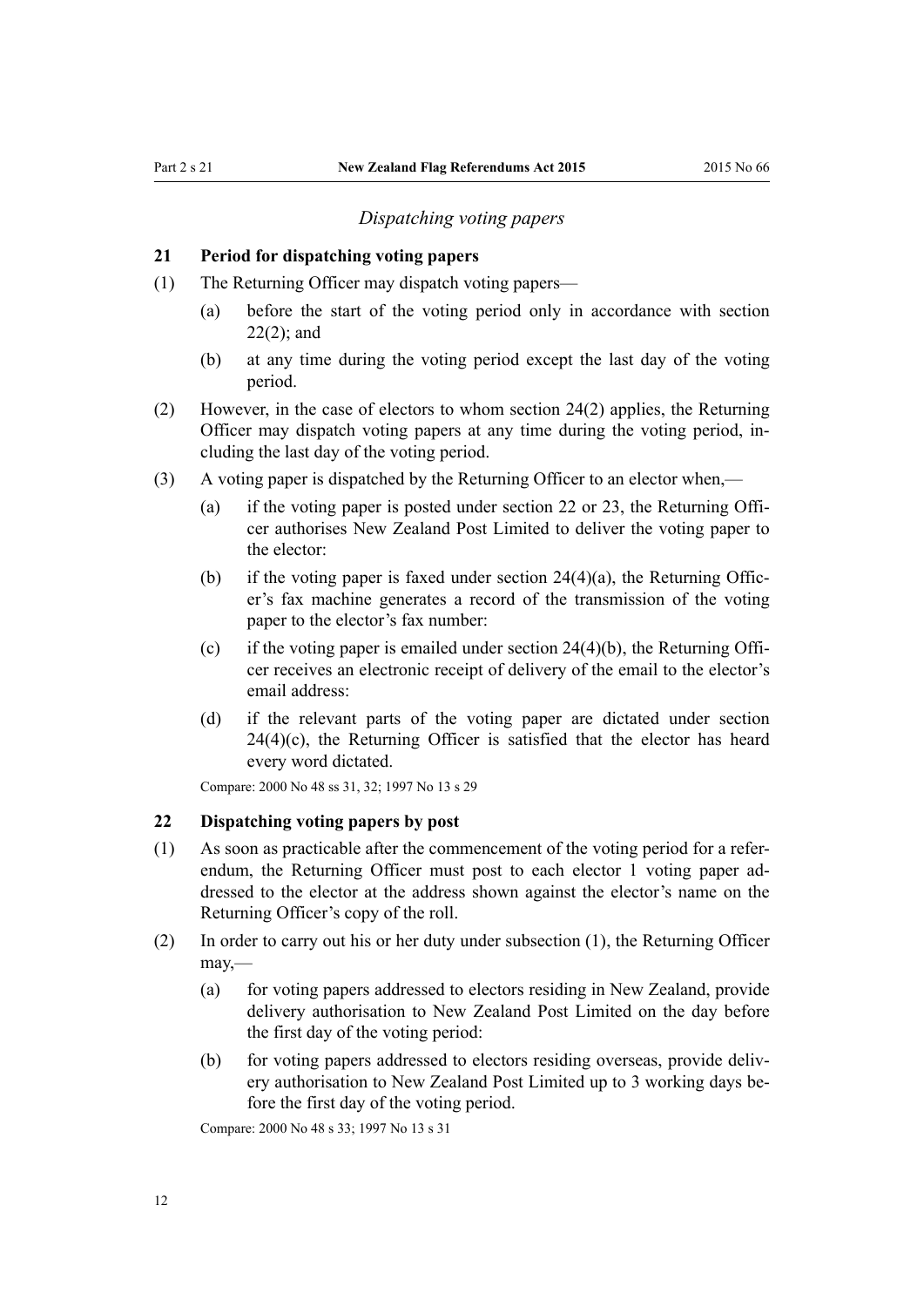#### *Dispatching voting papers*

#### <span id="page-11-0"></span>**21 Period for dispatching voting papers**

- (1) The Returning Officer may dispatch voting papers—
	- (a) before the start of the voting period only in accordance with section 22(2); and
	- (b) at any time during the voting period except the last day of the voting period.
- (2) However, in the case of electors to whom [section 24\(2\)](#page-12-0) applies, the Returning Officer may dispatch voting papers at any time during the voting period, including the last day of the voting period.
- (3) A voting paper is dispatched by the Returning Officer to an elector when,—
	- (a) if the voting paper is posted under section 22 or [23,](#page-12-0) the Returning Officer authorises New Zealand Post Limited to deliver the voting paper to the elector:
	- (b) if the voting paper is faxed under section  $24(4)(a)$ , the Returning Officer's fax machine generates a record of the transmission of the voting paper to the elector's fax number:
	- (c) if the voting paper is emailed under section  $24(4)(b)$ , the Returning Officer receives an electronic receipt of delivery of the email to the elector's email address:
	- (d) if the relevant parts of the voting paper are dictated under [section](#page-12-0)  $24(4)(c)$ , the Returning Officer is satisfied that the elector has heard every word dictated.

Compare: 2000 No 48 [ss 31,](http://prd-lgnz-nlb.prd.pco.net.nz/pdflink.aspx?id=DLM74605) [32](http://prd-lgnz-nlb.prd.pco.net.nz/pdflink.aspx?id=DLM74606); 1997 No 13 [s 29](http://prd-lgnz-nlb.prd.pco.net.nz/pdflink.aspx?id=DLM408679)

#### **22 Dispatching voting papers by post**

- (1) As soon as practicable after the commencement of the voting period for a referendum, the Returning Officer must post to each elector 1 voting paper addressed to the elector at the address shown against the elector's name on the Returning Officer's copy of the roll.
- (2) In order to carry out his or her duty under subsection (1), the Returning Officer may,—
	- (a) for voting papers addressed to electors residing in New Zealand, provide delivery authorisation to New Zealand Post Limited on the day before the first day of the voting period:
	- (b) for voting papers addressed to electors residing overseas, provide delivery authorisation to New Zealand Post Limited up to 3 working days before the first day of the voting period.

Compare: 2000 No 48 [s 33](http://prd-lgnz-nlb.prd.pco.net.nz/pdflink.aspx?id=DLM74607); 1997 No 13 [s 31](http://prd-lgnz-nlb.prd.pco.net.nz/pdflink.aspx?id=DLM408681)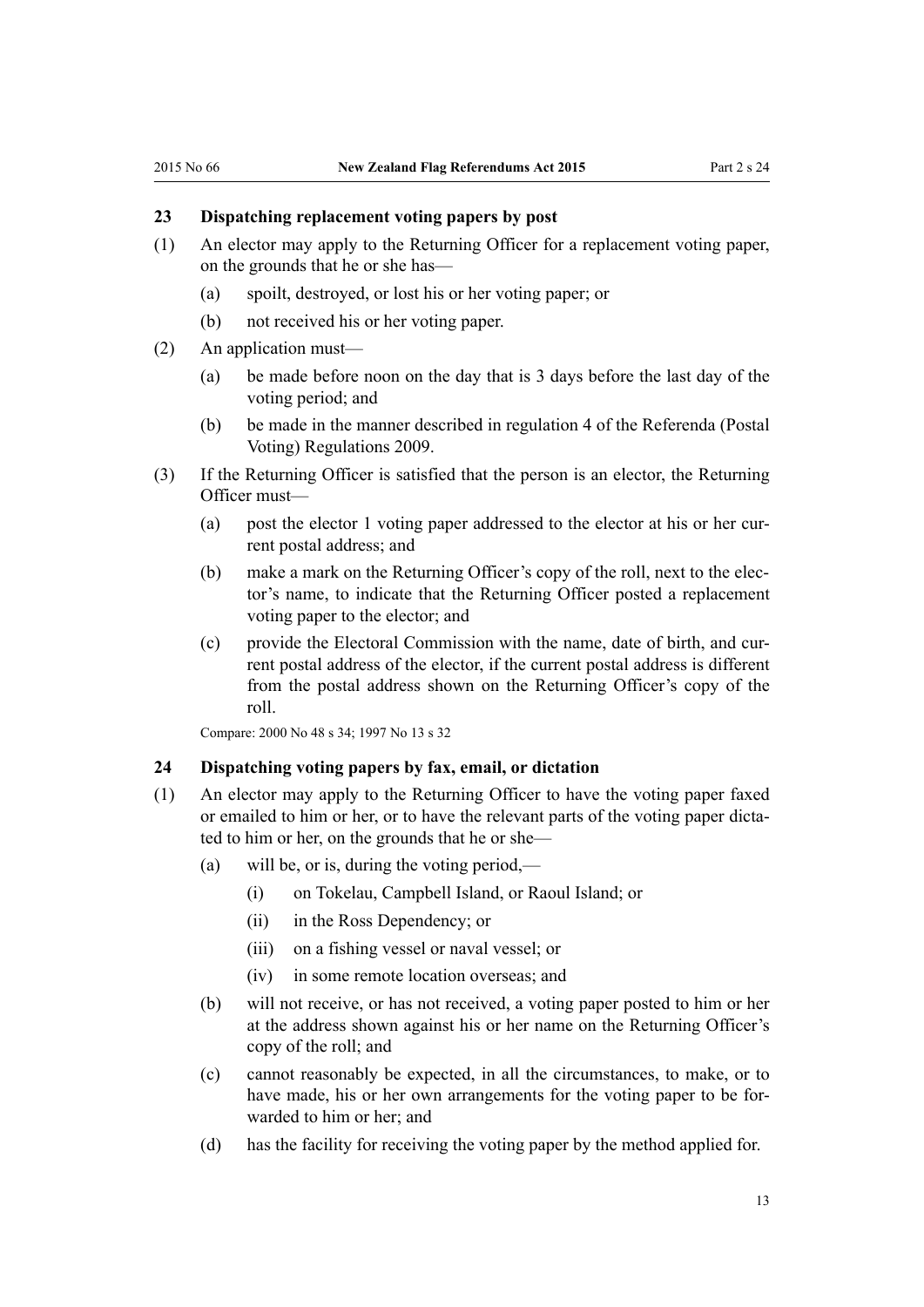#### <span id="page-12-0"></span>**23 Dispatching replacement voting papers by post**

- (1) An elector may apply to the Returning Officer for a replacement voting paper, on the grounds that he or she has—
	- (a) spoilt, destroyed, or lost his or her voting paper; or
	- (b) not received his or her voting paper.
- (2) An application must—
	- (a) be made before noon on the day that is 3 days before the last day of the voting period; and
	- (b) be made in the manner described in [regulation 4](http://prd-lgnz-nlb.prd.pco.net.nz/pdflink.aspx?id=DLM2094332) of the Referenda (Postal Voting) Regulations 2009.
- (3) If the Returning Officer is satisfied that the person is an elector, the Returning Officer must—
	- (a) post the elector 1 voting paper addressed to the elector at his or her current postal address; and
	- (b) make a mark on the Returning Officer's copy of the roll, next to the elector's name, to indicate that the Returning Officer posted a replacement voting paper to the elector; and
	- (c) provide the Electoral Commission with the name, date of birth, and current postal address of the elector, if the current postal address is different from the postal address shown on the Returning Officer's copy of the roll.

Compare: 2000 No 48 [s 34](http://prd-lgnz-nlb.prd.pco.net.nz/pdflink.aspx?id=DLM74608); 1997 No 13 [s 32](http://prd-lgnz-nlb.prd.pco.net.nz/pdflink.aspx?id=DLM408682)

#### **24 Dispatching voting papers by fax, email, or dictation**

- (1) An elector may apply to the Returning Officer to have the voting paper faxed or emailed to him or her, or to have the relevant parts of the voting paper dictated to him or her, on the grounds that he or she—
	- (a) will be, or is, during the voting period,—
		- (i) on Tokelau, Campbell Island, or Raoul Island; or
		- (ii) in the Ross Dependency; or
		- (iii) on a fishing vessel or naval vessel; or
		- (iv) in some remote location overseas; and
	- (b) will not receive, or has not received, a voting paper posted to him or her at the address shown against his or her name on the Returning Officer's copy of the roll; and
	- (c) cannot reasonably be expected, in all the circumstances, to make, or to have made, his or her own arrangements for the voting paper to be forwarded to him or her; and
	- (d) has the facility for receiving the voting paper by the method applied for.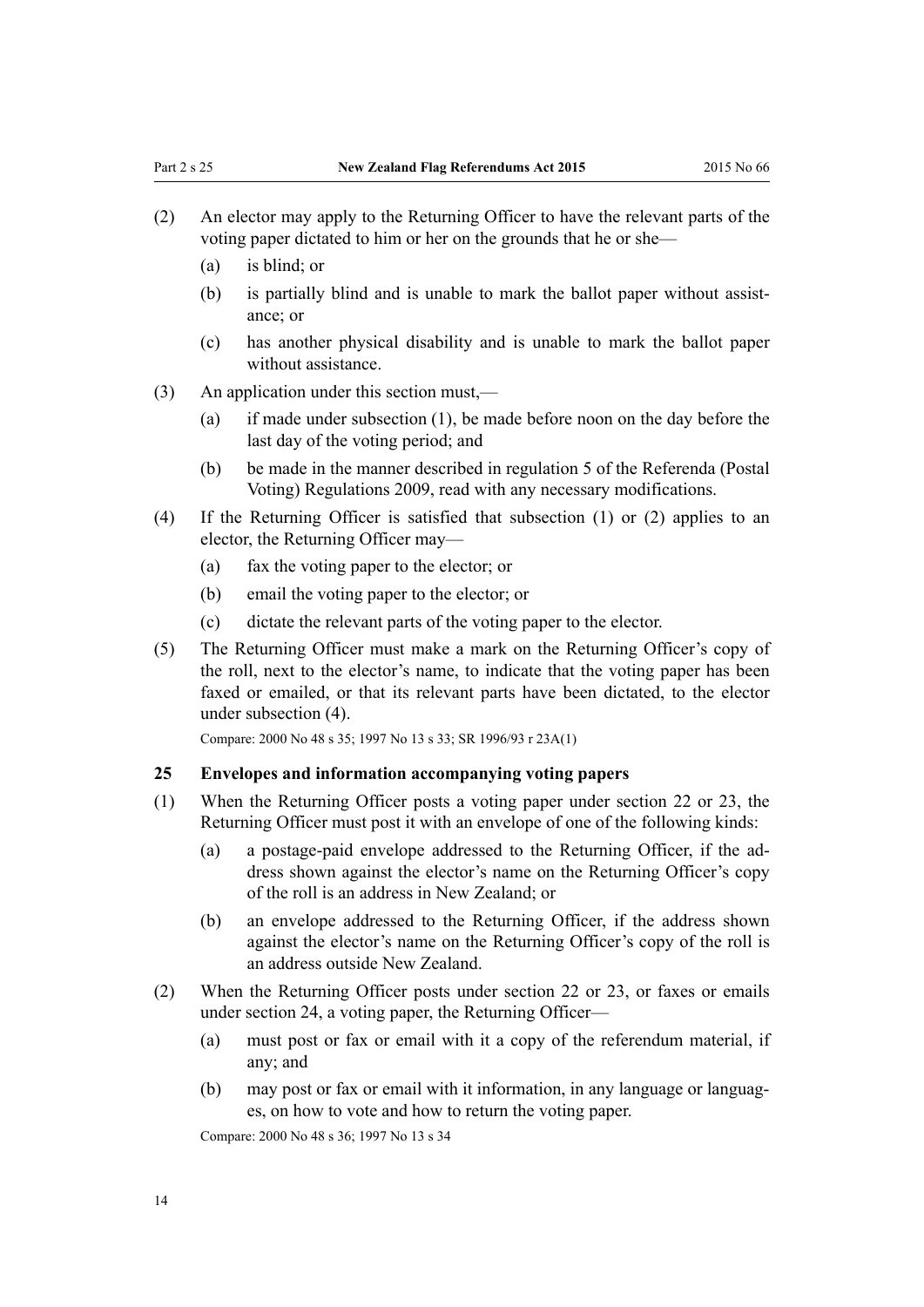- <span id="page-13-0"></span>(2) An elector may apply to the Returning Officer to have the relevant parts of the voting paper dictated to him or her on the grounds that he or she—
	- $(a)$  is blind; or
	- (b) is partially blind and is unable to mark the ballot paper without assistance; or
	- (c) has another physical disability and is unable to mark the ballot paper without assistance.
- (3) An application under this section must,—
	- (a) if made under subsection (1), be made before noon on the day before the last day of the voting period; and
	- (b) be made in the manner described in [regulation 5](http://prd-lgnz-nlb.prd.pco.net.nz/pdflink.aspx?id=DLM2094333) of the Referenda (Postal Voting) Regulations 2009, read with any necessary modifications.
- (4) If the Returning Officer is satisfied that subsection (1) or (2) applies to an elector, the Returning Officer may—
	- (a) fax the voting paper to the elector; or
	- (b) email the voting paper to the elector; or
	- (c) dictate the relevant parts of the voting paper to the elector.
- (5) The Returning Officer must make a mark on the Returning Officer's copy of the roll, next to the elector's name, to indicate that the voting paper has been faxed or emailed, or that its relevant parts have been dictated, to the elector under subsection (4).

Compare: 2000 No 48 [s 35](http://prd-lgnz-nlb.prd.pco.net.nz/pdflink.aspx?id=DLM74609); 1997 No 13 [s 33;](http://prd-lgnz-nlb.prd.pco.net.nz/pdflink.aspx?id=DLM408683) SR 1996/93 [r 23A\(1\)](http://prd-lgnz-nlb.prd.pco.net.nz/pdflink.aspx?id=DLM6141803)

#### **25 Envelopes and information accompanying voting papers**

- (1) When the Returning Officer posts a voting paper under [section 22](#page-11-0) or [23,](#page-12-0) the Returning Officer must post it with an envelope of one of the following kinds:
	- (a) a postage-paid envelope addressed to the Returning Officer, if the address shown against the elector's name on the Returning Officer's copy of the roll is an address in New Zealand; or
	- (b) an envelope addressed to the Returning Officer, if the address shown against the elector's name on the Returning Officer's copy of the roll is an address outside New Zealand.
- (2) When the Returning Officer posts under [section 22](#page-11-0) or 23, or faxes or emails under section 24, a voting paper, the Returning Officer—
	- (a) must post or fax or email with it a copy of the referendum material, if any; and
	- (b) may post or fax or email with it information, in any language or languages, on how to vote and how to return the voting paper.

Compare: 2000 No 48 [s 36](http://prd-lgnz-nlb.prd.pco.net.nz/pdflink.aspx?id=DLM74610); 1997 No 13 [s 34](http://prd-lgnz-nlb.prd.pco.net.nz/pdflink.aspx?id=DLM408684)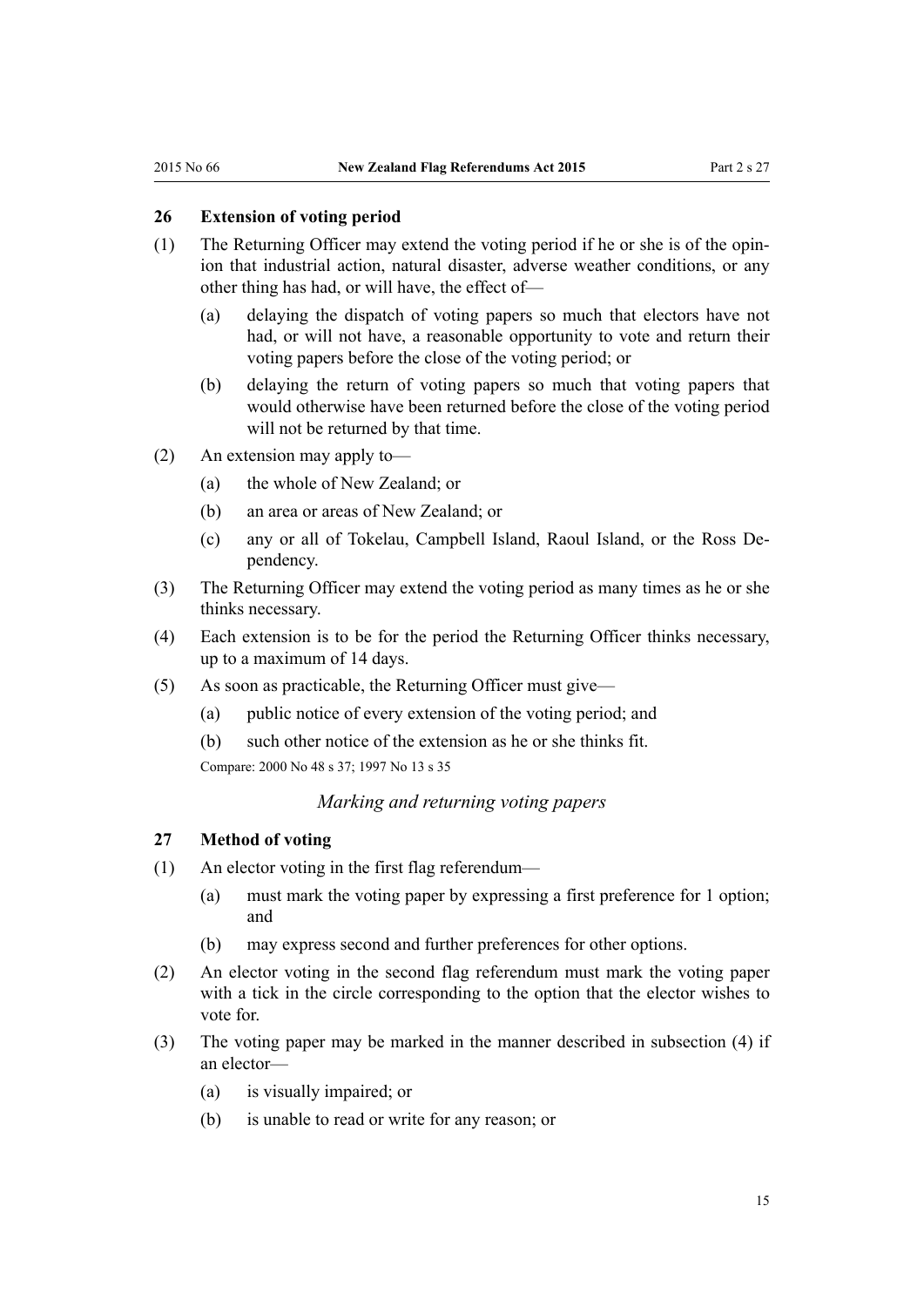# <span id="page-14-0"></span>**26 Extension of voting period**

- (1) The Returning Officer may extend the voting period if he or she is of the opinion that industrial action, natural disaster, adverse weather conditions, or any other thing has had, or will have, the effect of—
	- (a) delaying the dispatch of voting papers so much that electors have not had, or will not have, a reasonable opportunity to vote and return their voting papers before the close of the voting period; or
	- (b) delaying the return of voting papers so much that voting papers that would otherwise have been returned before the close of the voting period will not be returned by that time.
- (2) An extension may apply to—
	- (a) the whole of New Zealand; or
	- (b) an area or areas of New Zealand; or
	- (c) any or all of Tokelau, Campbell Island, Raoul Island, or the Ross Dependency.
- (3) The Returning Officer may extend the voting period as many times as he or she thinks necessary.
- (4) Each extension is to be for the period the Returning Officer thinks necessary, up to a maximum of 14 days.
- (5) As soon as practicable, the Returning Officer must give—
	- (a) public notice of every extension of the voting period; and
	- (b) such other notice of the extension as he or she thinks fit.

Compare: 2000 No 48 [s 37](http://prd-lgnz-nlb.prd.pco.net.nz/pdflink.aspx?id=DLM74611); 1997 No 13 [s 35](http://prd-lgnz-nlb.prd.pco.net.nz/pdflink.aspx?id=DLM408685)

#### *Marking and returning voting papers*

#### **27 Method of voting**

- (1) An elector voting in the first flag referendum—
	- (a) must mark the voting paper by expressing a first preference for 1 option; and
	- (b) may express second and further preferences for other options.
- (2) An elector voting in the second flag referendum must mark the voting paper with a tick in the circle corresponding to the option that the elector wishes to vote for.
- (3) The voting paper may be marked in the manner described in subsection (4) if an elector—
	- (a) is visually impaired; or
	- (b) is unable to read or write for any reason; or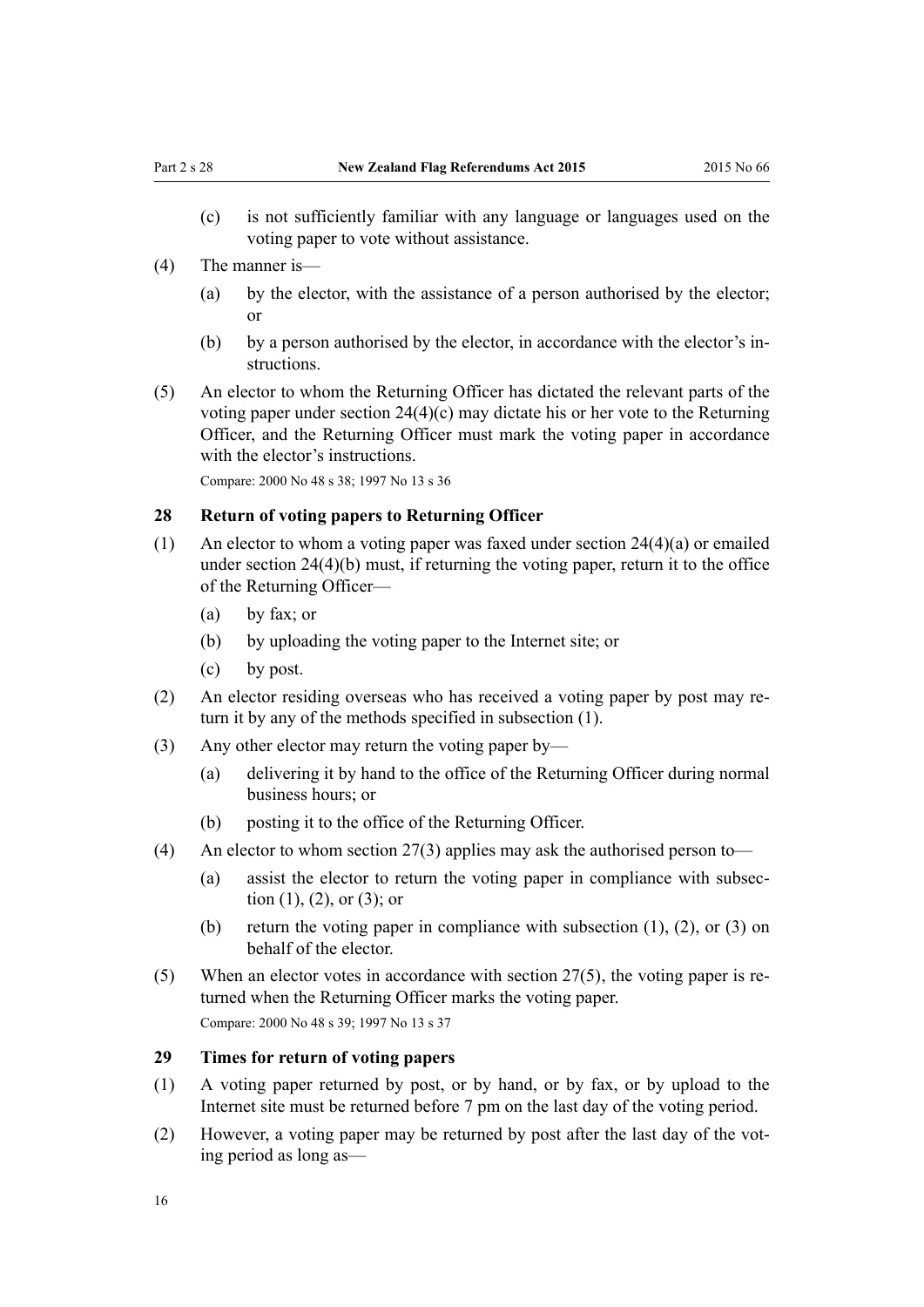- <span id="page-15-0"></span>(c) is not sufficiently familiar with any language or languages used on the voting paper to vote without assistance.
- (4) The manner is—
	- (a) by the elector, with the assistance of a person authorised by the elector; or
	- (b) by a person authorised by the elector, in accordance with the elector's instructions.
- (5) An elector to whom the Returning Officer has dictated the relevant parts of the voting paper under [section 24\(4\)\(c\)](#page-12-0) may dictate his or her vote to the Returning Officer, and the Returning Officer must mark the voting paper in accordance with the elector's instructions.

Compare: 2000 No 48 [s 38](http://prd-lgnz-nlb.prd.pco.net.nz/pdflink.aspx?id=DLM74613); 1997 No 13 [s 36](http://prd-lgnz-nlb.prd.pco.net.nz/pdflink.aspx?id=DLM408687)

#### **28 Return of voting papers to Returning Officer**

- (1) An elector to whom a voting paper was faxed under section  $24(4)(a)$  or emailed under section 24(4)(b) must, if returning the voting paper, return it to the office of the Returning Officer—
	- (a) by fax; or
	- (b) by uploading the voting paper to the Internet site; or
	- (c) by post.
- (2) An elector residing overseas who has received a voting paper by post may return it by any of the methods specified in subsection (1).
- (3) Any other elector may return the voting paper by—
	- (a) delivering it by hand to the office of the Returning Officer during normal business hours; or
	- (b) posting it to the office of the Returning Officer.
- (4) An elector to whom [section 27\(3\)](#page-14-0) applies may ask the authorised person to—
	- (a) assist the elector to return the voting paper in compliance with subsection  $(1)$ ,  $(2)$ , or  $(3)$ ; or
	- (b) return the voting paper in compliance with subsection  $(1)$ ,  $(2)$ , or  $(3)$  on behalf of the elector.
- (5) When an elector votes in accordance with [section 27\(5\),](#page-14-0) the voting paper is returned when the Returning Officer marks the voting paper. Compare: 2000 No 48 [s 39](http://prd-lgnz-nlb.prd.pco.net.nz/pdflink.aspx?id=DLM74614); 1997 No 13 [s 37](http://prd-lgnz-nlb.prd.pco.net.nz/pdflink.aspx?id=DLM408688)

#### **29 Times for return of voting papers**

- (1) A voting paper returned by post, or by hand, or by fax, or by upload to the Internet site must be returned before 7 pm on the last day of the voting period.
- (2) However, a voting paper may be returned by post after the last day of the voting period as long as—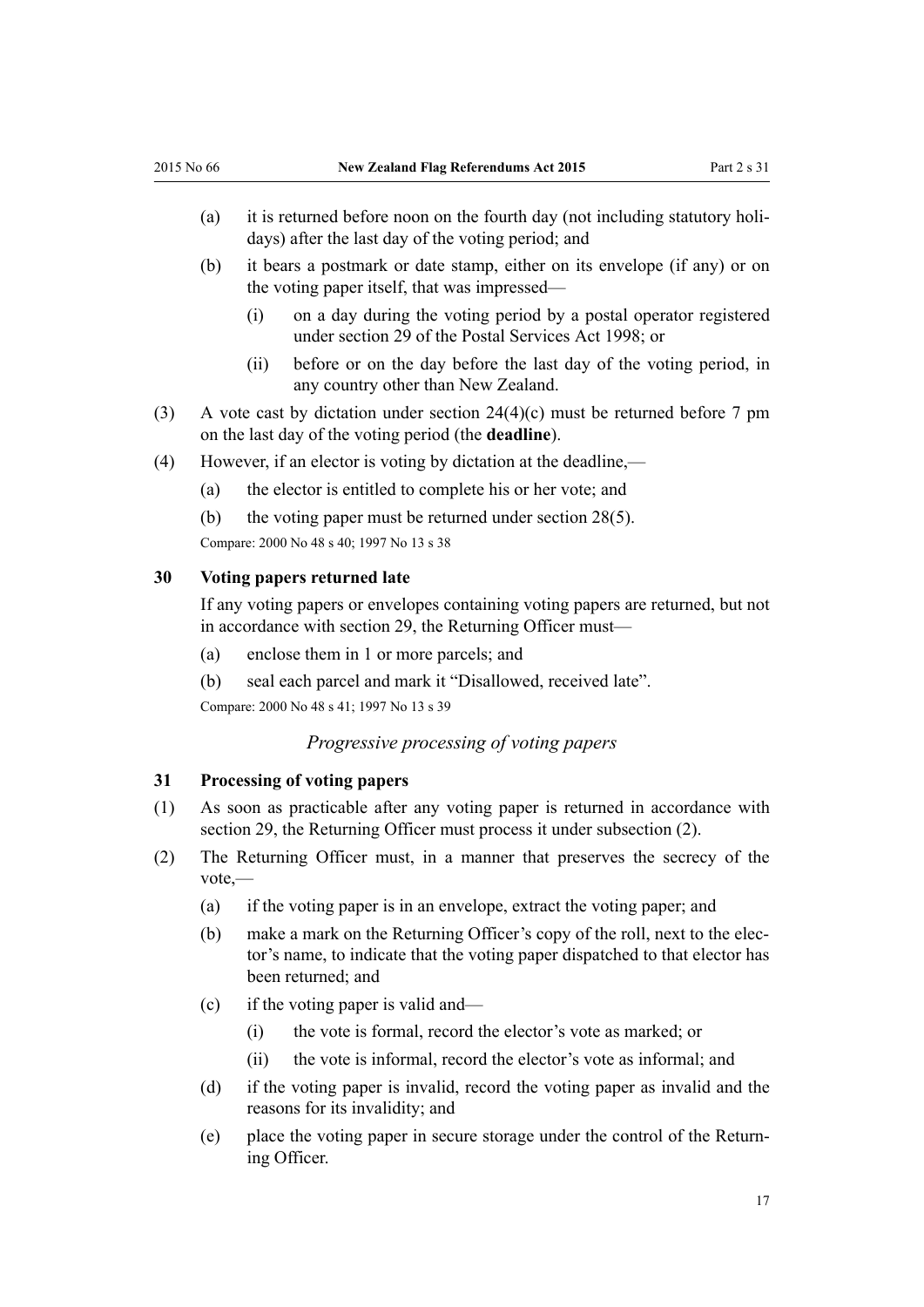- <span id="page-16-0"></span>(a) it is returned before noon on the fourth day (not including statutory holidays) after the last day of the voting period; and
- (b) it bears a postmark or date stamp, either on its envelope (if any) or on the voting paper itself, that was impressed—
	- (i) on a day during the voting period by a postal operator registered under [section 29](http://prd-lgnz-nlb.prd.pco.net.nz/pdflink.aspx?id=DLM423737) of the Postal Services Act 1998; or
	- (ii) before or on the day before the last day of the voting period, in any country other than New Zealand.
- (3) A vote cast by dictation under [section 24\(4\)\(c\)](#page-12-0) must be returned before 7 pm on the last day of the voting period (the **deadline**).
- (4) However, if an elector is voting by dictation at the deadline,—
	- (a) the elector is entitled to complete his or her vote; and
	- (b) the voting paper must be returned under [section 28\(5\)](#page-15-0).

Compare: 2000 No 48 [s 40](http://prd-lgnz-nlb.prd.pco.net.nz/pdflink.aspx?id=DLM74615); 1997 No 13 [s 38](http://prd-lgnz-nlb.prd.pco.net.nz/pdflink.aspx?id=DLM408689)

#### **30 Voting papers returned late**

If any voting papers or envelopes containing voting papers are returned, but not in accordance with [section 29,](#page-15-0) the Returning Officer must—

- (a) enclose them in 1 or more parcels; and
- (b) seal each parcel and mark it "Disallowed, received late".

Compare: 2000 No 48 [s 41](http://prd-lgnz-nlb.prd.pco.net.nz/pdflink.aspx?id=DLM74616); 1997 No 13 [s 39](http://prd-lgnz-nlb.prd.pco.net.nz/pdflink.aspx?id=DLM408690)

#### *Progressive processing of voting papers*

#### **31 Processing of voting papers**

- (1) As soon as practicable after any voting paper is returned in accordance with [section 29](#page-15-0), the Returning Officer must process it under subsection (2).
- (2) The Returning Officer must, in a manner that preserves the secrecy of the vote,—
	- (a) if the voting paper is in an envelope, extract the voting paper; and
	- (b) make a mark on the Returning Officer's copy of the roll, next to the elector's name, to indicate that the voting paper dispatched to that elector has been returned; and
	- (c) if the voting paper is valid and—
		- (i) the vote is formal, record the elector's vote as marked; or
		- (ii) the vote is informal, record the elector's vote as informal; and
	- (d) if the voting paper is invalid, record the voting paper as invalid and the reasons for its invalidity; and
	- (e) place the voting paper in secure storage under the control of the Returning Officer.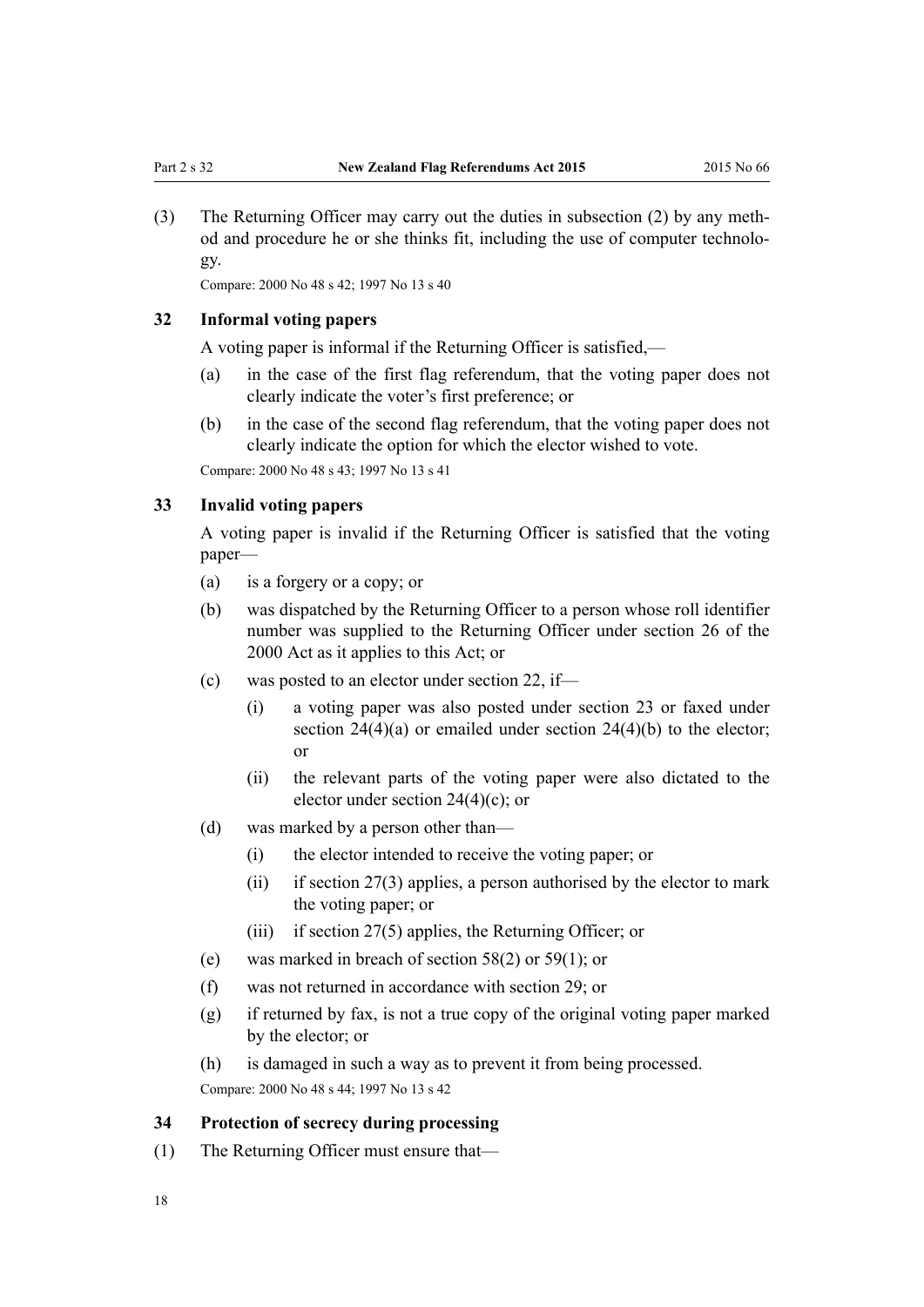<span id="page-17-0"></span>(3) The Returning Officer may carry out the duties in subsection (2) by any method and procedure he or she thinks fit, including the use of computer technology.

Compare: 2000 No 48 [s 42](http://prd-lgnz-nlb.prd.pco.net.nz/pdflink.aspx?id=DLM74618); 1997 No 13 [s 40](http://prd-lgnz-nlb.prd.pco.net.nz/pdflink.aspx?id=DLM408692)

### **32 Informal voting papers**

A voting paper is informal if the Returning Officer is satisfied,—

- (a) in the case of the first flag referendum, that the voting paper does not clearly indicate the voter's first preference; or
- (b) in the case of the second flag referendum, that the voting paper does not clearly indicate the option for which the elector wished to vote.

Compare: 2000 No 48 [s 43](http://prd-lgnz-nlb.prd.pco.net.nz/pdflink.aspx?id=DLM74619); 1997 No 13 [s 41](http://prd-lgnz-nlb.prd.pco.net.nz/pdflink.aspx?id=DLM408693)

#### **33 Invalid voting papers**

A voting paper is invalid if the Returning Officer is satisfied that the voting paper—

- (a) is a forgery or a copy; or
- (b) was dispatched by the Returning Officer to a person whose roll identifier number was supplied to the Returning Officer under [section 26](http://prd-lgnz-nlb.prd.pco.net.nz/pdflink.aspx?id=DLM74596) of the 2000 Act as it applies to this Act; or
- (c) was posted to an elector under [section 22,](#page-11-0) if—
	- (i) a voting paper was also posted under [section 23](#page-12-0) or faxed under section  $24(4)(a)$  or emailed under section  $24(4)(b)$  to the elector; or
	- (ii) the relevant parts of the voting paper were also dictated to the elector under [section 24\(4\)\(c\);](#page-12-0) or
- (d) was marked by a person other than—
	- (i) the elector intended to receive the voting paper; or
	- (ii) if section  $27(3)$  applies, a person authorised by the elector to mark the voting paper; or
	- (iii) if [section 27\(5\)](#page-14-0) applies, the Returning Officer; or
- (e) was marked in breach of [section 58\(2\)](#page-29-0) or [59\(1\);](#page-29-0) or
- (f) was not returned in accordance with [section 29](#page-15-0); or
- (g) if returned by fax, is not a true copy of the original voting paper marked by the elector; or
- (h) is damaged in such a way as to prevent it from being processed.

Compare: 2000 No 48 [s 44](http://prd-lgnz-nlb.prd.pco.net.nz/pdflink.aspx?id=DLM74620); 1997 No 13 [s 42](http://prd-lgnz-nlb.prd.pco.net.nz/pdflink.aspx?id=DLM408694)

#### **34 Protection of secrecy during processing**

(1) The Returning Officer must ensure that—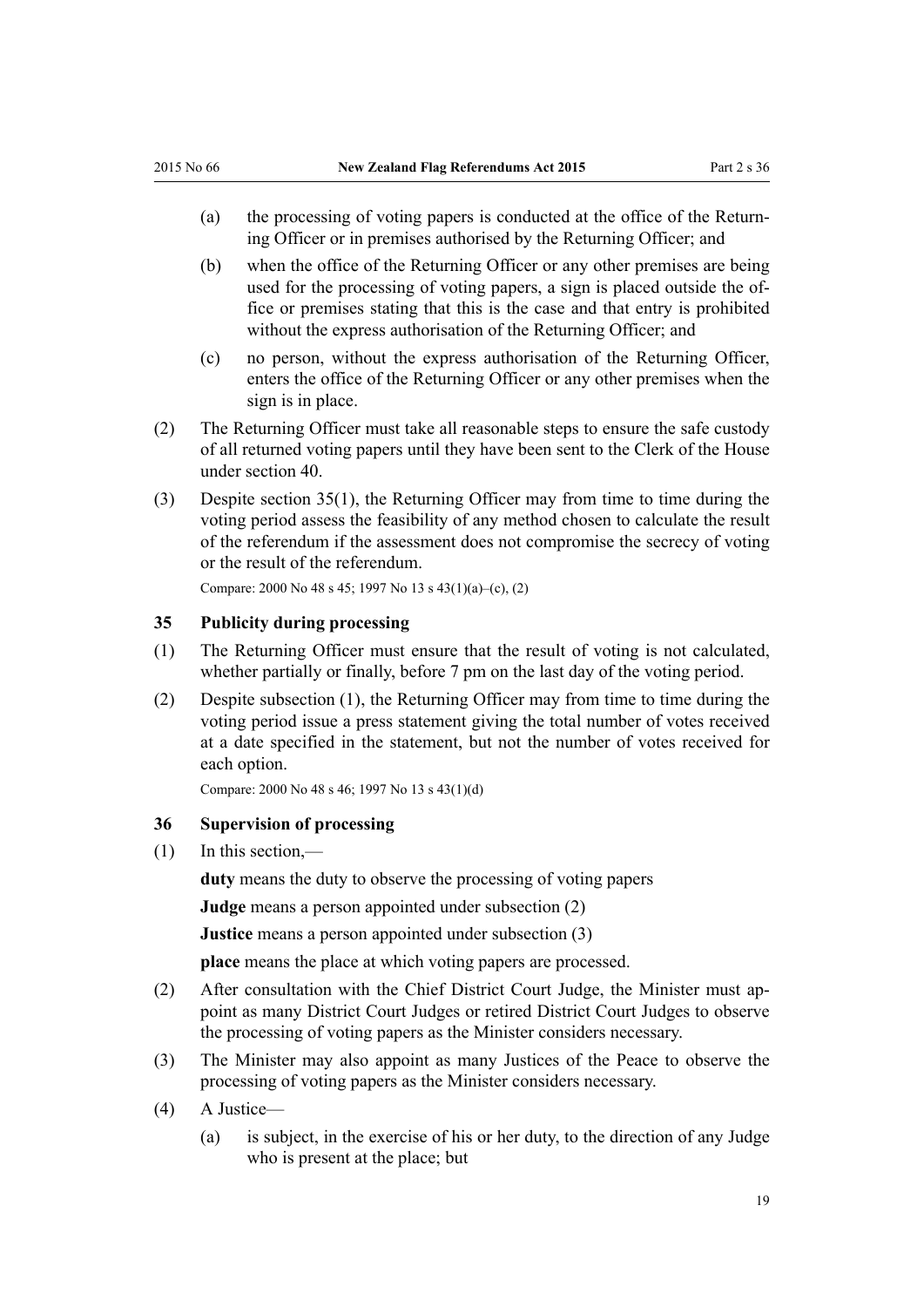- <span id="page-18-0"></span>(a) the processing of voting papers is conducted at the office of the Returning Officer or in premises authorised by the Returning Officer; and
- (b) when the office of the Returning Officer or any other premises are being used for the processing of voting papers, a sign is placed outside the office or premises stating that this is the case and that entry is prohibited without the express authorisation of the Returning Officer; and
- (c) no person, without the express authorisation of the Returning Officer, enters the office of the Returning Officer or any other premises when the sign is in place.
- (2) The Returning Officer must take all reasonable steps to ensure the safe custody of all returned voting papers until they have been sent to the Clerk of the House under [section 40](#page-21-0).
- (3) Despite section 35(1), the Returning Officer may from time to time during the voting period assess the feasibility of any method chosen to calculate the result of the referendum if the assessment does not compromise the secrecy of voting or the result of the referendum.

Compare: 2000 No 48 [s 45](http://prd-lgnz-nlb.prd.pco.net.nz/pdflink.aspx?id=DLM74621); 1997 No 13 [s 43\(1\)\(a\)–\(c\), \(2\)](http://prd-lgnz-nlb.prd.pco.net.nz/pdflink.aspx?id=DLM408695)

#### **35 Publicity during processing**

- (1) The Returning Officer must ensure that the result of voting is not calculated, whether partially or finally, before 7 pm on the last day of the voting period.
- (2) Despite subsection (1), the Returning Officer may from time to time during the voting period issue a press statement giving the total number of votes received at a date specified in the statement, but not the number of votes received for each option.

Compare: 2000 No 48 [s 46](http://prd-lgnz-nlb.prd.pco.net.nz/pdflink.aspx?id=DLM74622); 1997 No 13 [s 43\(1\)\(d\)](http://prd-lgnz-nlb.prd.pco.net.nz/pdflink.aspx?id=DLM408695)

#### **36 Supervision of processing**

(1) In this section,—

**duty** means the duty to observe the processing of voting papers

**Judge** means a person appointed under subsection (2)

**Justice** means a person appointed under subsection (3)

**place** means the place at which voting papers are processed.

- (2) After consultation with the Chief District Court Judge, the Minister must appoint as many District Court Judges or retired District Court Judges to observe the processing of voting papers as the Minister considers necessary.
- (3) The Minister may also appoint as many Justices of the Peace to observe the processing of voting papers as the Minister considers necessary.
- (4) A Justice—
	- (a) is subject, in the exercise of his or her duty, to the direction of any Judge who is present at the place; but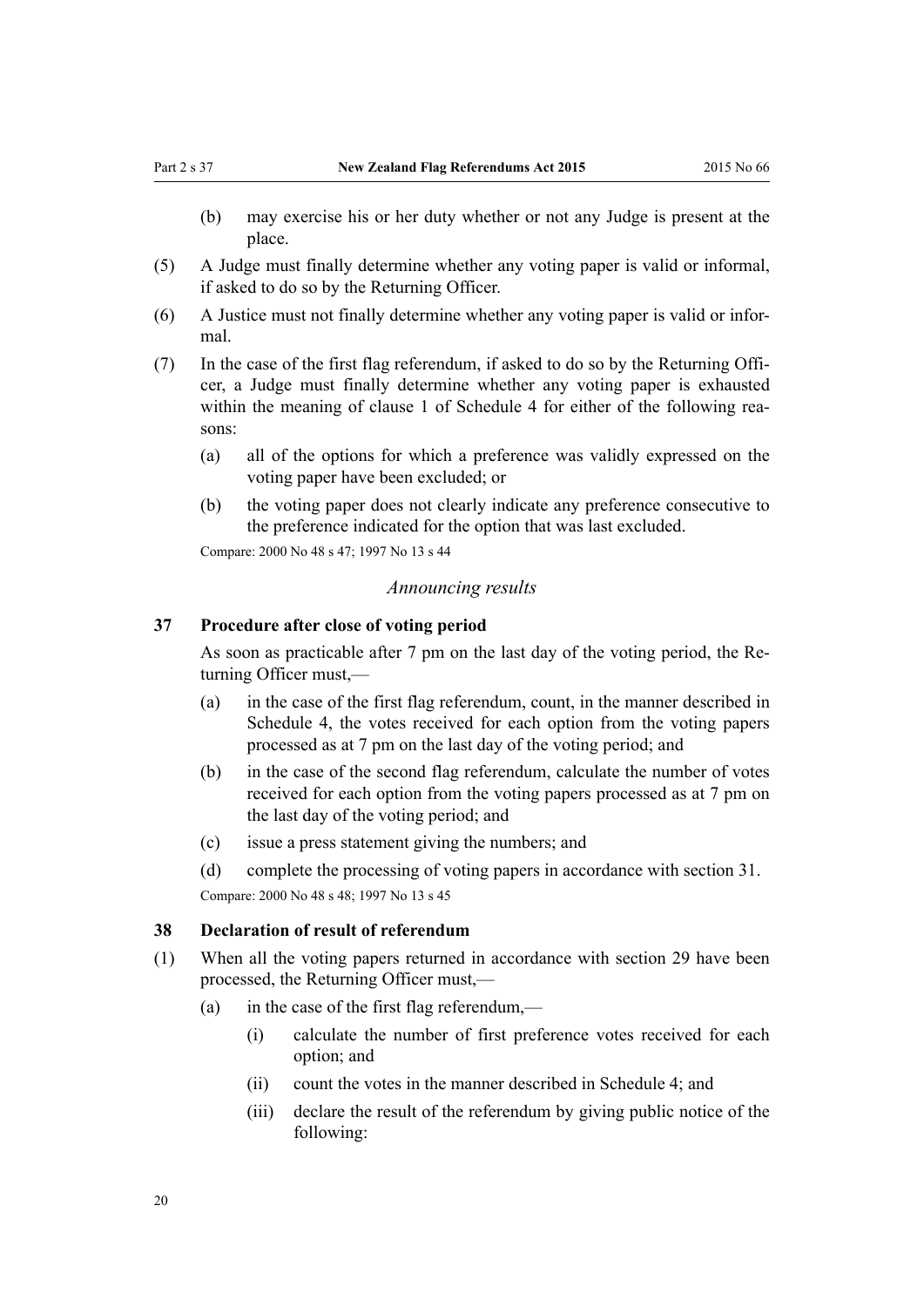- <span id="page-19-0"></span>(b) may exercise his or her duty whether or not any Judge is present at the place.
- (5) A Judge must finally determine whether any voting paper is valid or informal, if asked to do so by the Returning Officer.
- (6) A Justice must not finally determine whether any voting paper is valid or informal.
- (7) In the case of the first flag referendum, if asked to do so by the Returning Officer, a Judge must finally determine whether any voting paper is exhausted within the meaning of [clause 1](#page-45-0) of Schedule 4 for either of the following reasons:
	- (a) all of the options for which a preference was validly expressed on the voting paper have been excluded; or
	- (b) the voting paper does not clearly indicate any preference consecutive to the preference indicated for the option that was last excluded.

Compare: 2000 No 48 [s 47](http://prd-lgnz-nlb.prd.pco.net.nz/pdflink.aspx?id=DLM74623); 1997 No 13 [s 44](http://prd-lgnz-nlb.prd.pco.net.nz/pdflink.aspx?id=DLM408696)

#### *Announcing results*

#### **37 Procedure after close of voting period**

As soon as practicable after 7 pm on the last day of the voting period, the Returning Officer must,—

- (a) in the case of the first flag referendum, count, in the manner described in [Schedule 4,](#page-45-0) the votes received for each option from the voting papers processed as at 7 pm on the last day of the voting period; and
- (b) in the case of the second flag referendum, calculate the number of votes received for each option from the voting papers processed as at 7 pm on the last day of the voting period; and
- (c) issue a press statement giving the numbers; and
- (d) complete the processing of voting papers in accordance with [section 31](#page-16-0).

Compare: 2000 No 48 [s 48](http://prd-lgnz-nlb.prd.pco.net.nz/pdflink.aspx?id=DLM74633); 1997 No 13 [s 45](http://prd-lgnz-nlb.prd.pco.net.nz/pdflink.aspx?id=DLM408698)

#### **38 Declaration of result of referendum**

- (1) When all the voting papers returned in accordance with [section 29](#page-15-0) have been processed, the Returning Officer must,—
	- (a) in the case of the first flag referendum,—
		- (i) calculate the number of first preference votes received for each option; and
		- (ii) count the votes in the manner described in [Schedule 4](#page-45-0); and
		- (iii) declare the result of the referendum by giving public notice of the following: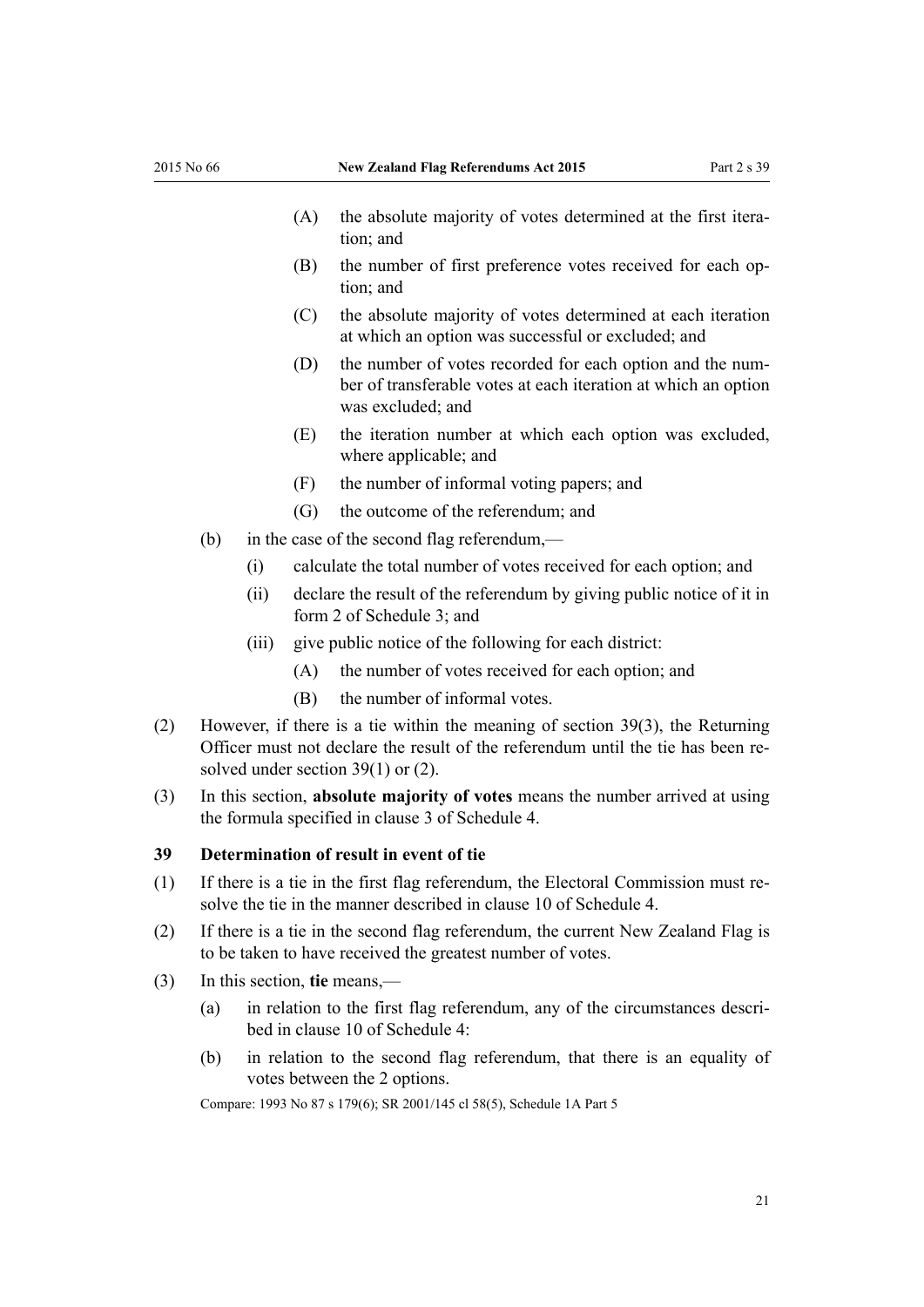- <span id="page-20-0"></span>(A) the absolute majority of votes determined at the first iteration; and
- (B) the number of first preference votes received for each option; and
- (C) the absolute majority of votes determined at each iteration at which an option was successful or excluded; and
- (D) the number of votes recorded for each option and the number of transferable votes at each iteration at which an option was excluded; and
- (E) the iteration number at which each option was excluded, where applicable; and
- (F) the number of informal voting papers; and
- (G) the outcome of the referendum; and
- (b) in the case of the second flag referendum,—
	- (i) calculate the total number of votes received for each option; and
	- (ii) declare the result of the referendum by giving public notice of it in [form 2](#page-41-0) of Schedule 3; and
	- (iii) give public notice of the following for each district:
		- (A) the number of votes received for each option; and
		- (B) the number of informal votes.
- (2) However, if there is a tie within the meaning of section 39(3), the Returning Officer must not declare the result of the referendum until the tie has been resolved under section 39(1) or (2).
- (3) In this section, **absolute majority of votes** means the number arrived at using the formula specified in [clause 3](#page-45-0) of Schedule 4.

#### **39 Determination of result in event of tie**

- (1) If there is a tie in the first flag referendum, the Electoral Commission must resolve the tie in the manner described in [clause 10](#page-46-0) of Schedule 4.
- (2) If there is a tie in the second flag referendum, the current New Zealand Flag is to be taken to have received the greatest number of votes.
- (3) In this section, **tie** means,—
	- (a) in relation to the first flag referendum, any of the circumstances described in [clause 10](#page-46-0) of Schedule 4:
	- (b) in relation to the second flag referendum, that there is an equality of votes between the 2 options.

Compare: 1993 No 87 [s 179\(6\)](http://prd-lgnz-nlb.prd.pco.net.nz/pdflink.aspx?id=DLM309893); SR 2001/145 [cl 58\(5\),](http://prd-lgnz-nlb.prd.pco.net.nz/pdflink.aspx?id=DLM55663) [Schedule 1A](http://prd-lgnz-nlb.prd.pco.net.nz/pdflink.aspx?id=DLM57125) Part 5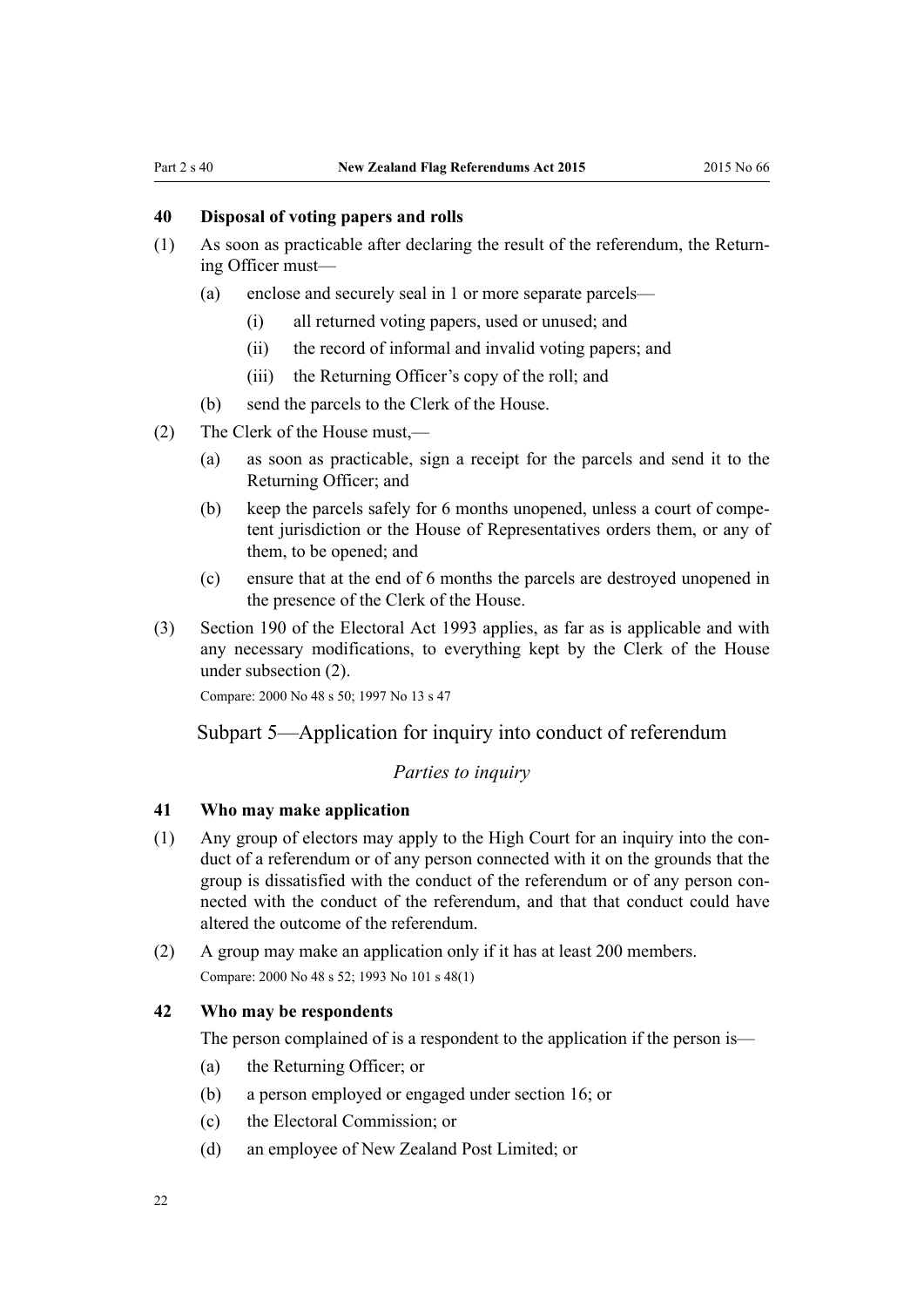#### <span id="page-21-0"></span>**40 Disposal of voting papers and rolls**

- (1) As soon as practicable after declaring the result of the referendum, the Returning Officer must—
	- (a) enclose and securely seal in 1 or more separate parcels—
		- (i) all returned voting papers, used or unused; and
		- (ii) the record of informal and invalid voting papers; and
		- (iii) the Returning Officer's copy of the roll; and
	- (b) send the parcels to the Clerk of the House.
- (2) The Clerk of the House must,—
	- (a) as soon as practicable, sign a receipt for the parcels and send it to the Returning Officer; and
	- (b) keep the parcels safely for 6 months unopened, unless a court of competent jurisdiction or the House of Representatives orders them, or any of them, to be opened; and
	- (c) ensure that at the end of 6 months the parcels are destroyed unopened in the presence of the Clerk of the House.
- (3) [Section 190](http://prd-lgnz-nlb.prd.pco.net.nz/pdflink.aspx?id=DLM310028) of the Electoral Act 1993 applies, as far as is applicable and with any necessary modifications, to everything kept by the Clerk of the House under subsection (2).

Compare: 2000 No 48 [s 50](http://prd-lgnz-nlb.prd.pco.net.nz/pdflink.aspx?id=DLM74635); 1997 No 13 [s 47](http://prd-lgnz-nlb.prd.pco.net.nz/pdflink.aspx?id=DLM408900)

#### Subpart 5—Application for inquiry into conduct of referendum

#### *Parties to inquiry*

#### **41 Who may make application**

- (1) Any group of electors may apply to the High Court for an inquiry into the conduct of a referendum or of any person connected with it on the grounds that the group is dissatisfied with the conduct of the referendum or of any person connected with the conduct of the referendum, and that that conduct could have altered the outcome of the referendum.
- (2) A group may make an application only if it has at least 200 members. Compare: 2000 No 48 [s 52](http://prd-lgnz-nlb.prd.pco.net.nz/pdflink.aspx?id=DLM74640); 1993 No 101 [s 48\(1\)](http://prd-lgnz-nlb.prd.pco.net.nz/pdflink.aspx?id=DLM318813)

#### **42 Who may be respondents**

The person complained of is a respondent to the application if the person is—

- (a) the Returning Officer; or
- (b) a person employed or engaged under [section 16;](#page-9-0) or
- (c) the Electoral Commission; or
- (d) an employee of New Zealand Post Limited; or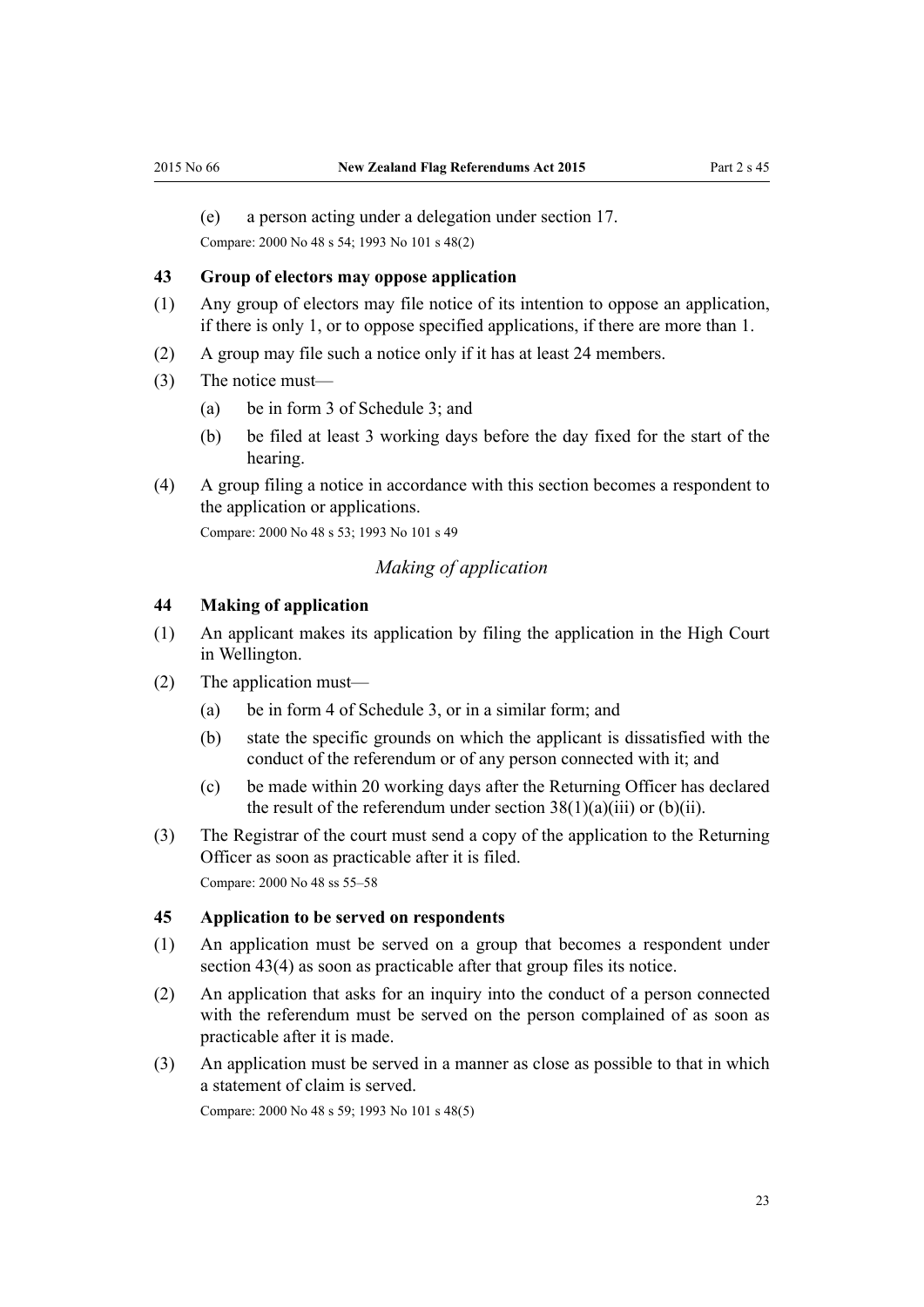<span id="page-22-0"></span>(e) a person acting under a delegation under [section 17.](#page-9-0)

Compare: 2000 No 48 [s 54](http://prd-lgnz-nlb.prd.pco.net.nz/pdflink.aspx?id=DLM74643); 1993 No 101 [s 48\(2\)](http://prd-lgnz-nlb.prd.pco.net.nz/pdflink.aspx?id=DLM318813)

#### **43 Group of electors may oppose application**

- (1) Any group of electors may file notice of its intention to oppose an application, if there is only 1, or to oppose specified applications, if there are more than 1.
- (2) A group may file such a notice only if it has at least 24 members.
- (3) The notice must—
	- (a) be in [form 3](#page-42-0) of Schedule 3; and
	- (b) be filed at least 3 working days before the day fixed for the start of the hearing.
- (4) A group filing a notice in accordance with this section becomes a respondent to the application or applications.

Compare: 2000 No 48 [s 53](http://prd-lgnz-nlb.prd.pco.net.nz/pdflink.aspx?id=DLM74642); 1993 No 101 [s 49](http://prd-lgnz-nlb.prd.pco.net.nz/pdflink.aspx?id=DLM318817)

#### *Making of application*

#### **44 Making of application**

- (1) An applicant makes its application by filing the application in the High Court in Wellington.
- (2) The application must—
	- (a) be in [form 4](#page-43-0) of Schedule 3, or in a similar form; and
	- (b) state the specific grounds on which the applicant is dissatisfied with the conduct of the referendum or of any person connected with it; and
	- (c) be made within 20 working days after the Returning Officer has declared the result of the referendum under section  $38(1)(a)(iii)$  or (b)(ii).
- (3) The Registrar of the court must send a copy of the application to the Returning Officer as soon as practicable after it is filed. Compare: 2000 No 48 [ss 55–58](http://prd-lgnz-nlb.prd.pco.net.nz/pdflink.aspx?id=DLM74645)

#### **45 Application to be served on respondents**

- (1) An application must be served on a group that becomes a respondent under section 43(4) as soon as practicable after that group files its notice.
- (2) An application that asks for an inquiry into the conduct of a person connected with the referendum must be served on the person complained of as soon as practicable after it is made.
- (3) An application must be served in a manner as close as possible to that in which a statement of claim is served.

Compare: 2000 No 48 [s 59](http://prd-lgnz-nlb.prd.pco.net.nz/pdflink.aspx?id=DLM74649); 1993 No 101 [s 48\(5\)](http://prd-lgnz-nlb.prd.pco.net.nz/pdflink.aspx?id=DLM74633)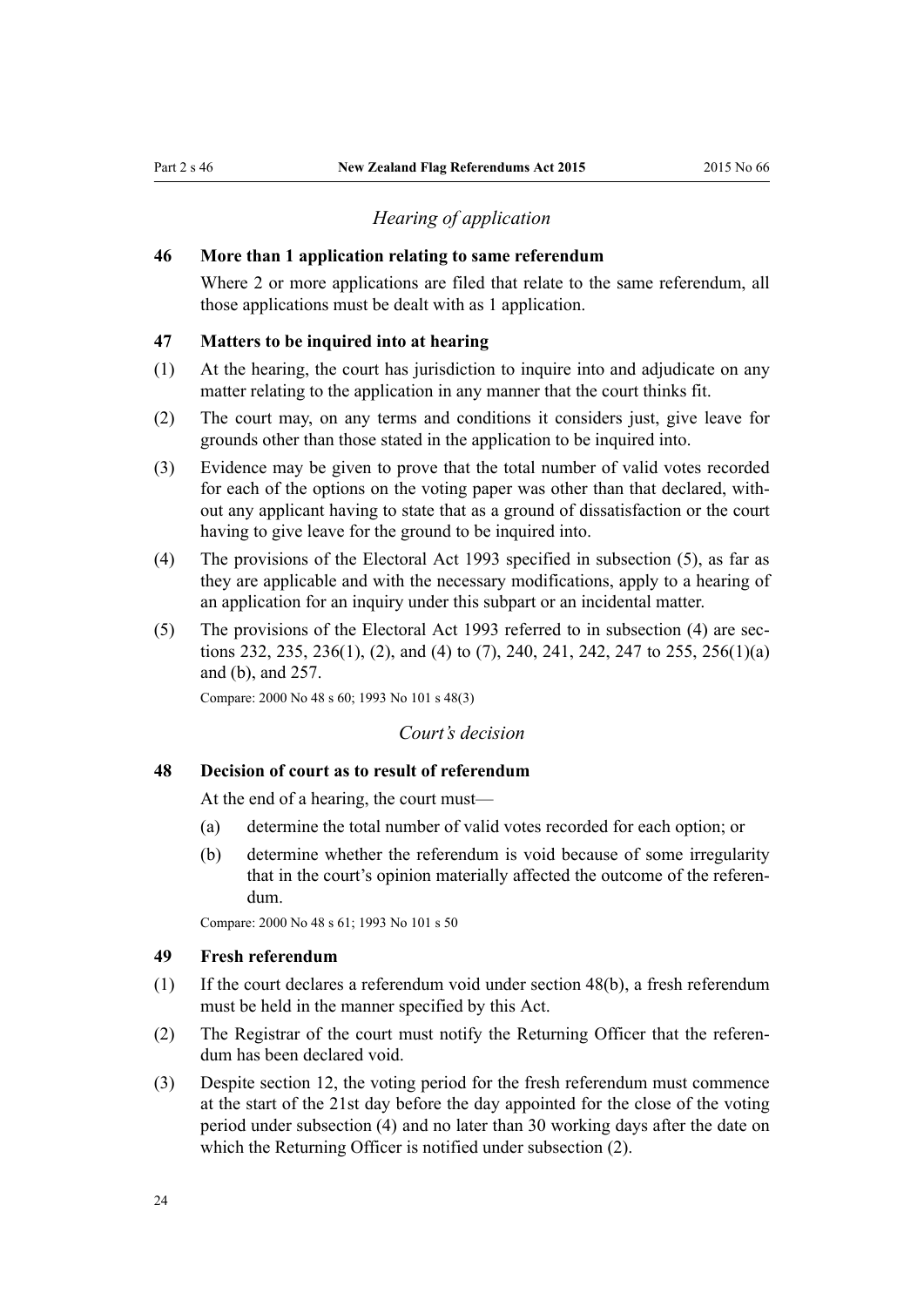#### *Hearing of application*

#### <span id="page-23-0"></span>**46 More than 1 application relating to same referendum**

Where 2 or more applications are filed that relate to the same referendum, all those applications must be dealt with as 1 application.

#### **47 Matters to be inquired into at hearing**

- (1) At the hearing, the court has jurisdiction to inquire into and adjudicate on any matter relating to the application in any manner that the court thinks fit.
- (2) The court may, on any terms and conditions it considers just, give leave for grounds other than those stated in the application to be inquired into.
- (3) Evidence may be given to prove that the total number of valid votes recorded for each of the options on the voting paper was other than that declared, without any applicant having to state that as a ground of dissatisfaction or the court having to give leave for the ground to be inquired into.
- (4) The provisions of the [Electoral Act 1993](http://prd-lgnz-nlb.prd.pco.net.nz/pdflink.aspx?id=DLM307518) specified in subsection (5), as far as they are applicable and with the necessary modifications, apply to a hearing of an application for an inquiry under this subpart or an incidental matter.
- (5) The provisions of the [Electoral Act 1993](http://prd-lgnz-nlb.prd.pco.net.nz/pdflink.aspx?id=DLM307518) referred to in subsection (4) are [sec](http://prd-lgnz-nlb.prd.pco.net.nz/pdflink.aspx?id=DLM310434)[tions 232](http://prd-lgnz-nlb.prd.pco.net.nz/pdflink.aspx?id=DLM310434), [235](http://prd-lgnz-nlb.prd.pco.net.nz/pdflink.aspx?id=DLM310438), [236\(1\), \(2\), and \(4\) to \(7\)](http://prd-lgnz-nlb.prd.pco.net.nz/pdflink.aspx?id=DLM310439), [240,](http://prd-lgnz-nlb.prd.pco.net.nz/pdflink.aspx?id=DLM310443) [241,](http://prd-lgnz-nlb.prd.pco.net.nz/pdflink.aspx?id=DLM310444) [242](http://prd-lgnz-nlb.prd.pco.net.nz/pdflink.aspx?id=DLM310445), [247 to 255](http://prd-lgnz-nlb.prd.pco.net.nz/pdflink.aspx?id=DLM310451), [256\(1\)\(a\)](http://prd-lgnz-nlb.prd.pco.net.nz/pdflink.aspx?id=DLM310463) [and \(b\)](http://prd-lgnz-nlb.prd.pco.net.nz/pdflink.aspx?id=DLM310463), and [257.](http://prd-lgnz-nlb.prd.pco.net.nz/pdflink.aspx?id=DLM310464)

Compare: 2000 No 48 [s 60](http://prd-lgnz-nlb.prd.pco.net.nz/pdflink.aspx?id=DLM74651); 1993 No 101 [s 48\(3\)](http://prd-lgnz-nlb.prd.pco.net.nz/pdflink.aspx?id=DLM318813)

#### *Court's decision*

#### **48 Decision of court as to result of referendum**

At the end of a hearing, the court must—

- (a) determine the total number of valid votes recorded for each option; or
- (b) determine whether the referendum is void because of some irregularity that in the court's opinion materially affected the outcome of the referendum.

Compare: 2000 No 48 [s 61](http://prd-lgnz-nlb.prd.pco.net.nz/pdflink.aspx?id=DLM74653); 1993 No 101 [s 50](http://prd-lgnz-nlb.prd.pco.net.nz/pdflink.aspx?id=DLM318819)

#### **49 Fresh referendum**

- (1) If the court declares a referendum void under section 48(b), a fresh referendum must be held in the manner specified by this Act.
- (2) The Registrar of the court must notify the Returning Officer that the referendum has been declared void.
- (3) Despite [section 12](#page-7-0), the voting period for the fresh referendum must commence at the start of the 21st day before the day appointed for the close of the voting period under subsection (4) and no later than 30 working days after the date on which the Returning Officer is notified under subsection (2).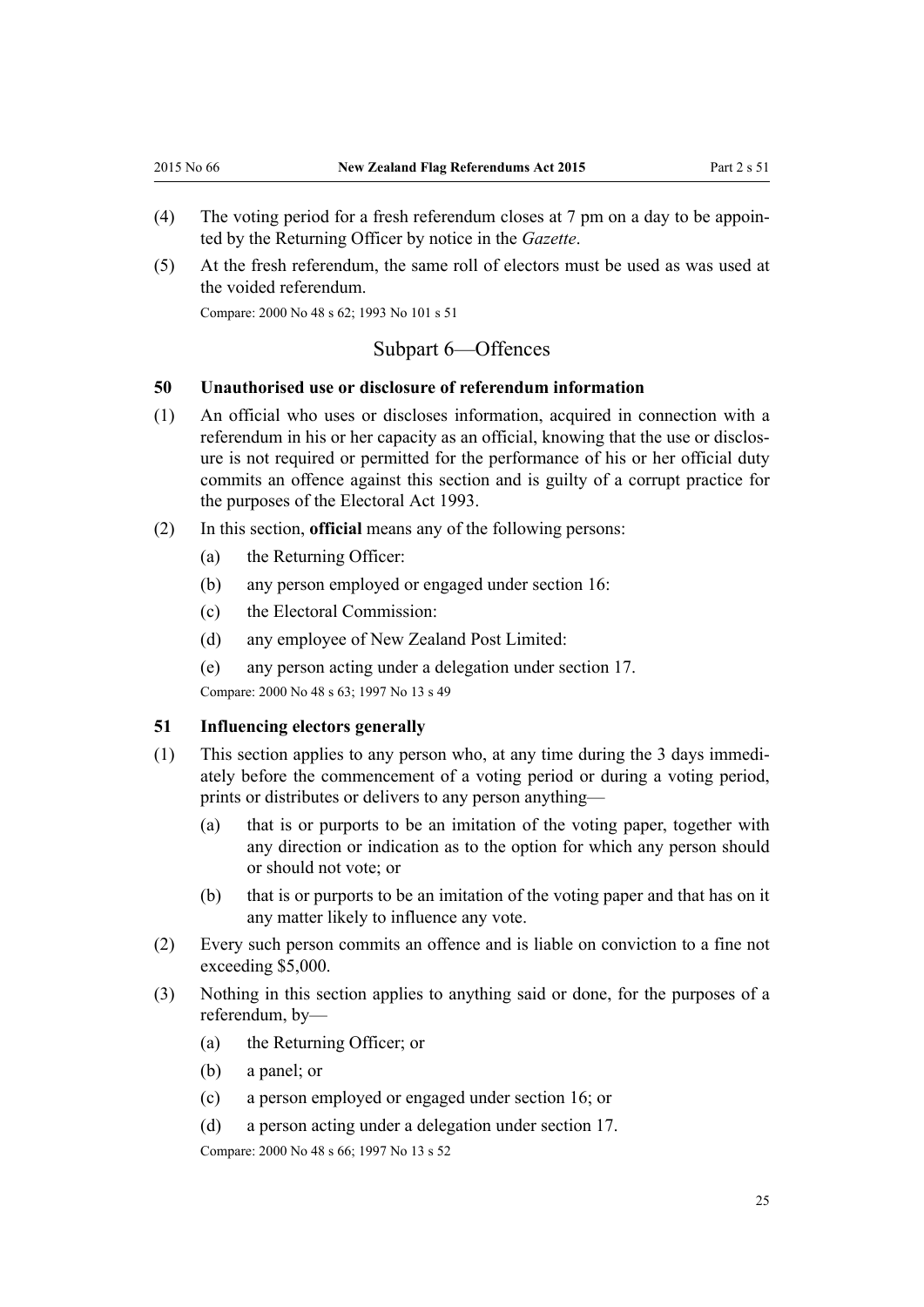- <span id="page-24-0"></span>(4) The voting period for a fresh referendum closes at 7 pm on a day to be appointed by the Returning Officer by notice in the *Gazette*.
- (5) At the fresh referendum, the same roll of electors must be used as was used at the voided referendum.

Compare: 2000 No 48 [s 62](http://prd-lgnz-nlb.prd.pco.net.nz/pdflink.aspx?id=DLM74654); 1993 No 101 [s 51](http://prd-lgnz-nlb.prd.pco.net.nz/pdflink.aspx?id=DLM318822)

#### Subpart 6—Offences

#### **50 Unauthorised use or disclosure of referendum information**

- (1) An official who uses or discloses information, acquired in connection with a referendum in his or her capacity as an official, knowing that the use or disclosure is not required or permitted for the performance of his or her official duty commits an offence against this section and is guilty of a corrupt practice for the purposes of the [Electoral Act 1993](http://prd-lgnz-nlb.prd.pco.net.nz/pdflink.aspx?id=DLM307518).
- (2) In this section, **official** means any of the following persons:
	- (a) the Returning Officer:
	- (b) any person employed or engaged under [section 16](#page-9-0):
	- (c) the Electoral Commission:
	- (d) any employee of New Zealand Post Limited:
	- (e) any person acting under a delegation under [section 17](#page-9-0).

Compare: 2000 No 48 [s 63](http://prd-lgnz-nlb.prd.pco.net.nz/pdflink.aspx?id=DLM74656); 1997 No 13 [s 49](http://prd-lgnz-nlb.prd.pco.net.nz/pdflink.aspx?id=DLM408905)

#### **51 Influencing electors generally**

- (1) This section applies to any person who, at any time during the 3 days immediately before the commencement of a voting period or during a voting period, prints or distributes or delivers to any person anything—
	- (a) that is or purports to be an imitation of the voting paper, together with any direction or indication as to the option for which any person should or should not vote; or
	- (b) that is or purports to be an imitation of the voting paper and that has on it any matter likely to influence any vote.
- (2) Every such person commits an offence and is liable on conviction to a fine not exceeding \$5,000.
- (3) Nothing in this section applies to anything said or done, for the purposes of a referendum, by—
	- (a) the Returning Officer; or
	- (b) a panel; or
	- (c) a person employed or engaged under [section 16;](#page-9-0) or
	- (d) a person acting under a delegation under [section 17.](#page-9-0)

Compare: 2000 No 48 [s 66](http://prd-lgnz-nlb.prd.pco.net.nz/pdflink.aspx?id=DLM74659); 1997 No 13 [s 52](http://prd-lgnz-nlb.prd.pco.net.nz/pdflink.aspx?id=DLM408908)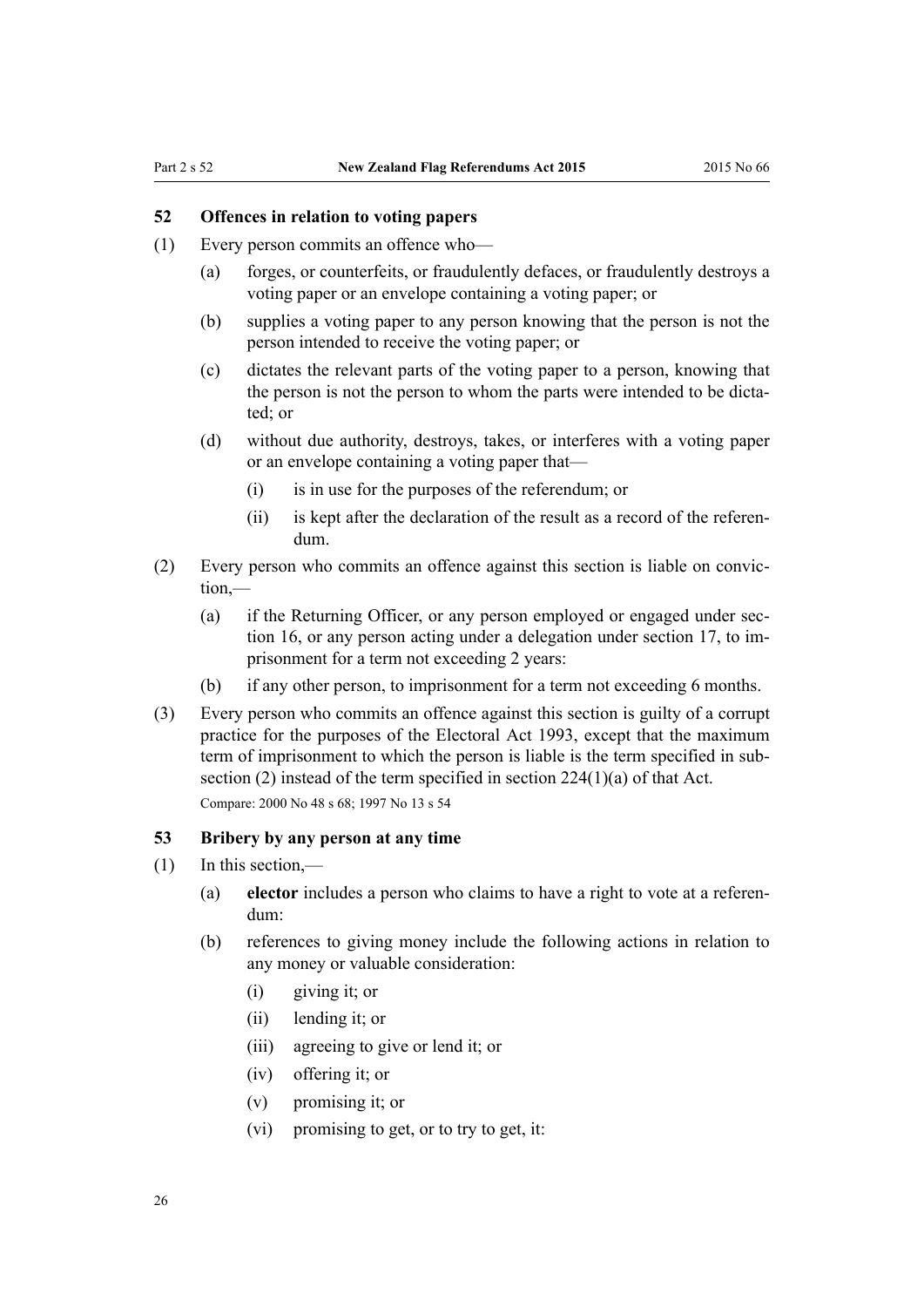#### <span id="page-25-0"></span>**52 Offences in relation to voting papers**

- (1) Every person commits an offence who—
	- (a) forges, or counterfeits, or fraudulently defaces, or fraudulently destroys a voting paper or an envelope containing a voting paper; or
	- (b) supplies a voting paper to any person knowing that the person is not the person intended to receive the voting paper; or
	- (c) dictates the relevant parts of the voting paper to a person, knowing that the person is not the person to whom the parts were intended to be dictated; or
	- (d) without due authority, destroys, takes, or interferes with a voting paper or an envelope containing a voting paper that—
		- (i) is in use for the purposes of the referendum; or
		- (ii) is kept after the declaration of the result as a record of the referendum.
- (2) Every person who commits an offence against this section is liable on conviction,—
	- (a) if the Returning Officer, or any person employed or engaged under [sec](#page-9-0)[tion 16,](#page-9-0) or any person acting under a delegation under section 17, to imprisonment for a term not exceeding 2 years:
	- (b) if any other person, to imprisonment for a term not exceeding 6 months.
- (3) Every person who commits an offence against this section is guilty of a corrupt practice for the purposes of the Electoral Act 1993, except that the maximum term of imprisonment to which the person is liable is the term specified in subsection (2) instead of the term specified in [section 224\(1\)\(a\)](http://prd-lgnz-nlb.prd.pco.net.nz/pdflink.aspx?id=DLM310419) of that Act. Compare: 2000 No 48 [s 68](http://prd-lgnz-nlb.prd.pco.net.nz/pdflink.aspx?id=DLM74661); 1997 No 13 [s 54](http://prd-lgnz-nlb.prd.pco.net.nz/pdflink.aspx?id=DLM408910)

#### **53 Bribery by any person at any time**

- (1) In this section,—
	- (a) **elector** includes a person who claims to have a right to vote at a referendum:
	- (b) references to giving money include the following actions in relation to any money or valuable consideration:
		- (i) giving it; or
		- (ii) lending it; or
		- (iii) agreeing to give or lend it; or
		- (iv) offering it; or
		- (v) promising it; or
		- (vi) promising to get, or to try to get, it: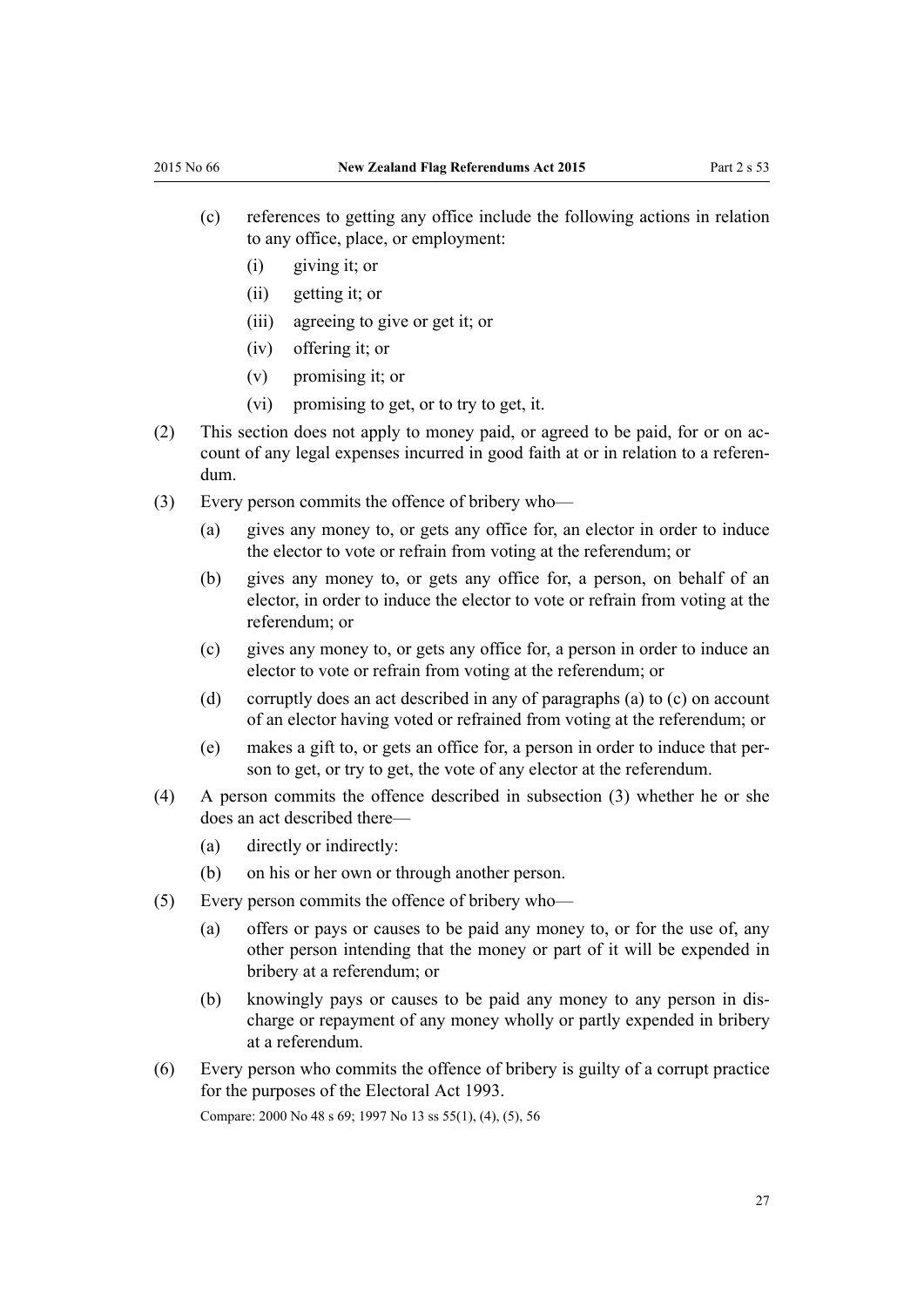- (c) references to getting any office include the following actions in relation to any office, place, or employment:
	- (i) giving it; or
	- (ii) getting it; or
	- (iii) agreeing to give or get it; or
	- (iv) offering it; or
	- (v) promising it; or
	- (vi) promising to get, or to try to get, it.
- (2) This section does not apply to money paid, or agreed to be paid, for or on account of any legal expenses incurred in good faith at or in relation to a referendum.
- (3) Every person commits the offence of bribery who—
	- (a) gives any money to, or gets any office for, an elector in order to induce the elector to vote or refrain from voting at the referendum; or
	- (b) gives any money to, or gets any office for, a person, on behalf of an elector, in order to induce the elector to vote or refrain from voting at the referendum; or
	- (c) gives any money to, or gets any office for, a person in order to induce an elector to vote or refrain from voting at the referendum; or
	- (d) corruptly does an act described in any of paragraphs (a) to (c) on account of an elector having voted or refrained from voting at the referendum; or
	- (e) makes a gift to, or gets an office for, a person in order to induce that person to get, or try to get, the vote of any elector at the referendum.
- (4) A person commits the offence described in subsection (3) whether he or she does an act described there—
	- (a) directly or indirectly:
	- (b) on his or her own or through another person.
- (5) Every person commits the offence of bribery who—
	- (a) offers or pays or causes to be paid any money to, or for the use of, any other person intending that the money or part of it will be expended in bribery at a referendum; or
	- (b) knowingly pays or causes to be paid any money to any person in discharge or repayment of any money wholly or partly expended in bribery at a referendum.
- (6) Every person who commits the offence of bribery is guilty of a corrupt practice for the purposes of the [Electoral Act 1993](http://prd-lgnz-nlb.prd.pco.net.nz/pdflink.aspx?id=DLM307518).

Compare: 2000 No 48 [s 69](http://prd-lgnz-nlb.prd.pco.net.nz/pdflink.aspx?id=DLM74662); 1997 No 13 [ss 55\(1\), \(4\), \(5\),](http://prd-lgnz-nlb.prd.pco.net.nz/pdflink.aspx?id=DLM408911) [56](http://prd-lgnz-nlb.prd.pco.net.nz/pdflink.aspx?id=DLM408912)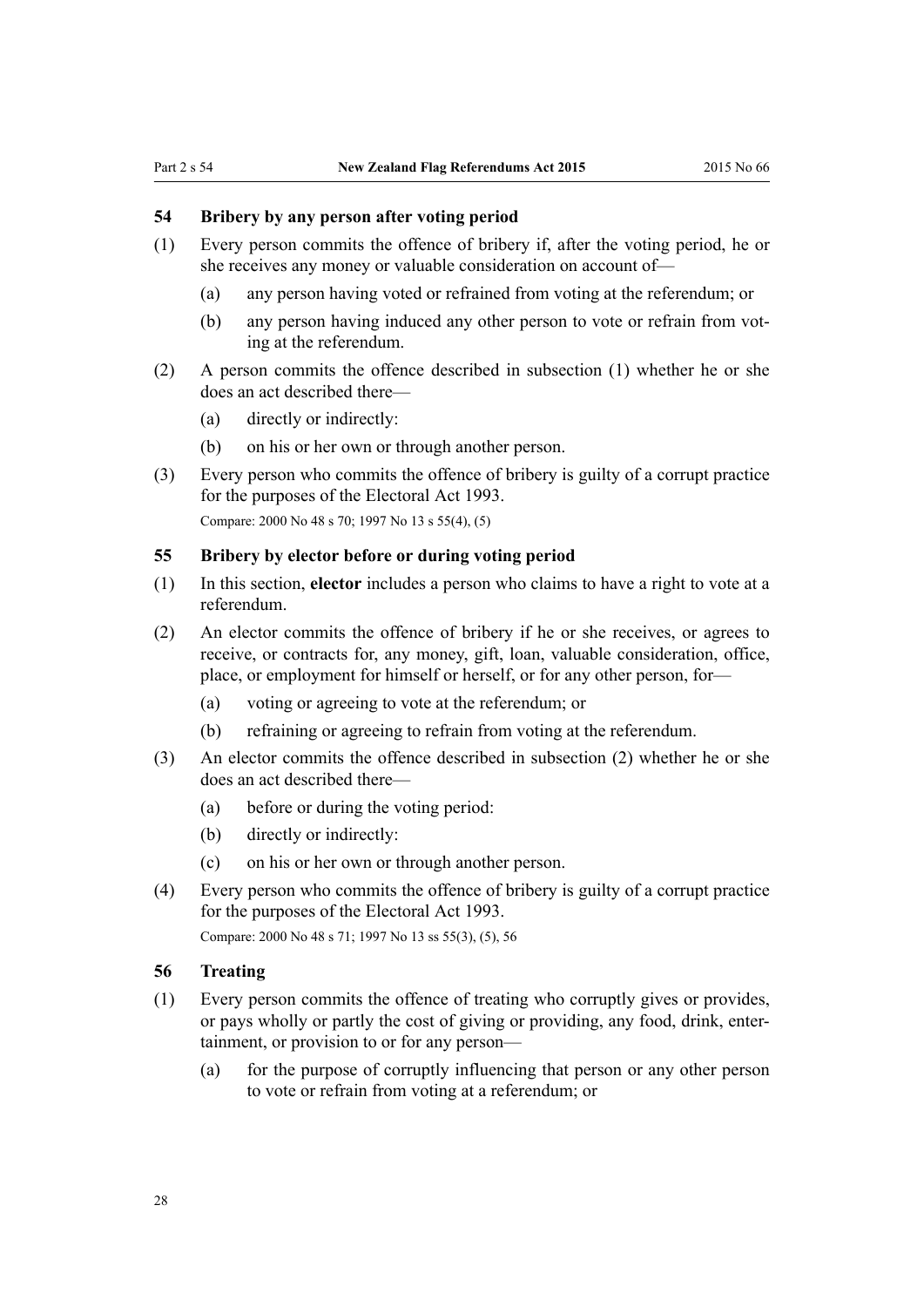#### <span id="page-27-0"></span>**54 Bribery by any person after voting period**

- (1) Every person commits the offence of bribery if, after the voting period, he or she receives any money or valuable consideration on account of—
	- (a) any person having voted or refrained from voting at the referendum; or
	- (b) any person having induced any other person to vote or refrain from voting at the referendum.
- (2) A person commits the offence described in subsection (1) whether he or she does an act described there—
	- (a) directly or indirectly:
	- (b) on his or her own or through another person.
- (3) Every person who commits the offence of bribery is guilty of a corrupt practice for the purposes of the [Electoral Act 1993](http://prd-lgnz-nlb.prd.pco.net.nz/pdflink.aspx?id=DLM307518).

Compare: 2000 No 48 [s 70](http://prd-lgnz-nlb.prd.pco.net.nz/pdflink.aspx?id=DLM74663); 1997 No 13 [s 55\(4\), \(5\)](http://prd-lgnz-nlb.prd.pco.net.nz/pdflink.aspx?id=DLM408911)

#### **55 Bribery by elector before or during voting period**

- (1) In this section, **elector** includes a person who claims to have a right to vote at a referendum.
- (2) An elector commits the offence of bribery if he or she receives, or agrees to receive, or contracts for, any money, gift, loan, valuable consideration, office, place, or employment for himself or herself, or for any other person, for—
	- (a) voting or agreeing to vote at the referendum; or
	- (b) refraining or agreeing to refrain from voting at the referendum.
- (3) An elector commits the offence described in subsection (2) whether he or she does an act described there—
	- (a) before or during the voting period:
	- (b) directly or indirectly:
	- (c) on his or her own or through another person.
- (4) Every person who commits the offence of bribery is guilty of a corrupt practice for the purposes of the [Electoral Act 1993](http://prd-lgnz-nlb.prd.pco.net.nz/pdflink.aspx?id=DLM307518).

Compare: 2000 No 48 [s 71](http://prd-lgnz-nlb.prd.pco.net.nz/pdflink.aspx?id=DLM74664); 1997 No 13 [ss 55\(3\), \(5\),](http://prd-lgnz-nlb.prd.pco.net.nz/pdflink.aspx?id=DLM408911) [56](http://prd-lgnz-nlb.prd.pco.net.nz/pdflink.aspx?id=DLM408912)

#### **56 Treating**

- (1) Every person commits the offence of treating who corruptly gives or provides, or pays wholly or partly the cost of giving or providing, any food, drink, entertainment, or provision to or for any person—
	- (a) for the purpose of corruptly influencing that person or any other person to vote or refrain from voting at a referendum; or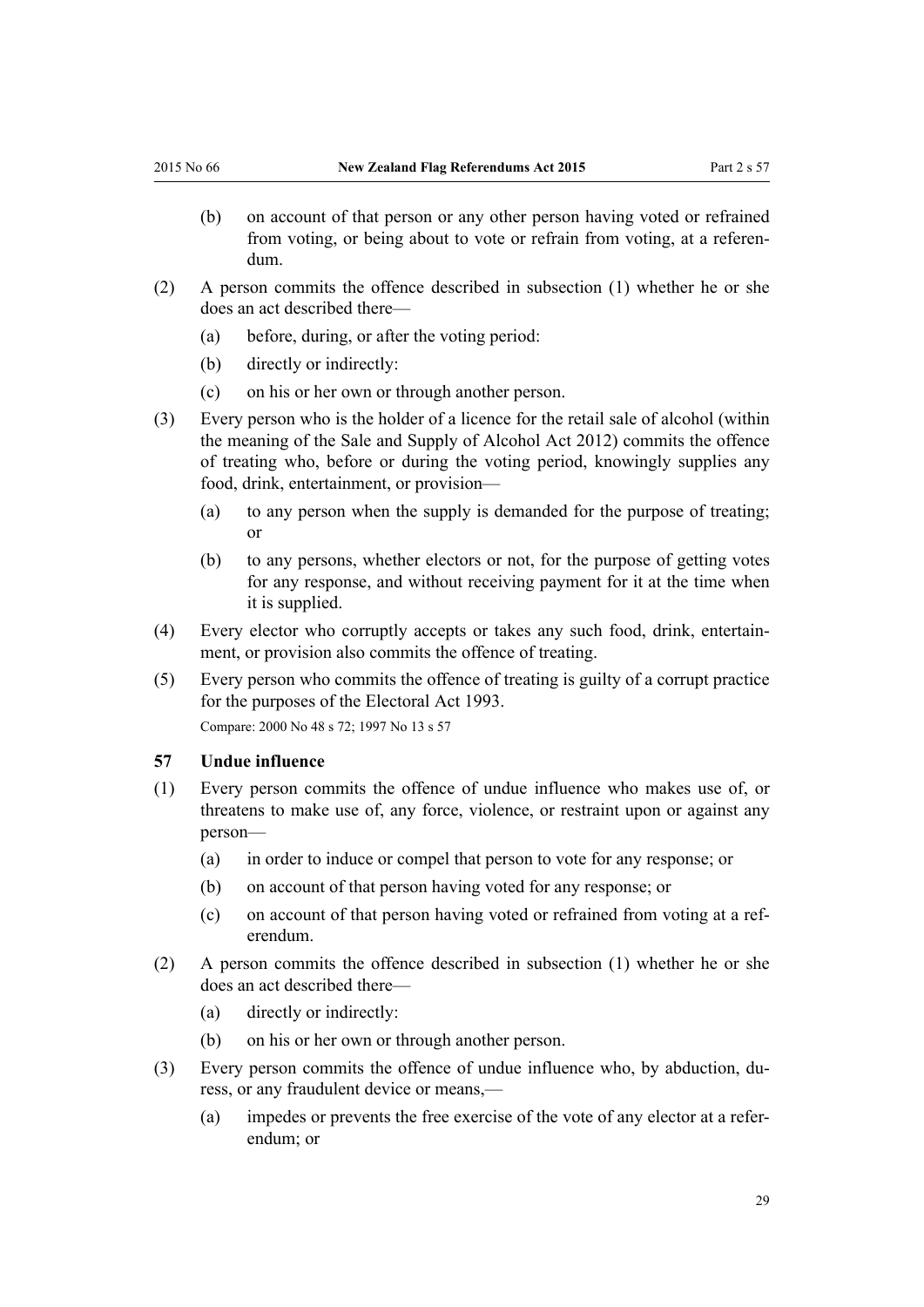- <span id="page-28-0"></span>(b) on account of that person or any other person having voted or refrained from voting, or being about to vote or refrain from voting, at a referendum.
- (2) A person commits the offence described in subsection (1) whether he or she does an act described there—
	- (a) before, during, or after the voting period:
	- (b) directly or indirectly:
	- (c) on his or her own or through another person.
- (3) Every person who is the holder of a licence for the retail sale of alcohol (within the meaning of the [Sale and Supply of Alcohol Act 2012](http://prd-lgnz-nlb.prd.pco.net.nz/pdflink.aspx?id=DLM3339302)) commits the offence of treating who, before or during the voting period, knowingly supplies any food, drink, entertainment, or provision—
	- (a) to any person when the supply is demanded for the purpose of treating; or
	- (b) to any persons, whether electors or not, for the purpose of getting votes for any response, and without receiving payment for it at the time when it is supplied.
- (4) Every elector who corruptly accepts or takes any such food, drink, entertainment, or provision also commits the offence of treating.
- (5) Every person who commits the offence of treating is guilty of a corrupt practice for the purposes of the [Electoral Act 1993](http://prd-lgnz-nlb.prd.pco.net.nz/pdflink.aspx?id=DLM307518).

Compare: 2000 No 48 [s 72](http://prd-lgnz-nlb.prd.pco.net.nz/pdflink.aspx?id=DLM74666); 1997 No 13 [s 57](http://prd-lgnz-nlb.prd.pco.net.nz/pdflink.aspx?id=DLM408914)

#### **57 Undue influence**

- (1) Every person commits the offence of undue influence who makes use of, or threatens to make use of, any force, violence, or restraint upon or against any person—
	- (a) in order to induce or compel that person to vote for any response; or
	- (b) on account of that person having voted for any response; or
	- (c) on account of that person having voted or refrained from voting at a referendum.
- (2) A person commits the offence described in subsection (1) whether he or she does an act described there—
	- (a) directly or indirectly:
	- (b) on his or her own or through another person.
- (3) Every person commits the offence of undue influence who, by abduction, duress, or any fraudulent device or means,—
	- (a) impedes or prevents the free exercise of the vote of any elector at a referendum; or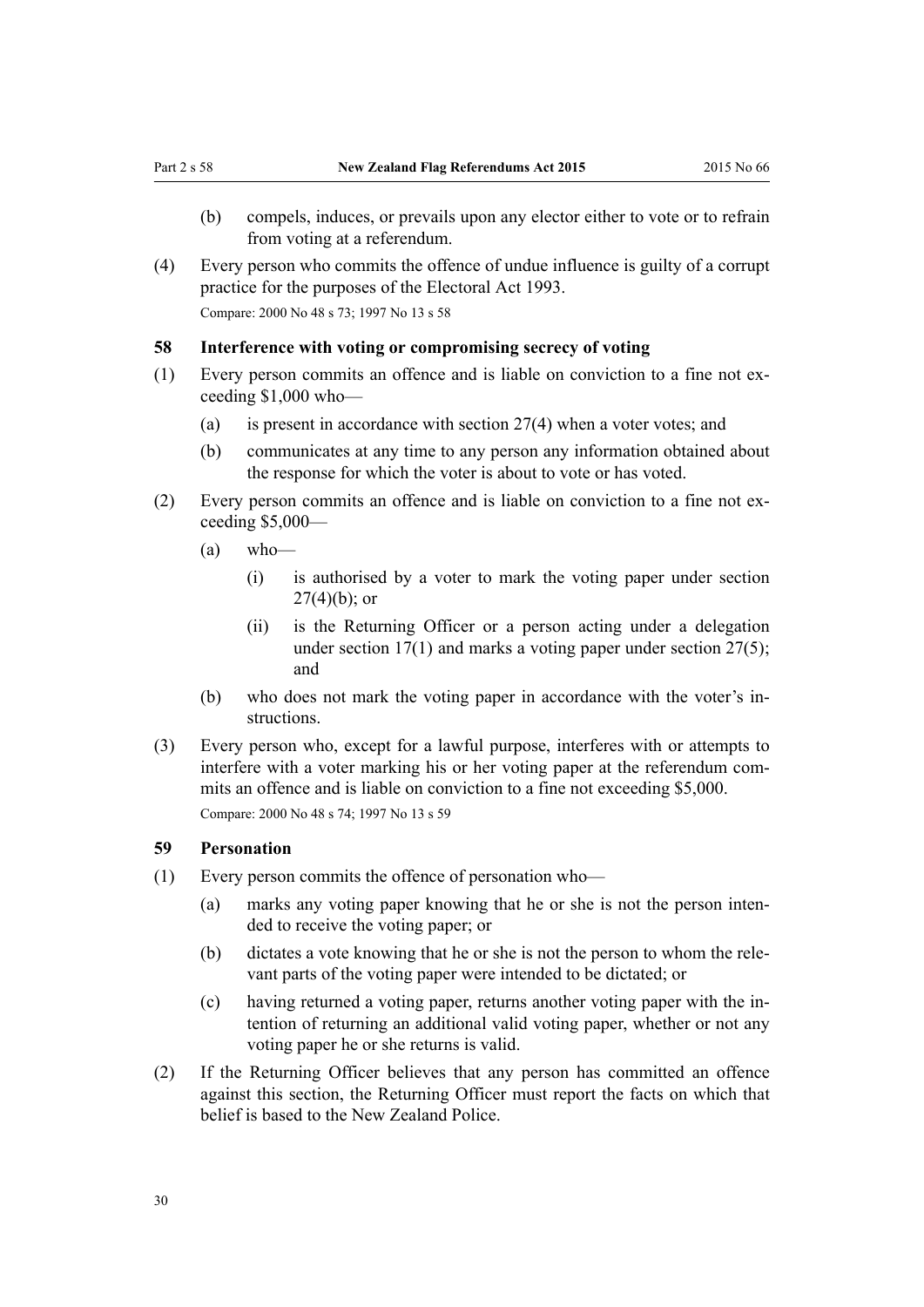- <span id="page-29-0"></span>(b) compels, induces, or prevails upon any elector either to vote or to refrain from voting at a referendum.
- (4) Every person who commits the offence of undue influence is guilty of a corrupt practice for the purposes of the [Electoral Act 1993.](http://prd-lgnz-nlb.prd.pco.net.nz/pdflink.aspx?id=DLM307518) Compare: 2000 No 48 [s 73](http://prd-lgnz-nlb.prd.pco.net.nz/pdflink.aspx?id=DLM74667); 1997 No 13 [s 58](http://prd-lgnz-nlb.prd.pco.net.nz/pdflink.aspx?id=DLM408915)

#### **58 Interference with voting or compromising secrecy of voting**

- (1) Every person commits an offence and is liable on conviction to a fine not exceeding \$1,000 who—
	- (a) is present in accordance with [section 27\(4\)](#page-14-0) when a voter votes; and
	- (b) communicates at any time to any person any information obtained about the response for which the voter is about to vote or has voted.
- (2) Every person commits an offence and is liable on conviction to a fine not exceeding \$5,000—
	- $(a)$  who—
		- (i) is authorised by a voter to mark the voting paper under [section](#page-14-0)  $27(4)(b)$ ; or
		- (ii) is the Returning Officer or a person acting under a delegation under section  $17(1)$  and marks a voting paper under section  $27(5)$ ; and
	- (b) who does not mark the voting paper in accordance with the voter's instructions.
- (3) Every person who, except for a lawful purpose, interferes with or attempts to interfere with a voter marking his or her voting paper at the referendum commits an offence and is liable on conviction to a fine not exceeding \$5,000. Compare: 2000 No 48 [s 74](http://prd-lgnz-nlb.prd.pco.net.nz/pdflink.aspx?id=DLM74668); 1997 No 13 [s 59](http://prd-lgnz-nlb.prd.pco.net.nz/pdflink.aspx?id=DLM408916)

#### **59 Personation**

- (1) Every person commits the offence of personation who—
	- (a) marks any voting paper knowing that he or she is not the person intended to receive the voting paper; or
	- (b) dictates a vote knowing that he or she is not the person to whom the relevant parts of the voting paper were intended to be dictated; or
	- (c) having returned a voting paper, returns another voting paper with the intention of returning an additional valid voting paper, whether or not any voting paper he or she returns is valid.
- (2) If the Returning Officer believes that any person has committed an offence against this section, the Returning Officer must report the facts on which that belief is based to the New Zealand Police.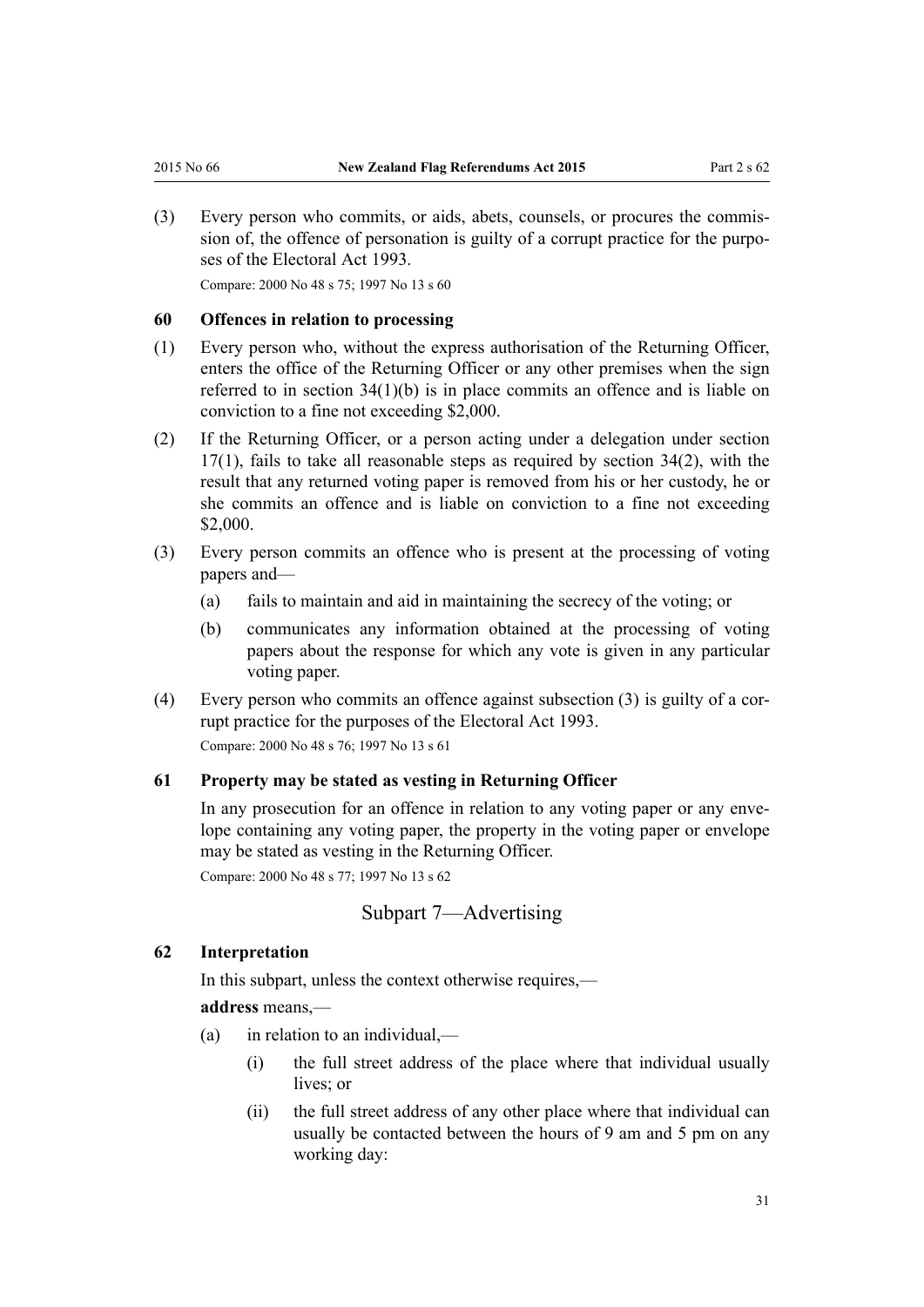<span id="page-30-0"></span>(3) Every person who commits, or aids, abets, counsels, or procures the commission of, the offence of personation is guilty of a corrupt practice for the purposes of the [Electoral Act 1993](http://prd-lgnz-nlb.prd.pco.net.nz/pdflink.aspx?id=DLM307518).

Compare: 2000 No 48 [s 75](http://prd-lgnz-nlb.prd.pco.net.nz/pdflink.aspx?id=DLM74669); 1997 No 13 [s 60](http://prd-lgnz-nlb.prd.pco.net.nz/pdflink.aspx?id=DLM408917)

#### **60 Offences in relation to processing**

- (1) Every person who, without the express authorisation of the Returning Officer, enters the office of the Returning Officer or any other premises when the sign referred to in [section 34\(1\)\(b\)](#page-17-0) is in place commits an offence and is liable on conviction to a fine not exceeding \$2,000.
- (2) If the Returning Officer, or a person acting under a delegation under [section](#page-9-0)  $17(1)$ , fails to take all reasonable steps as required by section  $34(2)$ , with the result that any returned voting paper is removed from his or her custody, he or she commits an offence and is liable on conviction to a fine not exceeding \$2,000.
- (3) Every person commits an offence who is present at the processing of voting papers and—
	- (a) fails to maintain and aid in maintaining the secrecy of the voting; or
	- (b) communicates any information obtained at the processing of voting papers about the response for which any vote is given in any particular voting paper.
- (4) Every person who commits an offence against subsection (3) is guilty of a corrupt practice for the purposes of the [Electoral Act 1993](http://prd-lgnz-nlb.prd.pco.net.nz/pdflink.aspx?id=DLM307518). Compare: 2000 No 48 [s 76](http://prd-lgnz-nlb.prd.pco.net.nz/pdflink.aspx?id=DLM74670); 1997 No 13 [s 61](http://prd-lgnz-nlb.prd.pco.net.nz/pdflink.aspx?id=DLM408918)

#### **61 Property may be stated as vesting in Returning Officer**

In any prosecution for an offence in relation to any voting paper or any envelope containing any voting paper, the property in the voting paper or envelope may be stated as vesting in the Returning Officer.

Compare: 2000 No 48 [s 77](http://prd-lgnz-nlb.prd.pco.net.nz/pdflink.aspx?id=DLM74672); 1997 No 13 [s 62](http://prd-lgnz-nlb.prd.pco.net.nz/pdflink.aspx?id=DLM408920)

#### Subpart 7—Advertising

#### **62 Interpretation**

In this subpart, unless the context otherwise requires,—

#### **address** means,—

- (a) in relation to an individual,—
	- (i) the full street address of the place where that individual usually lives: or
	- (ii) the full street address of any other place where that individual can usually be contacted between the hours of 9 am and 5 pm on any working day: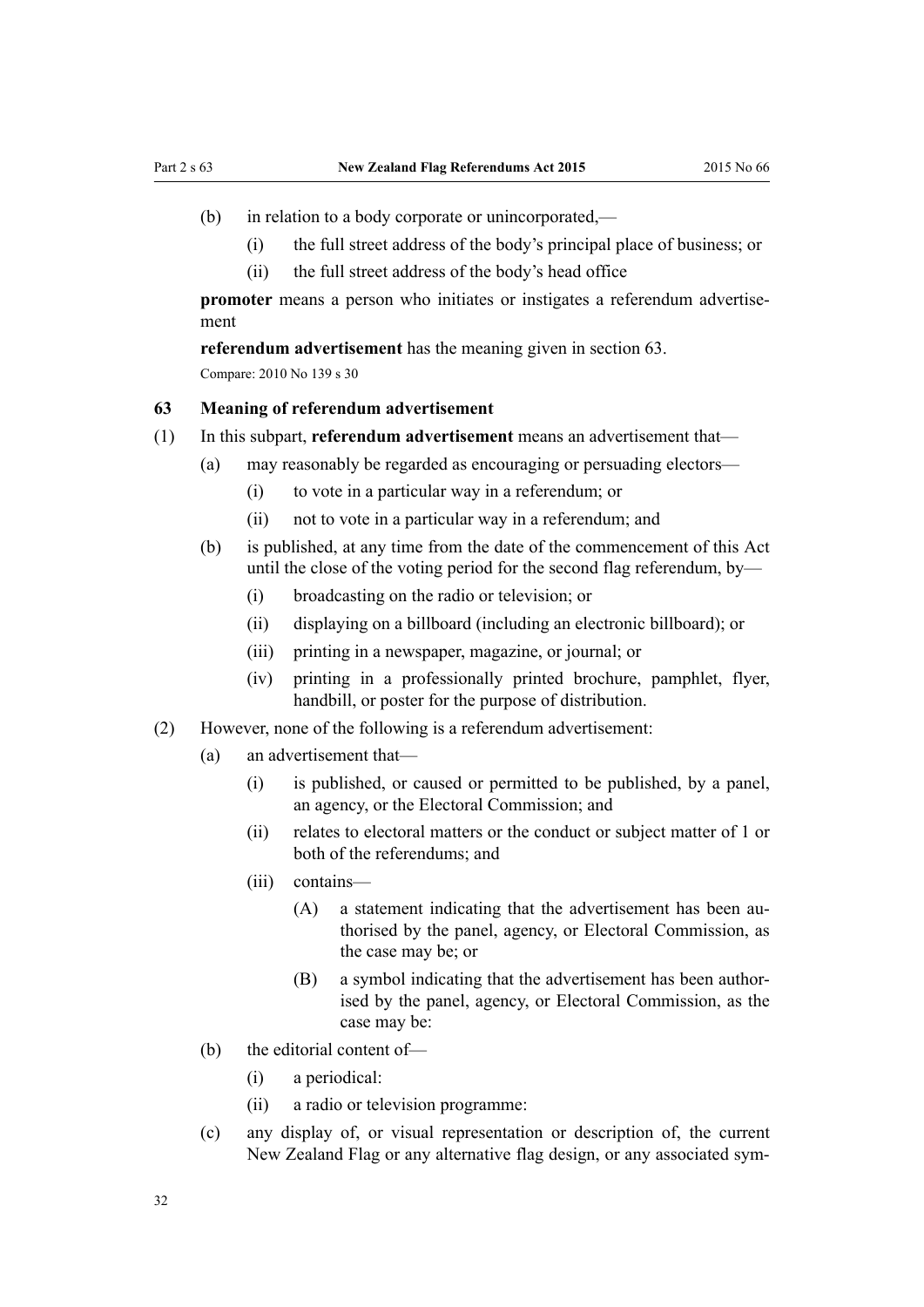- <span id="page-31-0"></span>(b) in relation to a body corporate or unincorporated,—
	- (i) the full street address of the body's principal place of business; or
	- (ii) the full street address of the body's head office

**promoter** means a person who initiates or instigates a referendum advertisement

**referendum advertisement** has the meaning given in section 63. Compare: 2010 No 139 s 30

#### **63 Meaning of referendum advertisement**

- (1) In this subpart, **referendum advertisement** means an advertisement that—
	- (a) may reasonably be regarded as encouraging or persuading electors—
		- (i) to vote in a particular way in a referendum; or
		- (ii) not to vote in a particular way in a referendum; and
	- (b) is published, at any time from the date of the commencement of this Act until the close of the voting period for the second flag referendum, by—
		- (i) broadcasting on the radio or television; or
		- (ii) displaying on a billboard (including an electronic billboard); or
		- (iii) printing in a newspaper, magazine, or journal; or
		- (iv) printing in a professionally printed brochure, pamphlet, flyer, handbill, or poster for the purpose of distribution.
- (2) However, none of the following is a referendum advertisement:
	- (a) an advertisement that—
		- (i) is published, or caused or permitted to be published, by a panel, an agency, or the Electoral Commission; and
		- (ii) relates to electoral matters or the conduct or subject matter of 1 or both of the referendums; and
		- (iii) contains—
			- (A) a statement indicating that the advertisement has been authorised by the panel, agency, or Electoral Commission, as the case may be; or
			- (B) a symbol indicating that the advertisement has been authorised by the panel, agency, or Electoral Commission, as the case may be:
	- (b) the editorial content of—
		- (i) a periodical:
		- (ii) a radio or television programme:
	- (c) any display of, or visual representation or description of, the current New Zealand Flag or any alternative flag design, or any associated sym-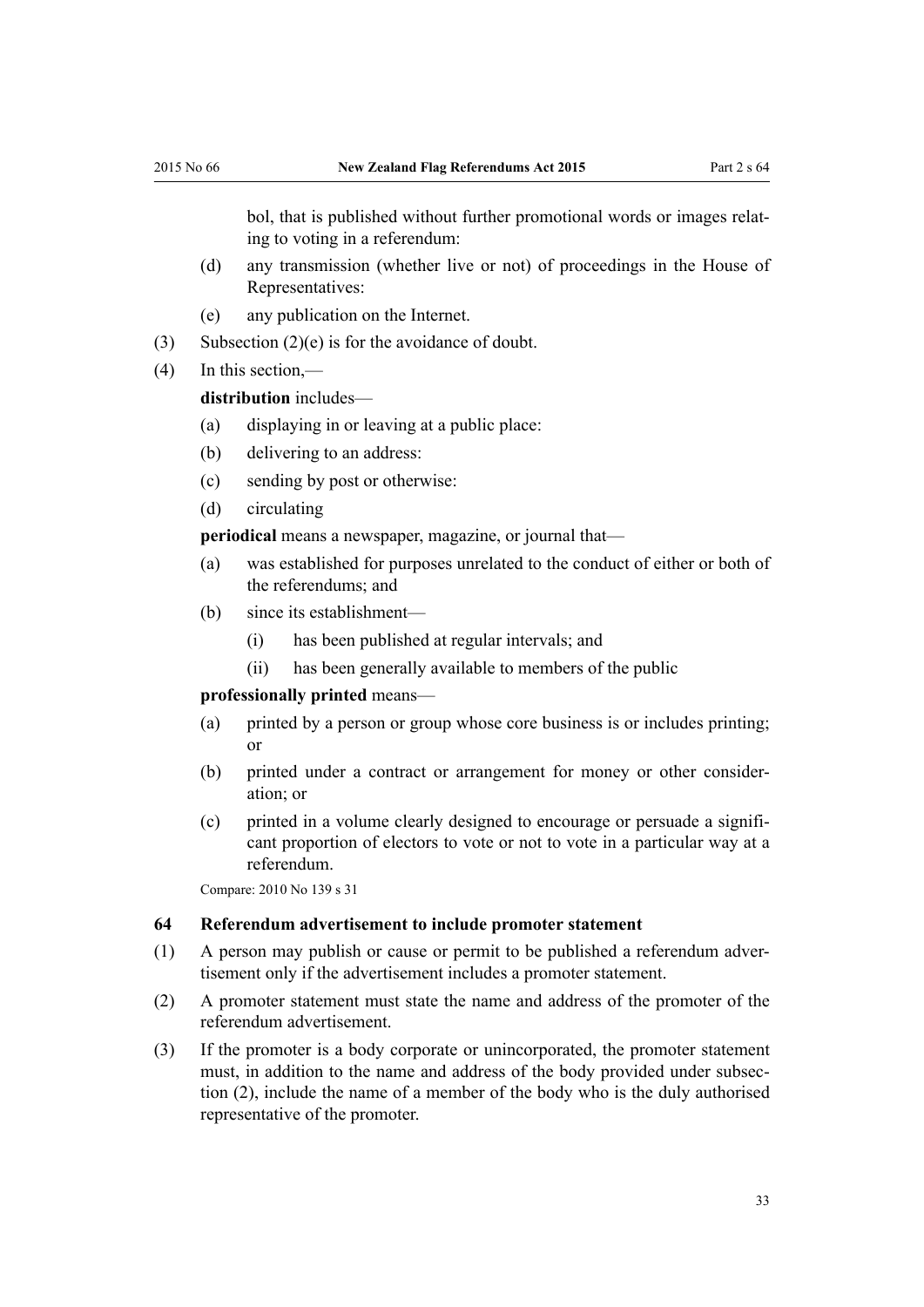<span id="page-32-0"></span>bol, that is published without further promotional words or images relating to voting in a referendum:

- (d) any transmission (whether live or not) of proceedings in the House of Representatives:
- (e) any publication on the Internet.
- (3) Subsection (2)(e) is for the avoidance of doubt.
- (4) In this section,—

**distribution** includes—

- (a) displaying in or leaving at a public place:
- (b) delivering to an address:
- (c) sending by post or otherwise:
- (d) circulating

**periodical** means a newspaper, magazine, or journal that—

- (a) was established for purposes unrelated to the conduct of either or both of the referendums; and
- (b) since its establishment—
	- (i) has been published at regular intervals; and
	- (ii) has been generally available to members of the public

#### **professionally printed** means—

- (a) printed by a person or group whose core business is or includes printing; or
- (b) printed under a contract or arrangement for money or other consideration; or
- (c) printed in a volume clearly designed to encourage or persuade a significant proportion of electors to vote or not to vote in a particular way at a referendum.

Compare: 2010 No 139 [s 31](http://prd-lgnz-nlb.prd.pco.net.nz/pdflink.aspx?id=DLM2833601)

#### **64 Referendum advertisement to include promoter statement**

- (1) A person may publish or cause or permit to be published a referendum advertisement only if the advertisement includes a promoter statement.
- (2) A promoter statement must state the name and address of the promoter of the referendum advertisement.
- (3) If the promoter is a body corporate or unincorporated, the promoter statement must, in addition to the name and address of the body provided under subsection (2), include the name of a member of the body who is the duly authorised representative of the promoter.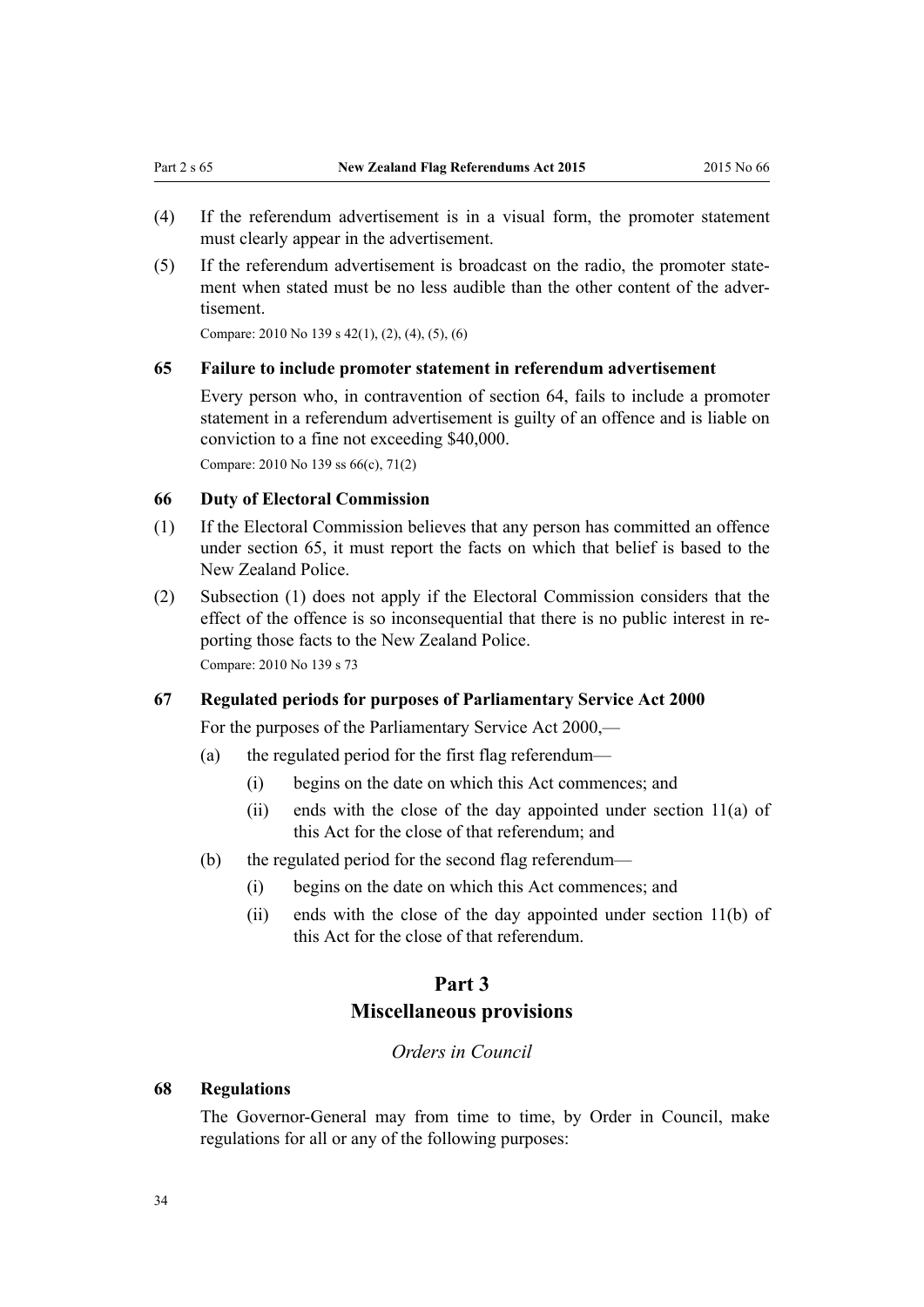- <span id="page-33-0"></span>(4) If the referendum advertisement is in a visual form, the promoter statement must clearly appear in the advertisement.
- (5) If the referendum advertisement is broadcast on the radio, the promoter statement when stated must be no less audible than the other content of the advertisement.

Compare: 2010 No 139 [s 42\(1\), \(2\), \(4\), \(5\), \(6\)](http://prd-lgnz-nlb.prd.pco.net.nz/pdflink.aspx?id=DLM3382241)

#### **65 Failure to include promoter statement in referendum advertisement**

Every person who, in contravention of section 64, fails to include a promoter statement in a referendum advertisement is guilty of an offence and is liable on conviction to a fine not exceeding \$40,000.

Compare: 2010 No 139 [ss 66\(c\)](http://prd-lgnz-nlb.prd.pco.net.nz/pdflink.aspx?id=DLM2833628), [71\(2\)](http://prd-lgnz-nlb.prd.pco.net.nz/pdflink.aspx?id=DLM3382260)

#### **66 Duty of Electoral Commission**

- (1) If the Electoral Commission believes that any person has committed an offence under section 65, it must report the facts on which that belief is based to the New Zealand Police.
- (2) Subsection (1) does not apply if the Electoral Commission considers that the effect of the offence is so inconsequential that there is no public interest in reporting those facts to the New Zealand Police. Compare: 2010 No 139 [s 73](http://prd-lgnz-nlb.prd.pco.net.nz/pdflink.aspx?id=DLM2833631)

#### **67 Regulated periods for purposes of Parliamentary Service Act 2000**

For the purposes of the [Parliamentary Service Act 2000](http://prd-lgnz-nlb.prd.pco.net.nz/pdflink.aspx?id=DLM55839),—

- (a) the regulated period for the first flag referendum—
	- (i) begins on the date on which this Act commences; and
	- (ii) ends with the close of the day appointed under [section 11\(a\)](http://prd-lgnz-nlb.prd.pco.net.nz/pdflink.aspx?id=DLM55889) of this Act for the close of that referendum; and
- (b) the regulated period for the second flag referendum—
	- (i) begins on the date on which this Act commences; and
	- (ii) ends with the close of the day appointed under [section 11\(b\)](http://prd-lgnz-nlb.prd.pco.net.nz/pdflink.aspx?id=DLM55889) of this Act for the close of that referendum.

# **Part 3 Miscellaneous provisions**

#### *Orders in Council*

#### **68 Regulations**

The Governor-General may from time to time, by Order in Council, make regulations for all or any of the following purposes: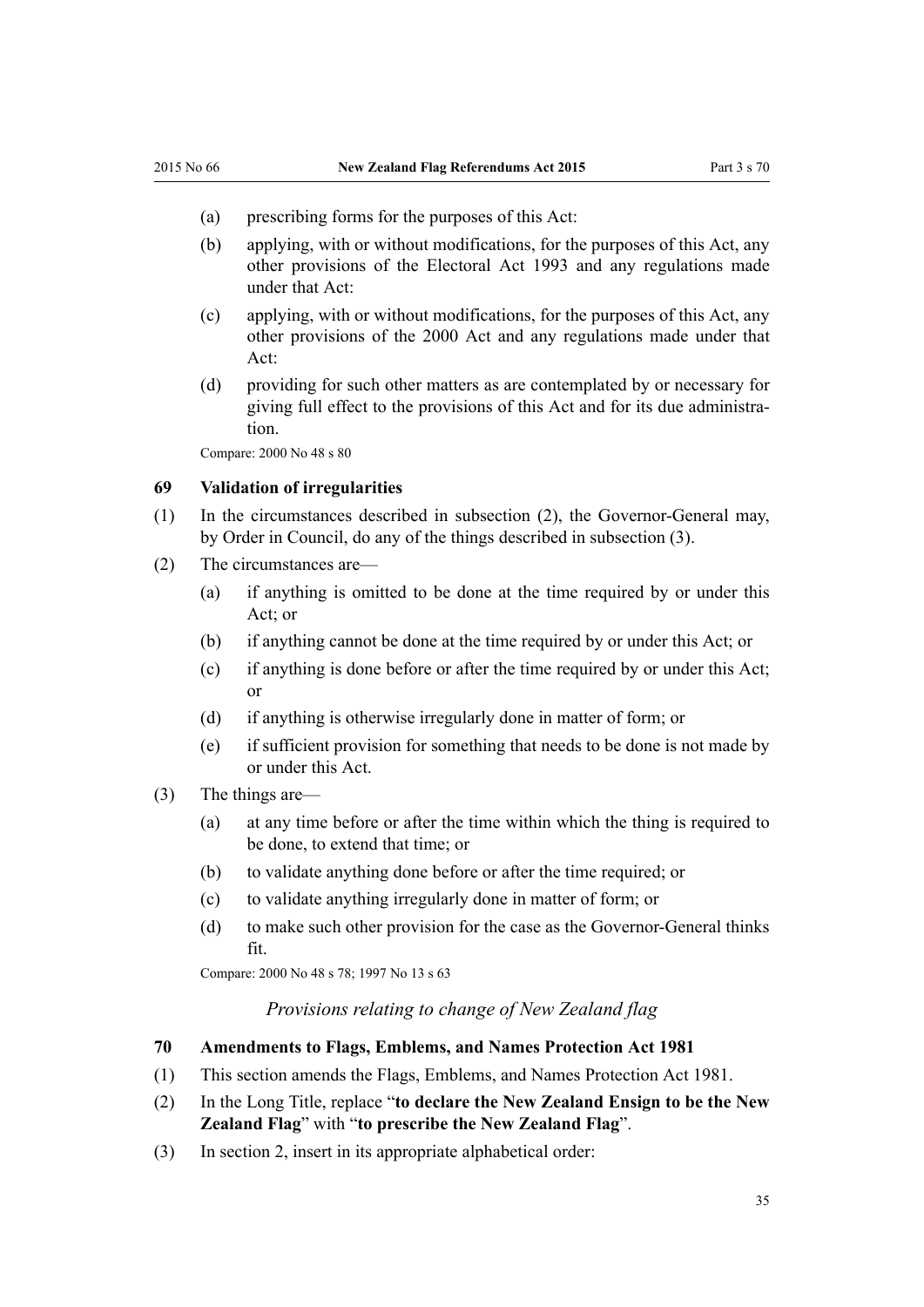- <span id="page-34-0"></span>(a) prescribing forms for the purposes of this Act:
- (b) applying, with or without modifications, for the purposes of this Act, any other provisions of the [Electoral Act 1993](http://prd-lgnz-nlb.prd.pco.net.nz/pdflink.aspx?id=DLM307518) and any regulations made under that Act:
- (c) applying, with or without modifications, for the purposes of this Act, any other provisions of the 2000 Act and any regulations made under that Act:
- (d) providing for such other matters as are contemplated by or necessary for giving full effect to the provisions of this Act and for its due administration.

Compare: 2000 No 48 [s 80](http://prd-lgnz-nlb.prd.pco.net.nz/pdflink.aspx?id=DLM74676)

#### **69 Validation of irregularities**

- (1) In the circumstances described in subsection (2), the Governor-General may, by Order in Council, do any of the things described in subsection (3).
- (2) The circumstances are—
	- (a) if anything is omitted to be done at the time required by or under this Act; or
	- (b) if anything cannot be done at the time required by or under this Act; or
	- (c) if anything is done before or after the time required by or under this Act; or
	- (d) if anything is otherwise irregularly done in matter of form; or
	- (e) if sufficient provision for something that needs to be done is not made by or under this Act.
- (3) The things are—
	- (a) at any time before or after the time within which the thing is required to be done, to extend that time; or
	- (b) to validate anything done before or after the time required; or
	- (c) to validate anything irregularly done in matter of form; or
	- (d) to make such other provision for the case as the Governor-General thinks fit.

Compare: 2000 No 48 [s 78](http://prd-lgnz-nlb.prd.pco.net.nz/pdflink.aspx?id=DLM74674); 1997 No 13 [s 63](http://prd-lgnz-nlb.prd.pco.net.nz/pdflink.aspx?id=DLM408922)

#### *Provisions relating to change of New Zealand flag*

#### **70 Amendments to Flags, Emblems, and Names Protection Act 1981**

- (1) This section amends the [Flags, Emblems, and Names Protection Act 1981.](http://prd-lgnz-nlb.prd.pco.net.nz/pdflink.aspx?id=DLM51357)
- (2) In the Long Title, replace "**to declare the New Zealand Ensign to be the New Zealand Flag**" with "**to prescribe the New Zealand Flag**".
- (3) In section 2, insert in its appropriate alphabetical order: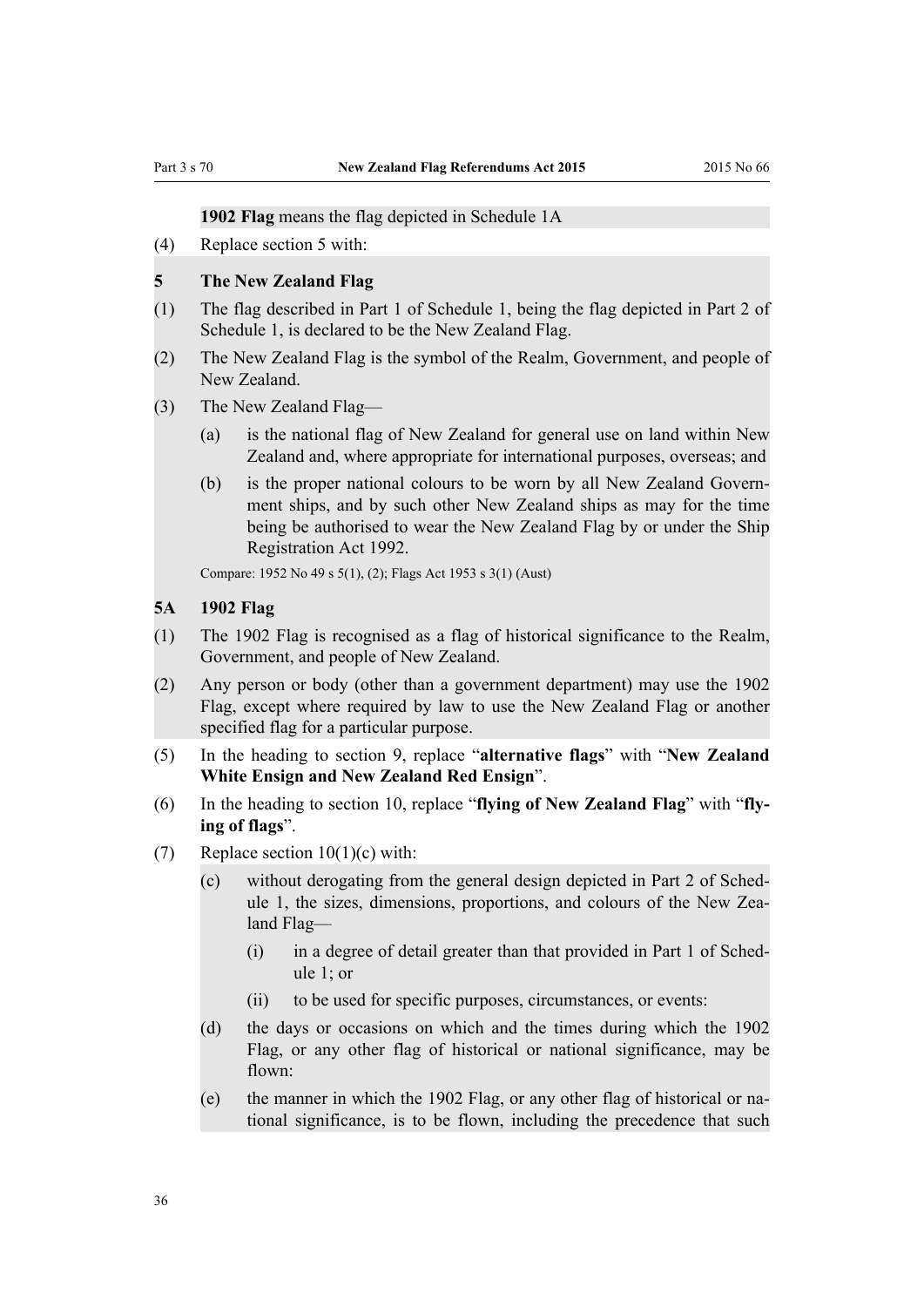#### **1902 Flag** means the flag depicted in Schedule 1A

<span id="page-35-0"></span>(4) Replace [section 5](http://prd-lgnz-nlb.prd.pco.net.nz/pdflink.aspx?id=DLM52200) with:

#### **5 The New Zealand Flag**

- (1) The flag described in Part 1 of Schedule 1, being the flag depicted in Part 2 of Schedule 1, is declared to be the New Zealand Flag.
- (2) The New Zealand Flag is the symbol of the Realm, Government, and people of New Zealand.
- (3) The New Zealand Flag—
	- (a) is the national flag of New Zealand for general use on land within New Zealand and, where appropriate for international purposes, overseas; and
	- (b) is the proper national colours to be worn by all New Zealand Government ships, and by such other New Zealand ships as may for the time being be authorised to wear the New Zealand Flag by or under the Ship Registration Act 1992.

Compare: 1952 No 49 s 5(1), (2); Flags Act 1953 s 3(1) (Aust)

#### **5A 1902 Flag**

- (1) The 1902 Flag is recognised as a flag of historical significance to the Realm, Government, and people of New Zealand.
- (2) Any person or body (other than a government department) may use the 1902 Flag, except where required by law to use the New Zealand Flag or another specified flag for a particular purpose.
- (5) In the heading to [section 9](http://prd-lgnz-nlb.prd.pco.net.nz/pdflink.aspx?id=DLM52207), replace "**alternative flags**" with "**New Zealand White Ensign and New Zealand Red Ensign**".
- (6) In the heading to [section 10](http://prd-lgnz-nlb.prd.pco.net.nz/pdflink.aspx?id=DLM52209), replace "**flying of New Zealand Flag**" with "**flying of flags**".
- (7) Replace section  $10(1)(c)$  with:
	- (c) without derogating from the general design depicted in Part 2 of Schedule 1, the sizes, dimensions, proportions, and colours of the New Zealand Flag—
		- (i) in a degree of detail greater than that provided in Part 1 of Schedule 1; or
		- (ii) to be used for specific purposes, circumstances, or events:
	- (d) the days or occasions on which and the times during which the 1902 Flag, or any other flag of historical or national significance, may be flown:
	- (e) the manner in which the 1902 Flag, or any other flag of historical or national significance, is to be flown, including the precedence that such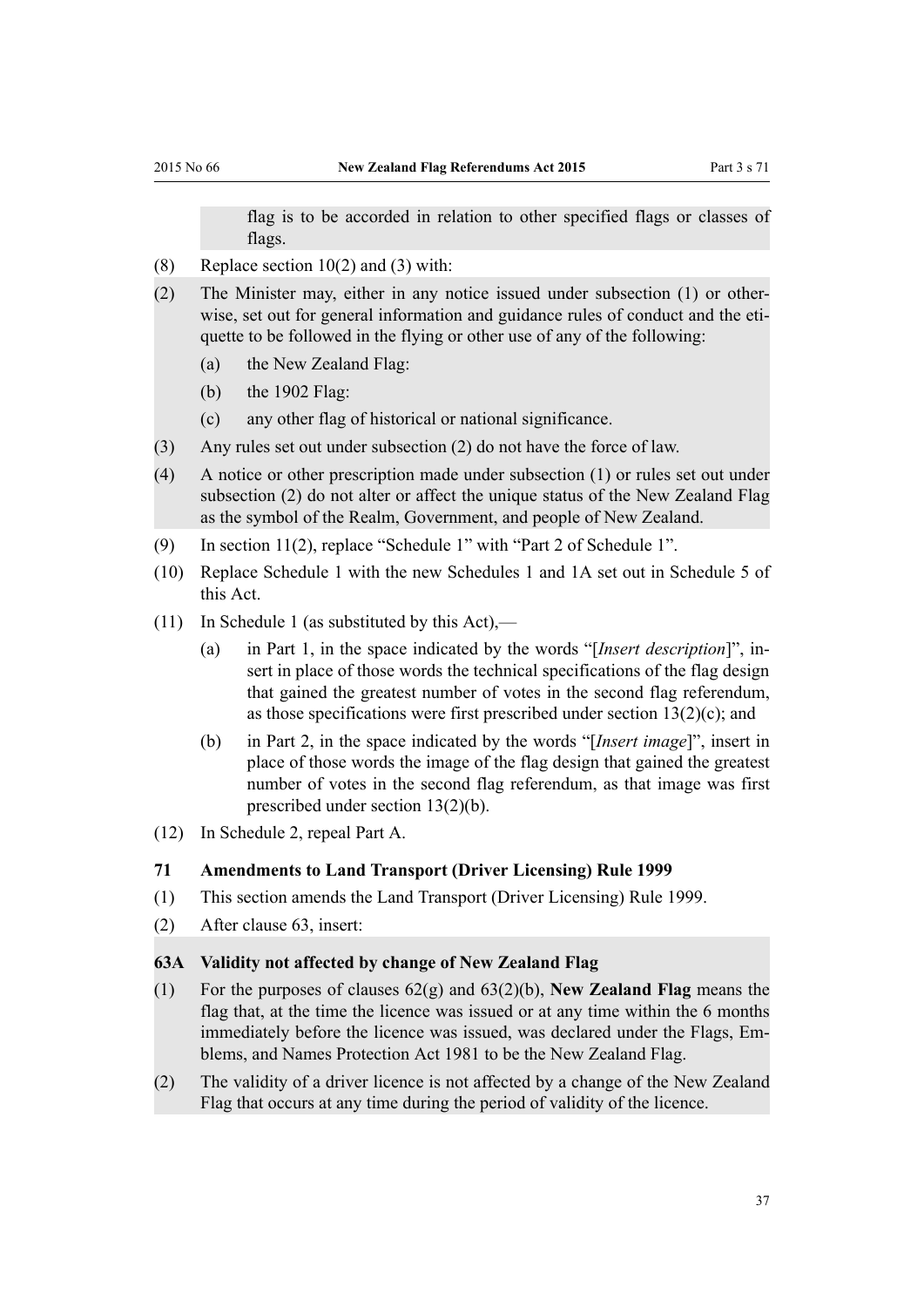flag is to be accorded in relation to other specified flags or classes of flags.

- <span id="page-36-0"></span>(8) Replace [section 10\(2\) and \(3\)](http://prd-lgnz-nlb.prd.pco.net.nz/pdflink.aspx?id=DLM52209) with:
- (2) The Minister may, either in any notice issued under subsection (1) or otherwise, set out for general information and guidance rules of conduct and the etiquette to be followed in the flying or other use of any of the following:
	- (a) the New Zealand Flag:
	- (b) the 1902 Flag:
	- (c) any other flag of historical or national significance.
- (3) Any rules set out under subsection (2) do not have the force of law.
- (4) A notice or other prescription made under subsection (1) or rules set out under subsection (2) do not alter or affect the unique status of the New Zealand Flag as the symbol of the Realm, Government, and people of New Zealand.
- (9) In [section 11\(2\),](http://prd-lgnz-nlb.prd.pco.net.nz/pdflink.aspx?id=DLM52211) replace "Schedule 1" with "Part 2 of Schedule 1".
- (10) Replace [Schedule 1](http://prd-lgnz-nlb.prd.pco.net.nz/pdflink.aspx?id=DLM52255) with the new Schedules 1 and 1A set out in Schedule 5 of this Act.
- (11) In Schedule 1 (as substituted by this Act),—
	- (a) in Part 1, in the space indicated by the words "[*Insert description*]", insert in place of those words the technical specifications of the flag design that gained the greatest number of votes in the second flag referendum, as those specifications were first prescribed under section 13(2)(c); and
	- (b) in Part 2, in the space indicated by the words "[*Insert image*]", insert in place of those words the image of the flag design that gained the greatest number of votes in the second flag referendum, as that image was first prescribed under section 13(2)(b).
- (12) In [Schedule 2](http://prd-lgnz-nlb.prd.pco.net.nz/pdflink.aspx?id=DLM52257), repeal Part A.

#### **71 Amendments to Land Transport (Driver Licensing) Rule 1999**

- (1) This section amends the [Land Transport \(Driver Licensing\) Rule 1999.](http://prd-lgnz-nlb.prd.pco.net.nz/pdflink.aspx?id=DLM280561)
- (2) After [clause 63](http://prd-lgnz-nlb.prd.pco.net.nz/pdflink.aspx?id=DLM281581), insert:

#### **63A Validity not affected by change of New Zealand Flag**

- (1) For the purposes of clauses 62(g) and 63(2)(b), **New Zealand Flag** means the flag that, at the time the licence was issued or at any time within the 6 months immediately before the licence was issued, was declared under the Flags, Emblems, and Names Protection Act 1981 to be the New Zealand Flag.
- (2) The validity of a driver licence is not affected by a change of the New Zealand Flag that occurs at any time during the period of validity of the licence.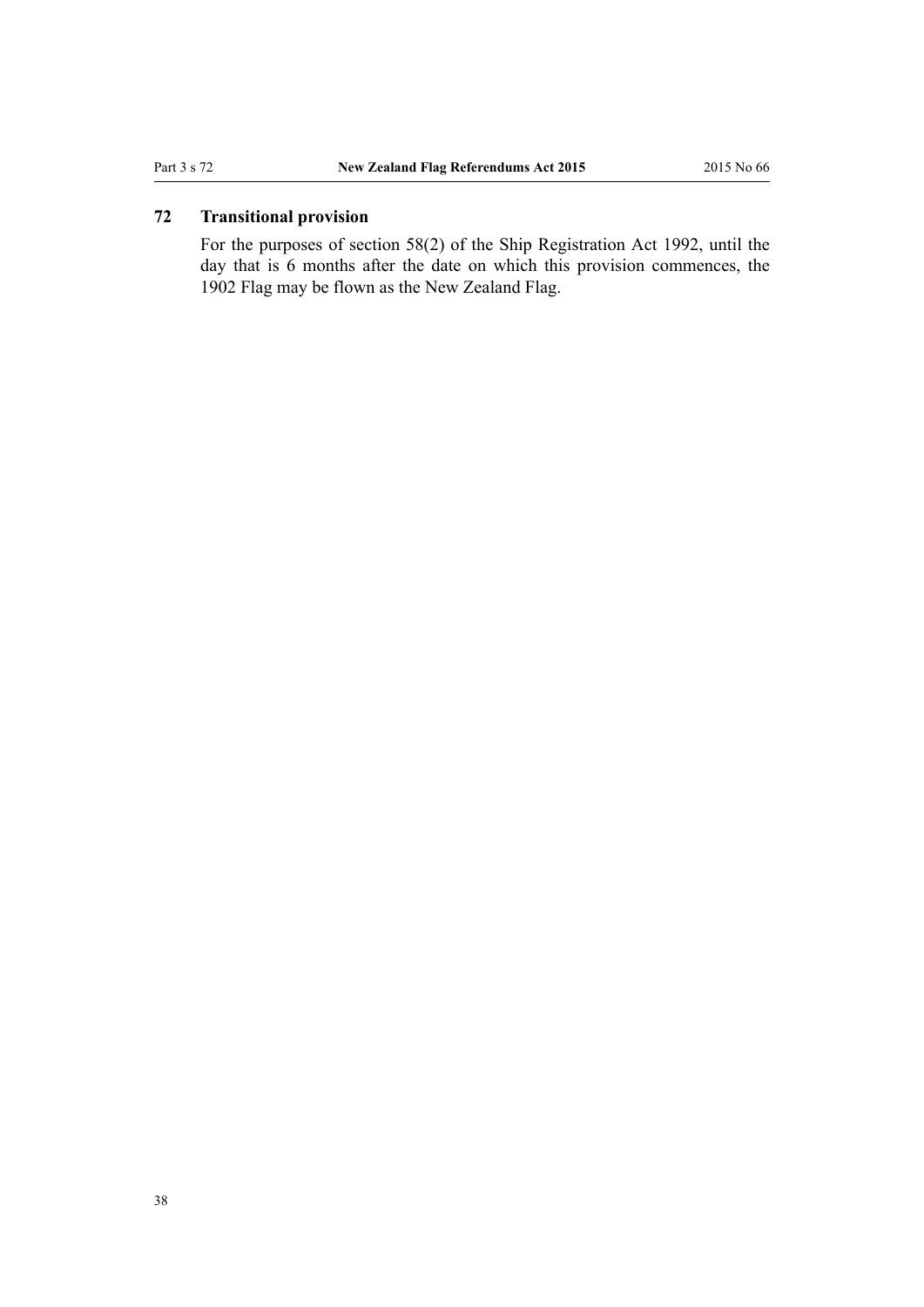## <span id="page-37-0"></span>**72 Transitional provision**

For the purposes of [section 58\(2\)](http://prd-lgnz-nlb.prd.pco.net.nz/pdflink.aspx?id=DLM276623) of the Ship Registration Act 1992, until the day that is 6 months after the date on which this provision commences, the 1902 Flag may be flown as the New Zealand Flag.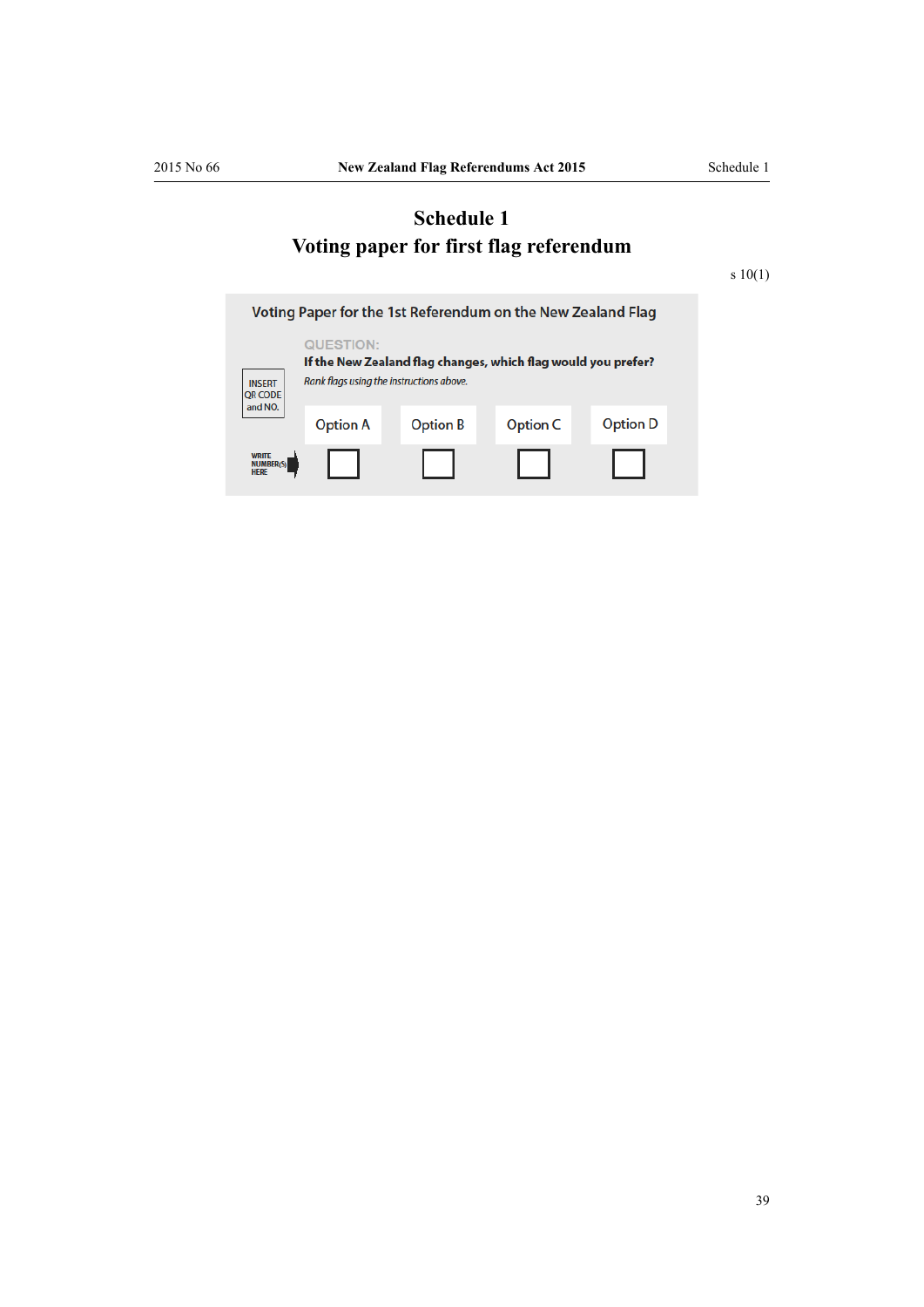# <span id="page-38-0"></span>**Schedule 1 Voting paper for first flag referendum**

[s 10\(1\)](#page-7-0)

| Voting Paper for the 1st Referendum on the New Zealand Flag |                                                                                                                        |                 |                 |                 |
|-------------------------------------------------------------|------------------------------------------------------------------------------------------------------------------------|-----------------|-----------------|-----------------|
| <b>INSERT</b><br><b>QR CODE</b>                             | QUESTION:<br>If the New Zealand flag changes, which flag would you prefer?<br>Rank flags using the instructions above. |                 |                 |                 |
| and NO.                                                     | <b>Option A</b>                                                                                                        | <b>Option B</b> | <b>Option C</b> | <b>Option D</b> |
| <b>WRITE</b><br><b>NUMBER(S)</b><br><b>HERE</b>             |                                                                                                                        |                 |                 |                 |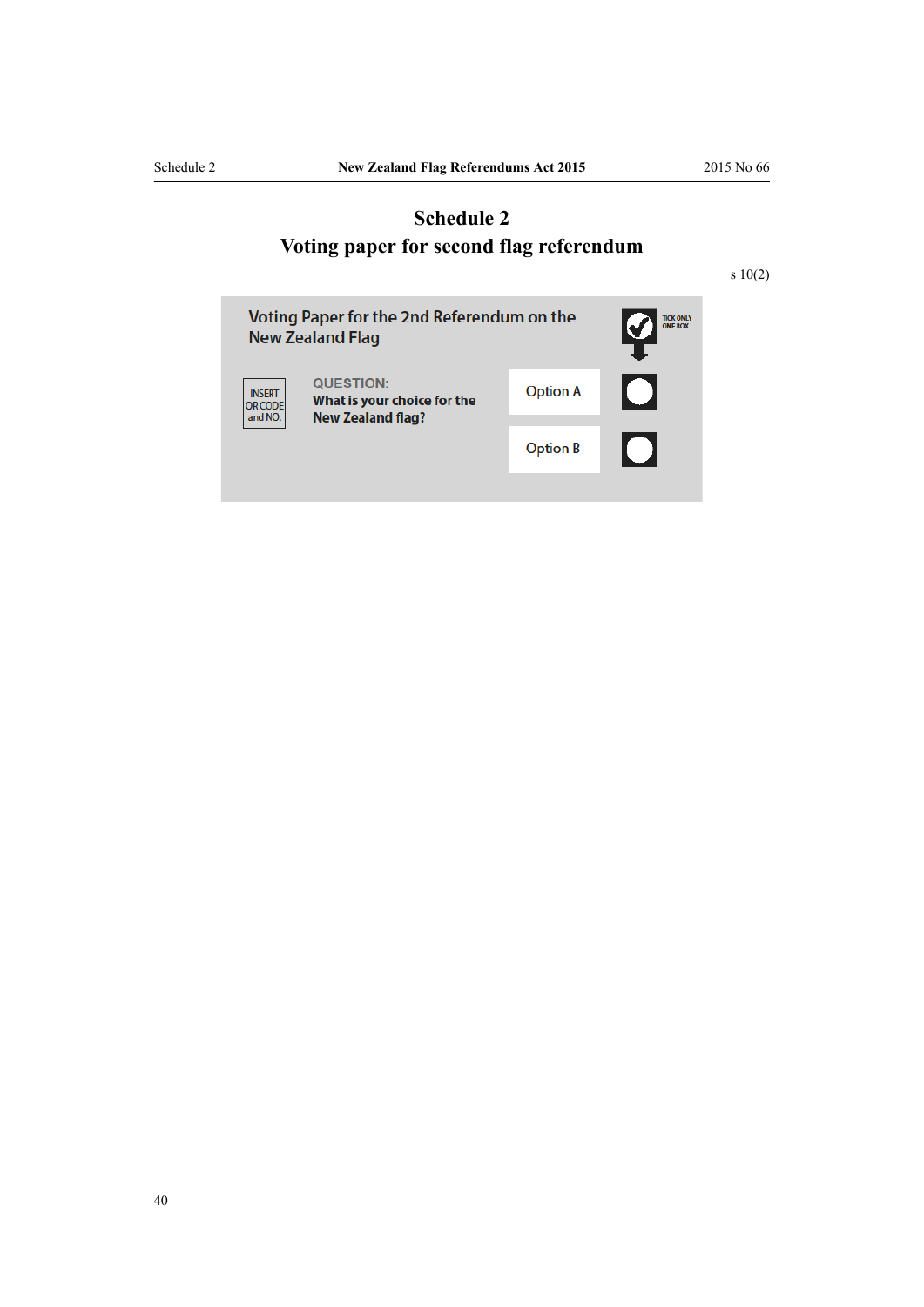# <span id="page-39-0"></span>**Schedule 2 Voting paper for second flag referendum**

[s 10\(2\)](#page-7-0)

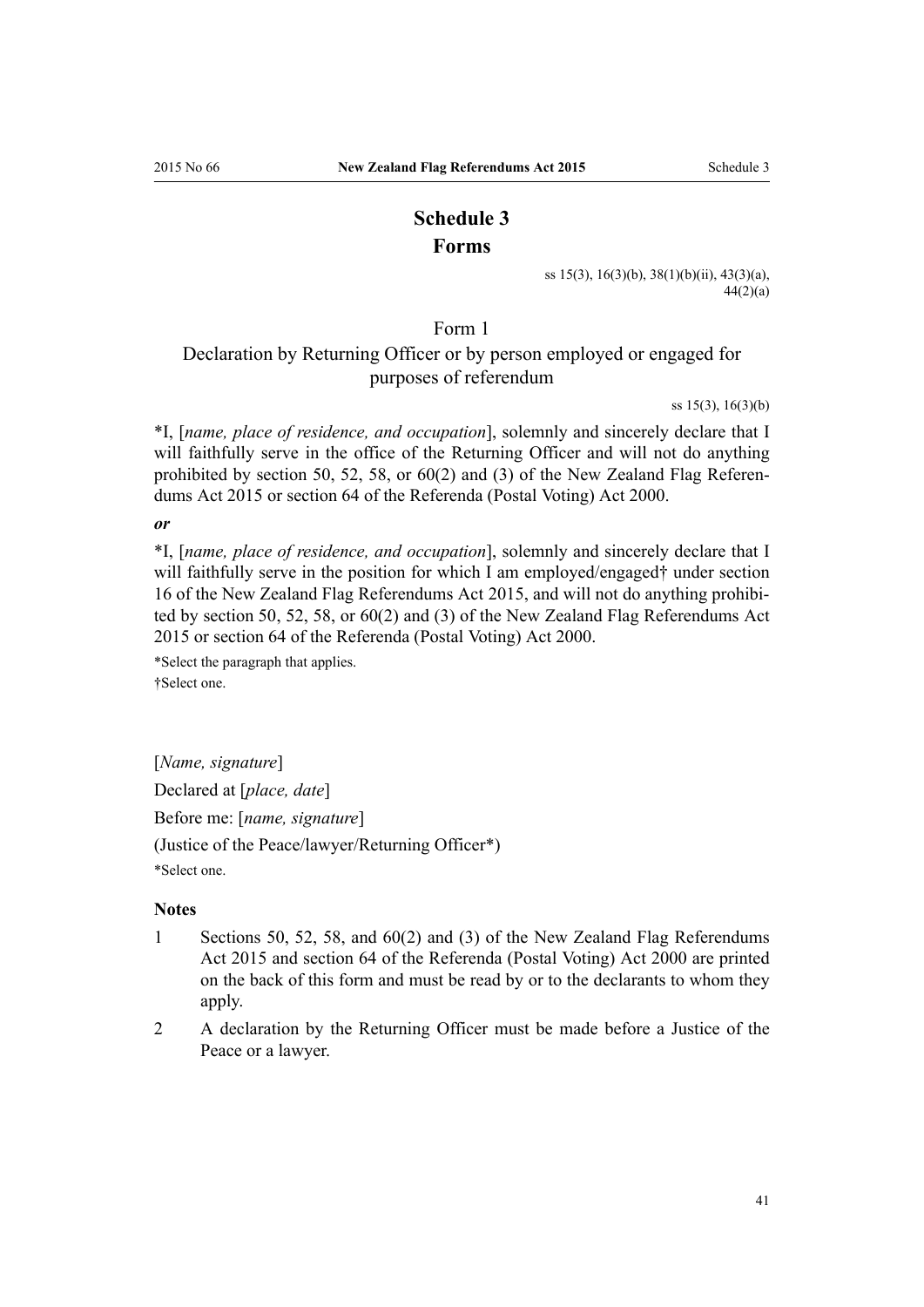# **Schedule 3 Forms**

[ss 15\(3\), 16\(3\)\(b\)](#page-9-0), [38\(1\)\(b\)\(ii\),](#page-19-0) [43\(3\)\(a\),](#page-22-0)  $44(2)(a)$ 

Form 1

# <span id="page-40-0"></span>Declaration by Returning Officer or by person employed or engaged for purposes of referendum

[ss 15\(3\), 16\(3\)\(b\)](#page-9-0)

\*I, [*name, place of residence, and occupation*], solemnly and sincerely declare that I will faithfully serve in the office of the Returning Officer and will not do anything prohibited by [section 50](#page-24-0), [52](#page-25-0), [58](#page-29-0), or [60\(2\) and \(3\)](#page-30-0) of the New Zealand Flag Referendums Act 2015 or [section 64](http://prd-lgnz-nlb.prd.pco.net.nz/pdflink.aspx?id=DLM74657) of the Referenda (Postal Voting) Act 2000.

#### *or*

\*I, [*name, place of residence, and occupation*], solemnly and sincerely declare that I will faithfully serve in the position for which I am employed/engaged† under [section](#page-9-0) [16](#page-9-0) of the New Zealand Flag Referendums Act 2015, and will not do anything prohibited by [section 50](#page-24-0), [52,](#page-25-0) [58](#page-29-0), or [60\(2\) and \(3\)](#page-30-0) of the New Zealand Flag Referendums Act 2015 or [section 64](http://prd-lgnz-nlb.prd.pco.net.nz/pdflink.aspx?id=DLM74657) of the Referenda (Postal Voting) Act 2000.

\*Select the paragraph that applies. †Select one.

[*Name, signature*] Declared at [*place, date*] Before me: [*name, signature*] (Justice of the Peace/lawyer/Returning Officer\*)

\*Select one.

#### **Notes**

- 1 [Sections 50](#page-24-0), [52,](#page-25-0) [58,](#page-29-0) and [60\(2\) and \(3\)](#page-30-0) of the New Zealand Flag Referendums Act 2015 and [section 64](http://prd-lgnz-nlb.prd.pco.net.nz/pdflink.aspx?id=DLM74657) of the Referenda (Postal Voting) Act 2000 are printed on the back of this form and must be read by or to the declarants to whom they apply.
- 2 A declaration by the Returning Officer must be made before a Justice of the Peace or a lawyer.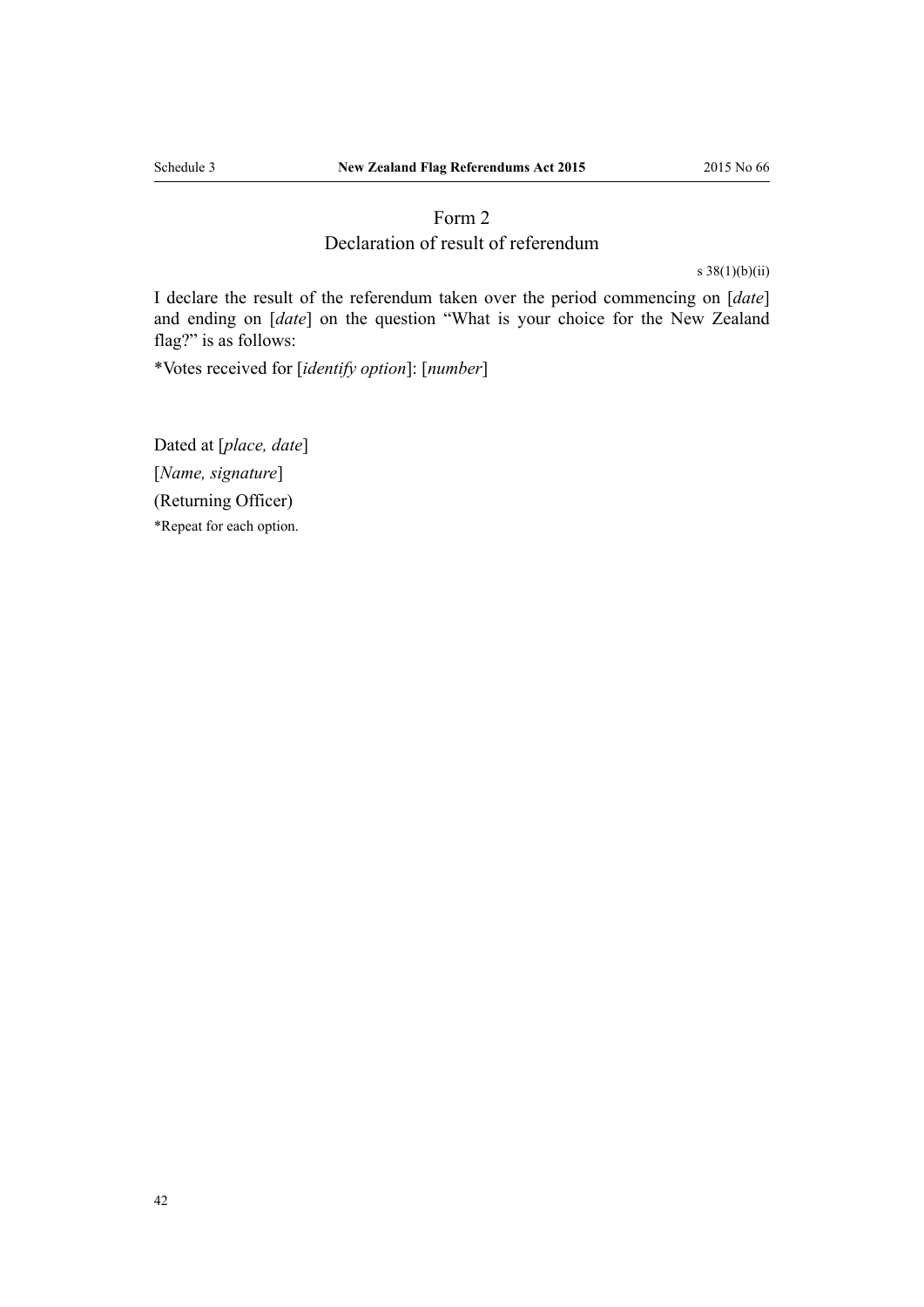# Form 2

### Declaration of result of referendum

[s 38\(1\)\(b\)\(ii\)](#page-19-0)

<span id="page-41-0"></span>I declare the result of the referendum taken over the period commencing on [*date*] and ending on [*date*] on the question "What is your choice for the New Zealand flag?" is as follows:

\*Votes received for [*identify option*]: [*number*]

Dated at [*place, date*] [*Name, signature*] (Returning Officer) \*Repeat for each option.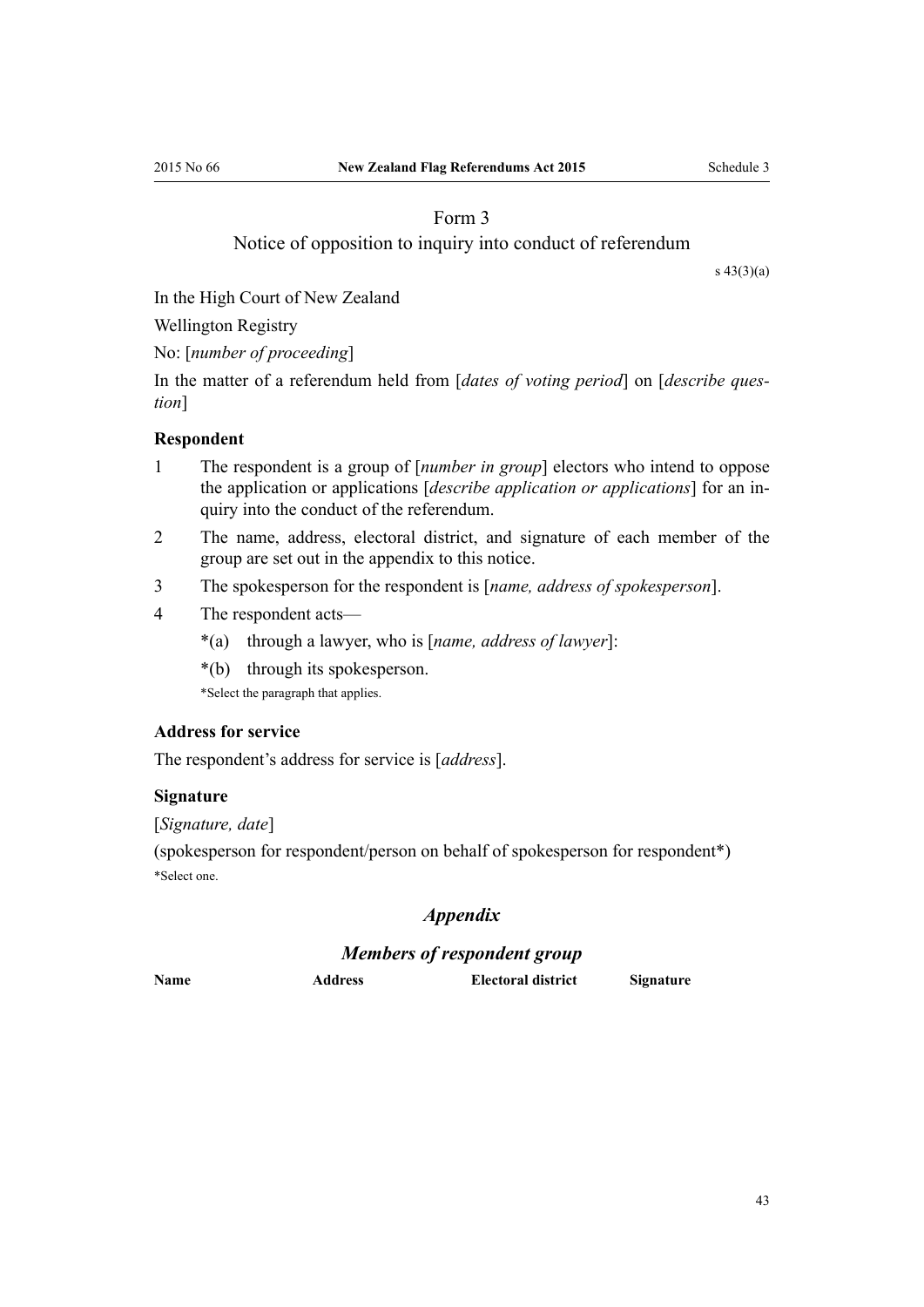# Form 3

#### Notice of opposition to inquiry into conduct of referendum

[s 43\(3\)\(a\)](#page-22-0)

<span id="page-42-0"></span>In the High Court of New Zealand

Wellington Registry

No: [*number of proceeding*]

In the matter of a referendum held from [*dates of voting period*] on [*describe question*]

#### **Respondent**

- 1 The respondent is a group of [*number in group*] electors who intend to oppose the application or applications [*describe application or applications*] for an inquiry into the conduct of the referendum.
- 2 The name, address, electoral district, and signature of each member of the group are set out in the appendix to this notice.
- 3 The spokesperson for the respondent is [*name, address of spokesperson*].
- 4 The respondent acts—
	- \*(a) through a lawyer, who is [*name, address of lawyer*]:
	- \*(b) through its spokesperson.

\*Select the paragraph that applies.

#### **Address for service**

The respondent's address for service is [*address*].

#### **Signature**

[*Signature, date*]

(spokesperson for respondent/person on behalf of spokesperson for respondent\*) \*Select one.

#### *Appendix*

#### *Members of respondent group*

**Name Address Electoral district Signature**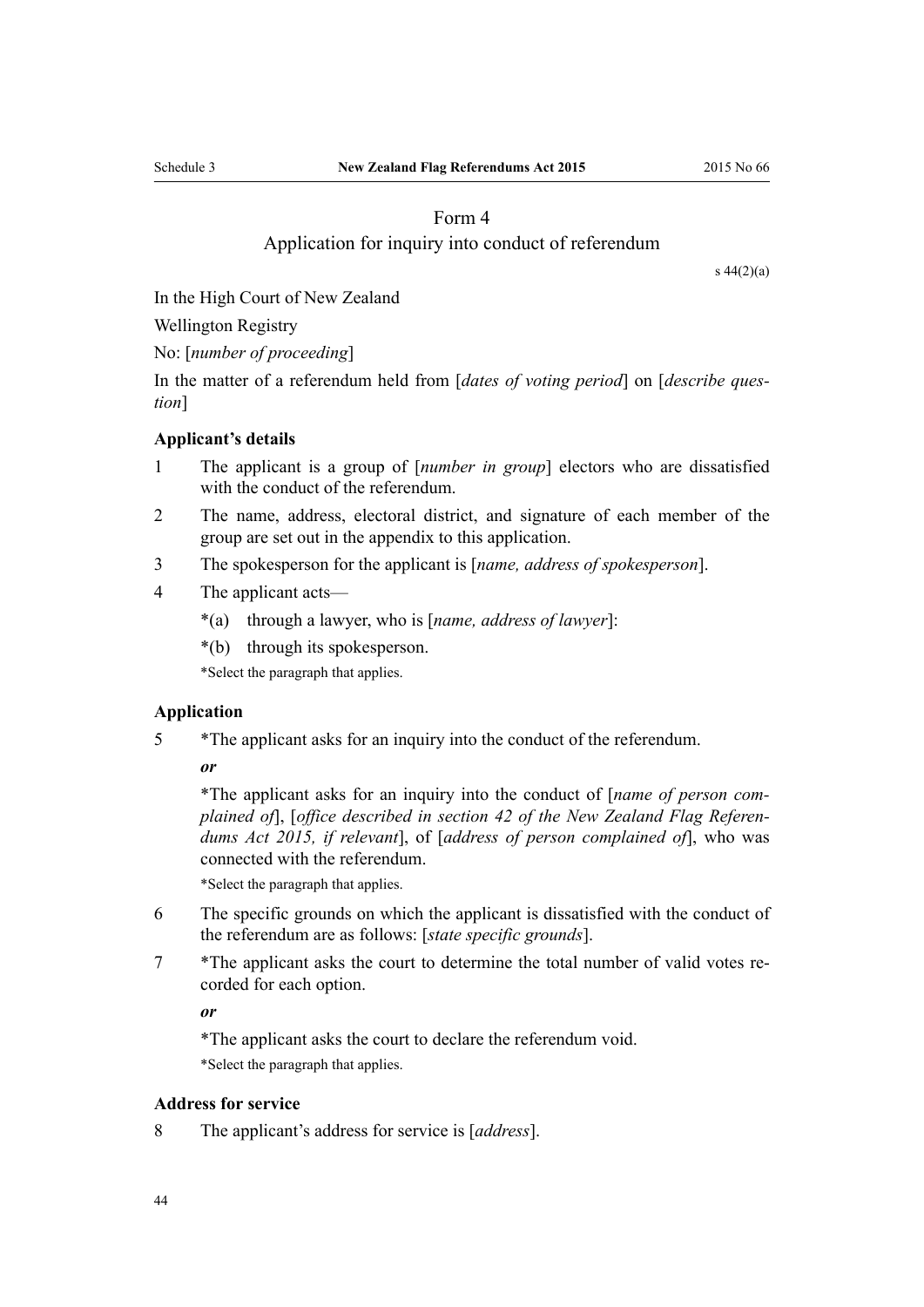## Form 4

#### Application for inquiry into conduct of referendum

[s 44\(2\)\(a\)](#page-22-0)

<span id="page-43-0"></span>In the High Court of New Zealand

Wellington Registry

No: [*number of proceeding*]

In the matter of a referendum held from [*dates of voting period*] on [*describe question*]

#### **Applicant's details**

- 1 The applicant is a group of [*number in group*] electors who are dissatisfied with the conduct of the referendum.
- 2 The name, address, electoral district, and signature of each member of the group are set out in the appendix to this application.
- 3 The spokesperson for the applicant is [*name, address of spokesperson*].
- 4 The applicant acts—
	- \*(a) through a lawyer, who is [*name, address of lawyer*]:
	- \*(b) through its spokesperson.

\*Select the paragraph that applies.

#### **Application**

5 \*The applicant asks for an inquiry into the conduct of the referendum.

*or*

\*The applicant asks for an inquiry into the conduct of [*name of person complained of*], [*office described in [section 42](#page-21-0) of the New Zealand Flag Referendums Act 2015, if relevant*], of [*address of person complained of*], who was connected with the referendum.

\*Select the paragraph that applies.

- 6 The specific grounds on which the applicant is dissatisfied with the conduct of the referendum are as follows: [*state specific grounds*].
- 7 \*The applicant asks the court to determine the total number of valid votes recorded for each option.

*or*

\*The applicant asks the court to declare the referendum void. \*Select the paragraph that applies.

#### **Address for service**

8 The applicant's address for service is [*address*].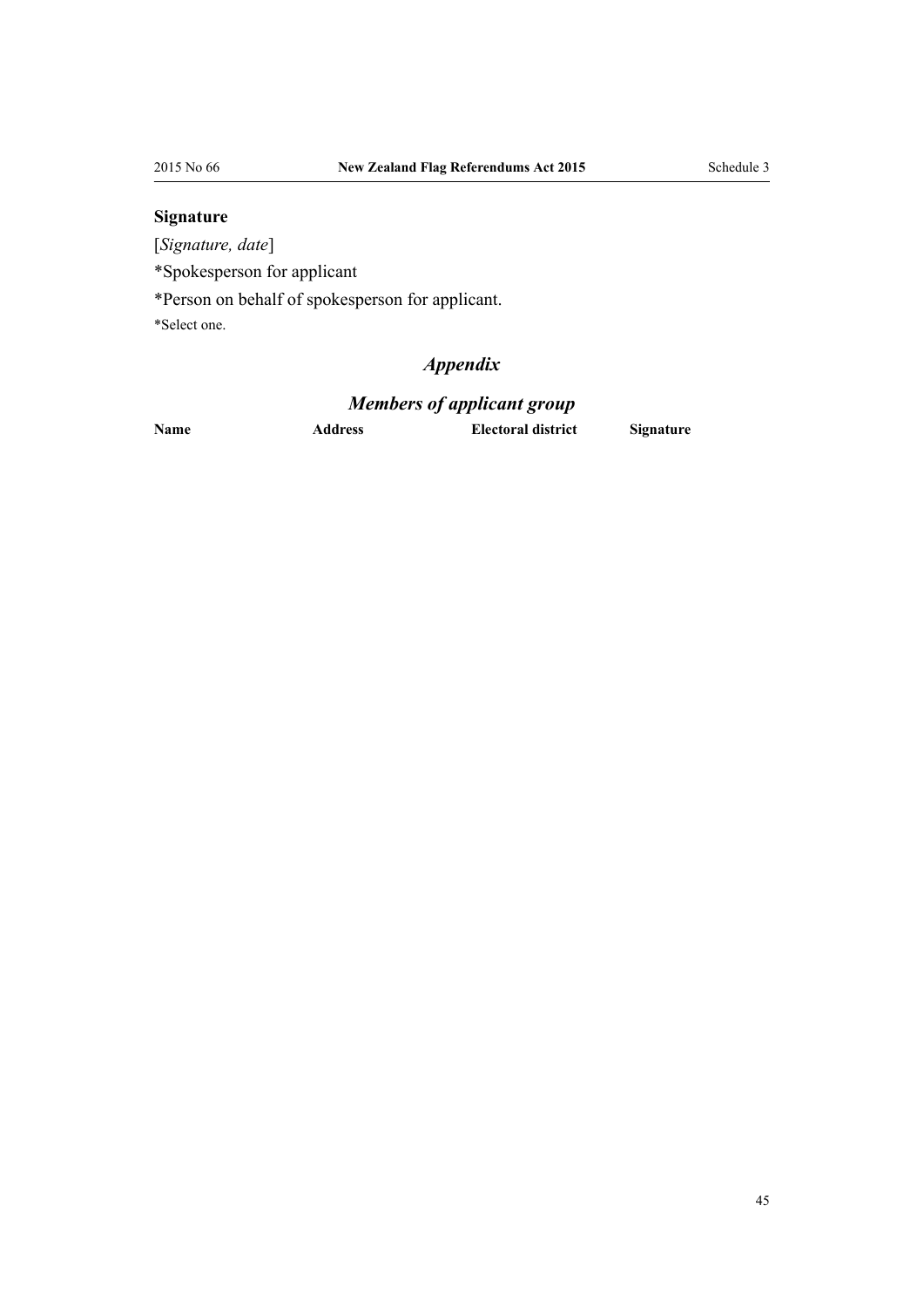# **Signature**

[*Signature, date*]

\*Spokesperson for applicant

\*Person on behalf of spokesperson for applicant.

\*Select one.

# *Appendix*

# *Members of applicant group*

**Name Address Electoral district Signature**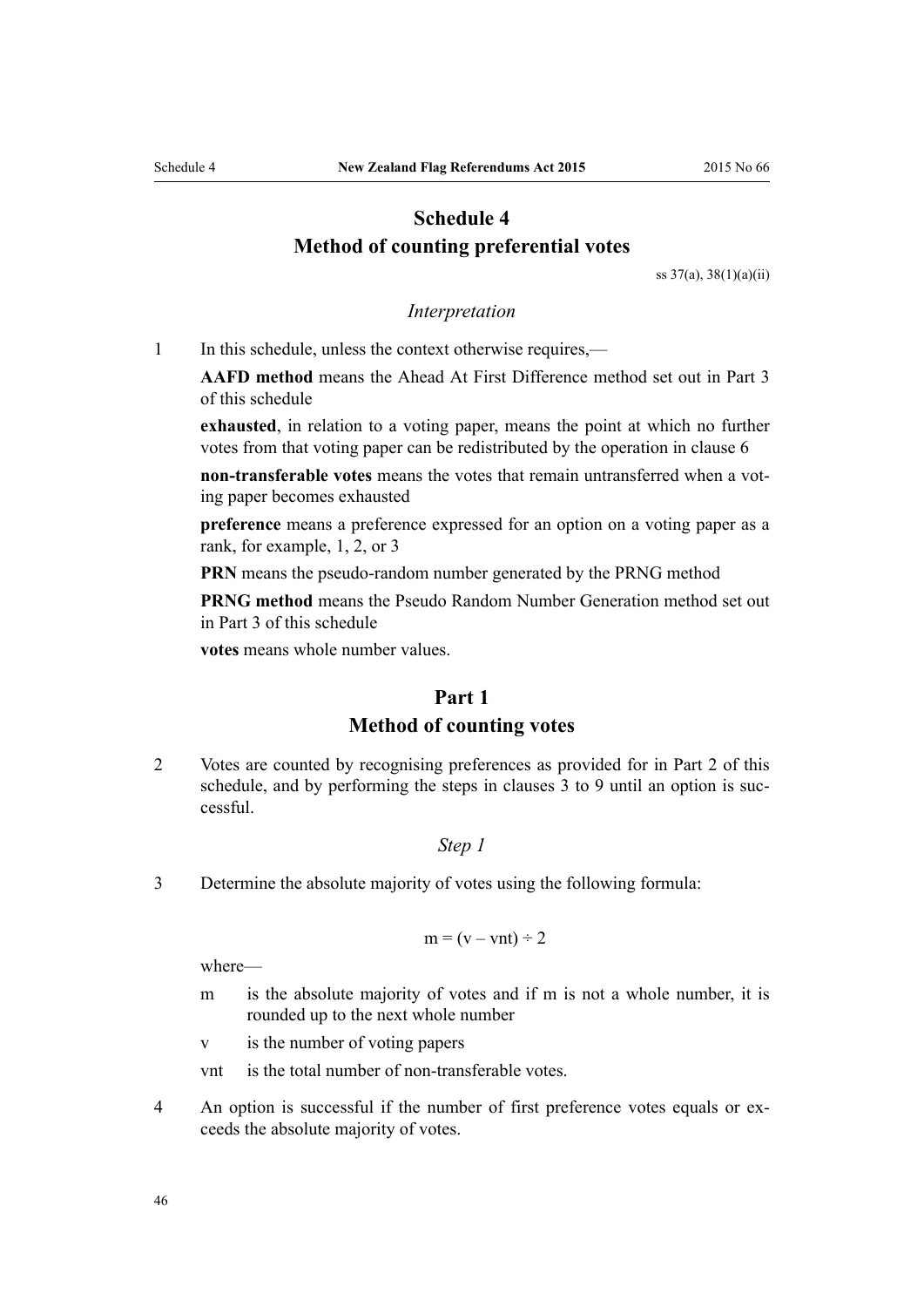# <span id="page-45-0"></span>**Schedule 4 Method of counting preferential votes**

[ss 37\(a\)](#page-19-0), [38\(1\)\(a\)\(ii\)](#page-19-0)

#### *Interpretation*

1 In this schedule, unless the context otherwise requires,—

**AAFD method** means the Ahead At First Difference method set out in [Part 3](#page-47-0) of this schedule

**exhausted**, in relation to a voting paper, means the point at which no further votes from that voting paper can be redistributed by the operation in [clause 6](#page-46-0)

**non-transferable votes** means the votes that remain untransferred when a voting paper becomes exhausted

**preference** means a preference expressed for an option on a voting paper as a rank, for example, 1, 2, or 3

**PRN** means the pseudo-random number generated by the PRNG method

**PRNG method** means the Pseudo Random Number Generation method set out in [Part 3](#page-47-0) of this schedule

**votes** means whole number values.

# **Part 1 Method of counting votes**

2 Votes are counted by recognising preferences as provided for in [Part 2](#page-46-0) of this schedule, and by performing the steps in clauses 3 to 9 until an option is successful.

#### *Step 1*

3 Determine the absolute majority of votes using the following formula:

$$
m = (v - vnt) \div 2
$$

where—

m is the absolute majority of votes and if m is not a whole number, it is rounded up to the next whole number

v is the number of voting papers

- vnt is the total number of non-transferable votes.
- 4 An option is successful if the number of first preference votes equals or exceeds the absolute majority of votes.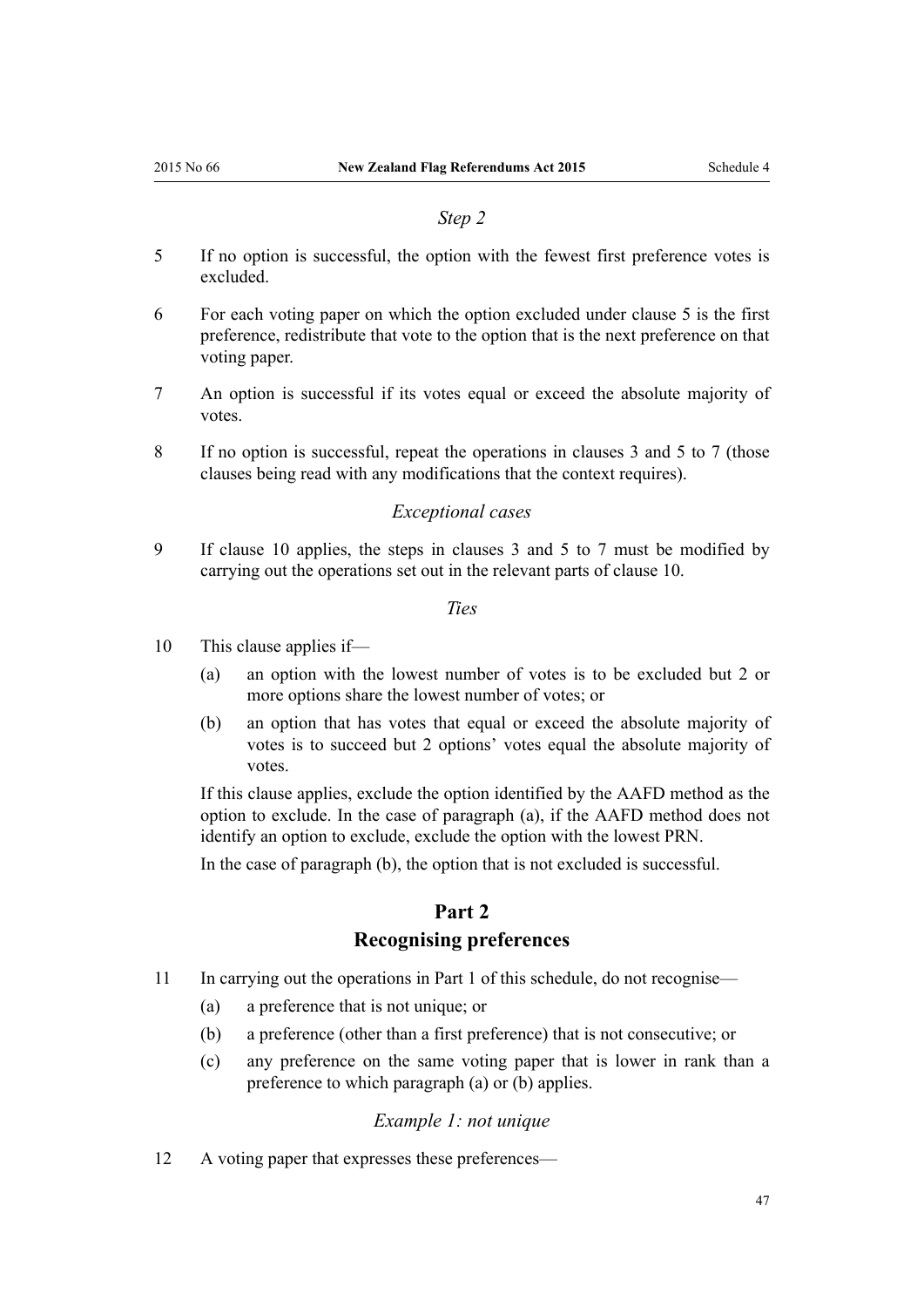#### *Step 2*

- <span id="page-46-0"></span>5 If no option is successful, the option with the fewest first preference votes is excluded.
- 6 For each voting paper on which the option excluded under clause 5 is the first preference, redistribute that vote to the option that is the next preference on that voting paper.
- 7 An option is successful if its votes equal or exceed the absolute majority of votes.
- 8 If no option is successful, repeat the operations in [clauses 3](#page-45-0) and 5 to 7 (those clauses being read with any modifications that the context requires).

#### *Exceptional cases*

9 If clause 10 applies, the steps in [clauses 3](#page-45-0) and 5 to 7 must be modified by carrying out the operations set out in the relevant parts of clause 10.

*Ties*

- 10 This clause applies if—
	- (a) an option with the lowest number of votes is to be excluded but 2 or more options share the lowest number of votes; or
	- (b) an option that has votes that equal or exceed the absolute majority of votes is to succeed but 2 options' votes equal the absolute majority of votes.

If this clause applies, exclude the option identified by the AAFD method as the option to exclude. In the case of paragraph (a), if the AAFD method does not identify an option to exclude, exclude the option with the lowest PRN.

In the case of paragraph (b), the option that is not excluded is successful.

# **Part 2 Recognising preferences**

- 11 In carrying out the operations in [Part 1](#page-45-0) of this schedule, do not recognise—
	- (a) a preference that is not unique; or
	- (b) a preference (other than a first preference) that is not consecutive; or
	- (c) any preference on the same voting paper that is lower in rank than a preference to which paragraph (a) or (b) applies.

#### *Example 1: not unique*

12 A voting paper that expresses these preferences—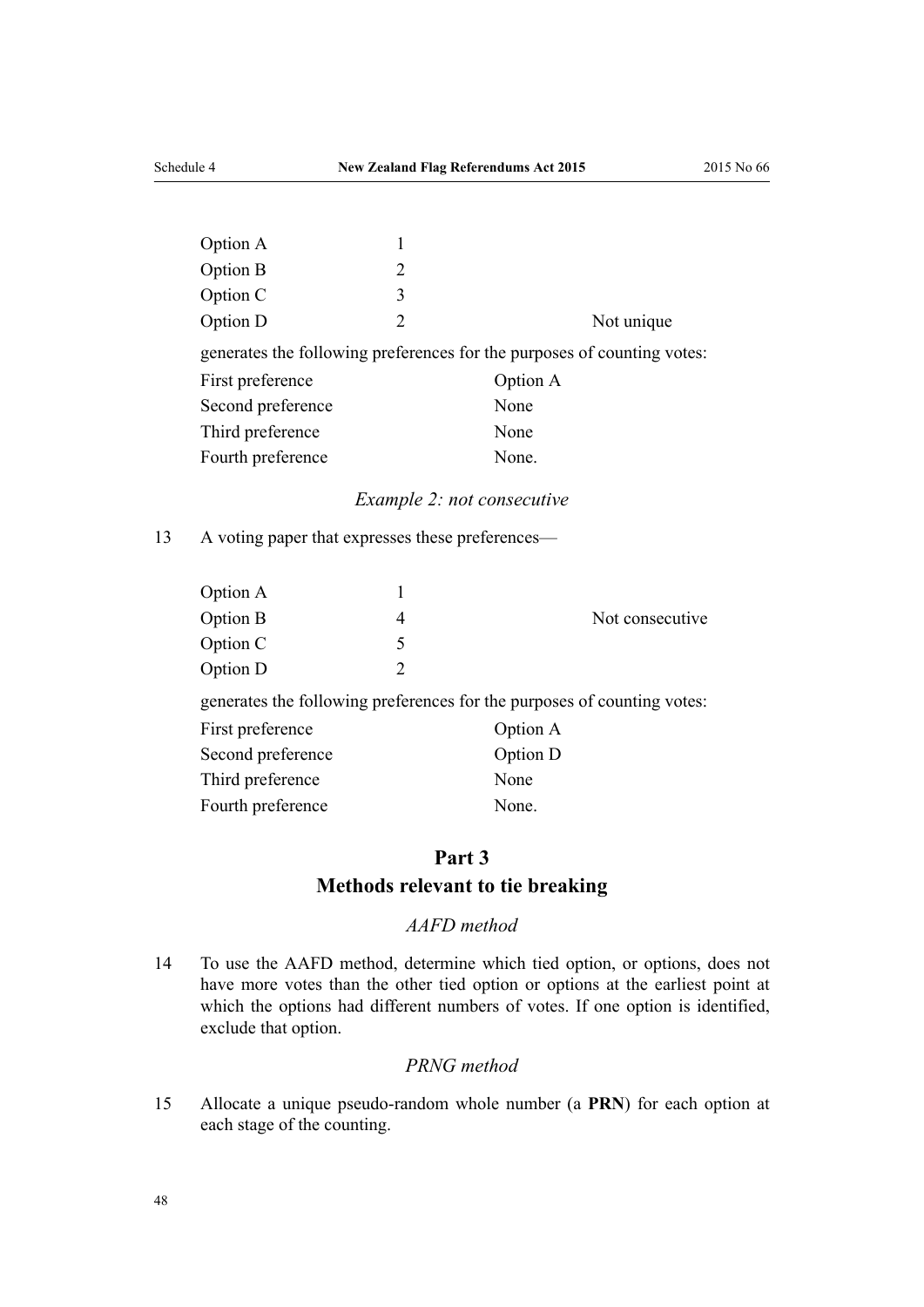<span id="page-47-0"></span>

| Option A          |   |                                                                         |
|-------------------|---|-------------------------------------------------------------------------|
| <b>Option B</b>   | 2 |                                                                         |
| Option C          | 3 |                                                                         |
| Option D          | 2 | Not unique                                                              |
|                   |   | generates the following preferences for the purposes of counting votes: |
| First preference  |   | Option A                                                                |
| Second preference |   | None                                                                    |
| Third preference  |   | None                                                                    |
| Fourth preference |   | None.                                                                   |
|                   |   |                                                                         |

#### *Example 2: not consecutive*

13 A voting paper that expresses these preferences—

| Not consecutive |
|-----------------|
|                 |
|                 |
|                 |

generates the following preferences for the purposes of counting votes:

| First preference  | Option A |
|-------------------|----------|
| Second preference | Option D |
| Third preference  | None     |
| Fourth preference | None.    |

# **Part 3 Methods relevant to tie breaking**

#### *AAFD method*

14 To use the AAFD method, determine which tied option, or options, does not have more votes than the other tied option or options at the earliest point at which the options had different numbers of votes. If one option is identified, exclude that option.

#### *PRNG method*

15 Allocate a unique pseudo-random whole number (a **PRN**) for each option at each stage of the counting.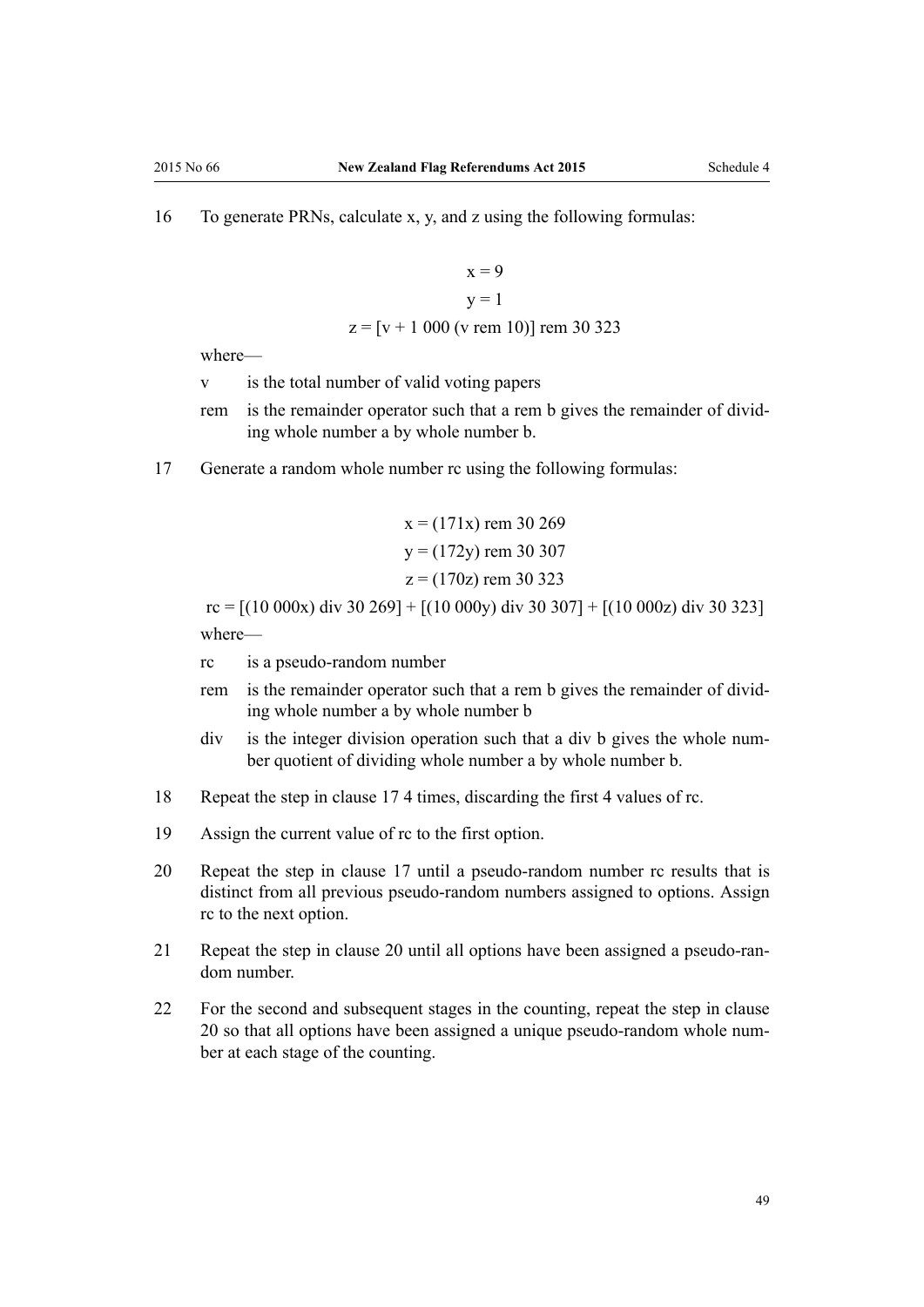16 To generate PRNs, calculate x, y, and z using the following formulas:

$$
x = 9
$$
  
y = 1  
z = [v + 1 000 (v rem 10)] rem 30 323

where—

- v is the total number of valid voting papers
- rem is the remainder operator such that a rem b gives the remainder of dividing whole number a by whole number b.
- 17 Generate a random whole number rc using the following formulas:

$$
x = (171x) \text{ rem } 30\ 269
$$
  

$$
y = (172y) \text{ rem } 30\ 307
$$
  

$$
z = (170z) \text{ rem } 30\ 323
$$

rc =  $[(10\ 000x)\ div 30\ 269] + [(10\ 000y)\ div 30\ 307] + [(10\ 000z)\ div 30\ 323]$ where—

- rc is a pseudo-random number
- rem is the remainder operator such that a rem b gives the remainder of dividing whole number a by whole number b
- div is the integer division operation such that a div b gives the whole number quotient of dividing whole number a by whole number b.
- 18 Repeat the step in clause 17 4 times, discarding the first 4 values of rc.
- 19 Assign the current value of rc to the first option.
- 20 Repeat the step in clause 17 until a pseudo-random number rc results that is distinct from all previous pseudo-random numbers assigned to options. Assign rc to the next option.
- 21 Repeat the step in clause 20 until all options have been assigned a pseudo-random number.
- 22 For the second and subsequent stages in the counting, repeat the step in clause 20 so that all options have been assigned a unique pseudo-random whole number at each stage of the counting.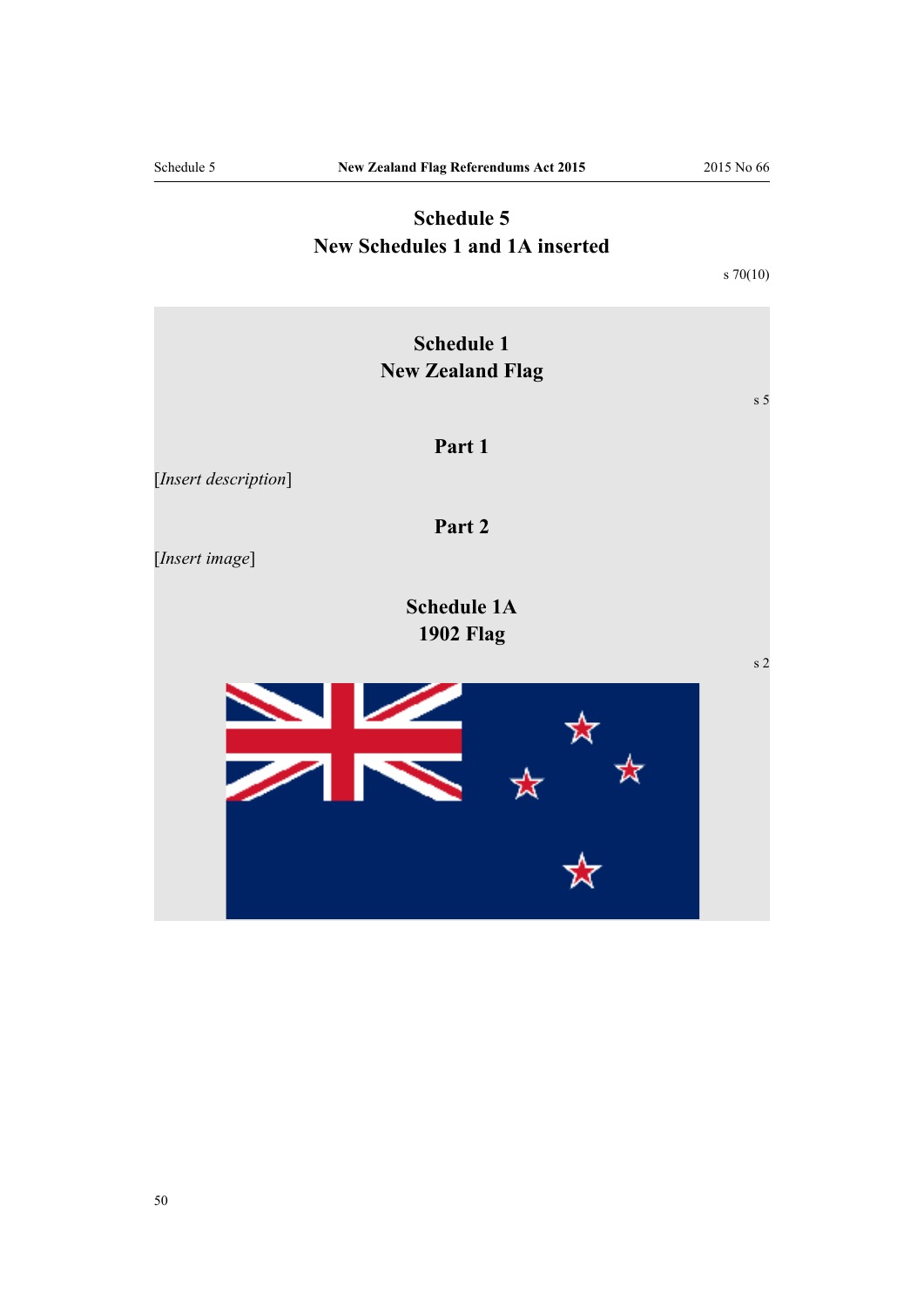# **Schedule 5 New Schedules 1 and 1A inserted**

[s 70\(10\)](#page-34-0)

<span id="page-49-0"></span>